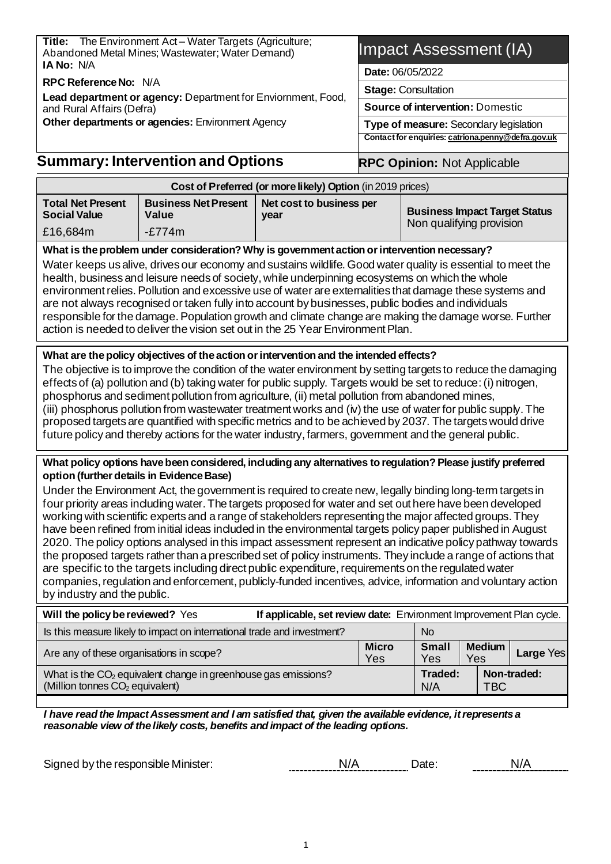**Title:** The Environment Act – Water Targets (Agriculture; Abandoned Metal Mines; Wastewater; Water Demand) **IA No:** N/A

**RPC Reference No:** N/A

**Lead department or agency:** Department for Enviornment, Food, and Rural Affairs (Defra) **Other departments or agencies:** Environment Agency

### **Summary: Intervention and Options**

## Impact Assessment (IA)

**Date:** 06/05/2022

**Stage:** Consultation

**Source of intervention:** Domestic

**RPC Opinion:** Not Applicable

**Type of measure:** Secondary legislation **Contact for enquiries: catriona.pen[ny@defra.gov.uk](mailto:Katherine.Powell@defra.gov.uk)**

|                                                                                                                                                                                                                                                                                                                                                                                                                                                                                                                                                                                                                                                                                                                                                                                                                                                                                                                                                                                                                                                                                                    | Cost of Preferred (or more likely) Option (in 2019 prices)                                                                                                                                                                                                                                                                                                                                                                                                                                                                                                                                                                                                            |                                  |                     |                                                                  |                      |             |  |
|----------------------------------------------------------------------------------------------------------------------------------------------------------------------------------------------------------------------------------------------------------------------------------------------------------------------------------------------------------------------------------------------------------------------------------------------------------------------------------------------------------------------------------------------------------------------------------------------------------------------------------------------------------------------------------------------------------------------------------------------------------------------------------------------------------------------------------------------------------------------------------------------------------------------------------------------------------------------------------------------------------------------------------------------------------------------------------------------------|-----------------------------------------------------------------------------------------------------------------------------------------------------------------------------------------------------------------------------------------------------------------------------------------------------------------------------------------------------------------------------------------------------------------------------------------------------------------------------------------------------------------------------------------------------------------------------------------------------------------------------------------------------------------------|----------------------------------|---------------------|------------------------------------------------------------------|----------------------|-------------|--|
| <b>Total Net Present</b><br><b>Social Value</b>                                                                                                                                                                                                                                                                                                                                                                                                                                                                                                                                                                                                                                                                                                                                                                                                                                                                                                                                                                                                                                                    | <b>Business Net Present</b><br>Value                                                                                                                                                                                                                                                                                                                                                                                                                                                                                                                                                                                                                                  | Net cost to business per<br>year |                     | <b>Business Impact Target Status</b><br>Non qualifying provision |                      |             |  |
| £16,684m                                                                                                                                                                                                                                                                                                                                                                                                                                                                                                                                                                                                                                                                                                                                                                                                                                                                                                                                                                                                                                                                                           | $-E774m$                                                                                                                                                                                                                                                                                                                                                                                                                                                                                                                                                                                                                                                              |                                  |                     |                                                                  |                      |             |  |
|                                                                                                                                                                                                                                                                                                                                                                                                                                                                                                                                                                                                                                                                                                                                                                                                                                                                                                                                                                                                                                                                                                    | What is the problem under consideration? Why is government action or intervention necessary?                                                                                                                                                                                                                                                                                                                                                                                                                                                                                                                                                                          |                                  |                     |                                                                  |                      |             |  |
| Water keeps us alive, drives our economy and sustains wildlife. Good water quality is essential to meet the<br>health, business and leisure needs of society, while underpinning ecosystems on which the whole<br>environment relies. Pollution and excessive use of water are externalities that damage these systems and<br>are not always recognised or taken fully into account by businesses, public bodies and individuals<br>responsible for the damage. Population growth and climate change are making the damage worse. Further<br>action is needed to deliver the vision set out in the 25 Year Environment Plan.                                                                                                                                                                                                                                                                                                                                                                                                                                                                       |                                                                                                                                                                                                                                                                                                                                                                                                                                                                                                                                                                                                                                                                       |                                  |                     |                                                                  |                      |             |  |
|                                                                                                                                                                                                                                                                                                                                                                                                                                                                                                                                                                                                                                                                                                                                                                                                                                                                                                                                                                                                                                                                                                    | What are the policy objectives of the action or intervention and the intended effects?                                                                                                                                                                                                                                                                                                                                                                                                                                                                                                                                                                                |                                  |                     |                                                                  |                      |             |  |
|                                                                                                                                                                                                                                                                                                                                                                                                                                                                                                                                                                                                                                                                                                                                                                                                                                                                                                                                                                                                                                                                                                    | The objective is to improve the condition of the water environment by setting targets to reduce the damaging<br>effects of (a) pollution and (b) taking water for public supply. Targets would be set to reduce: (i) nitrogen,<br>phosphorus and sediment pollution from agriculture, (ii) metal pollution from abandoned mines,<br>(iii) phosphorus pollution from wastewater treatment works and (iv) the use of water for public supply. The<br>proposed targets are quantified with specific metrics and to be achieved by 2037. The targets would drive<br>future policy and thereby actions for the water industry, farmers, government and the general public. |                                  |                     |                                                                  |                      |             |  |
| What policy options have been considered, including any alternatives to regulation? Please justify preferred<br>option (further details in Evidence Base)<br>Under the Environment Act, the government is required to create new, legally binding long-term targets in<br>four priority areas including water. The targets proposed for water and set out here have been developed<br>working with scientific experts and a range of stakeholders representing the major affected groups. They<br>have been refined from initial ideas included in the environmental targets policy paper published in August<br>2020. The policy options analysed in this impact assessment represent an indicative policy pathway towards<br>the proposed targets rather than a prescribed set of policy instruments. They include a range of actions that<br>are specific to the targets including direct public expenditure, requirements on the regulated water<br>companies, regulation and enforcement, publicly-funded incentives, advice, information and voluntary action<br>by industry and the public. |                                                                                                                                                                                                                                                                                                                                                                                                                                                                                                                                                                                                                                                                       |                                  |                     |                                                                  |                      |             |  |
|                                                                                                                                                                                                                                                                                                                                                                                                                                                                                                                                                                                                                                                                                                                                                                                                                                                                                                                                                                                                                                                                                                    | Will the policy be reviewed? Yes<br>If applicable, set review date: Environment Improvement Plan cycle.                                                                                                                                                                                                                                                                                                                                                                                                                                                                                                                                                               |                                  |                     |                                                                  |                      |             |  |
|                                                                                                                                                                                                                                                                                                                                                                                                                                                                                                                                                                                                                                                                                                                                                                                                                                                                                                                                                                                                                                                                                                    | Is this measure likely to impact on international trade and investment?                                                                                                                                                                                                                                                                                                                                                                                                                                                                                                                                                                                               |                                  |                     | <b>No</b>                                                        |                      |             |  |
| Are any of these organisations in scope?                                                                                                                                                                                                                                                                                                                                                                                                                                                                                                                                                                                                                                                                                                                                                                                                                                                                                                                                                                                                                                                           |                                                                                                                                                                                                                                                                                                                                                                                                                                                                                                                                                                                                                                                                       |                                  | <b>Micro</b><br>Yes | <b>Small</b><br>Yes                                              | <b>Medium</b><br>Yes | Large Yes   |  |
| (Million tonnes CO <sub>2</sub> equivalent)                                                                                                                                                                                                                                                                                                                                                                                                                                                                                                                                                                                                                                                                                                                                                                                                                                                                                                                                                                                                                                                        | What is the CO <sub>2</sub> equivalent change in greenhouse gas emissions?                                                                                                                                                                                                                                                                                                                                                                                                                                                                                                                                                                                            |                                  |                     | Traded:<br>N/A                                                   | <b>TBC</b>           | Non-traded: |  |

*I have read the Impact Assessment and I am satisfied that, given the available evidence, it represents a reasonable view of the likely costs, benefits and impact of the leading options.*

Signed by the responsible Minister:  $N/A$   $N/A$  Date:  $N/A$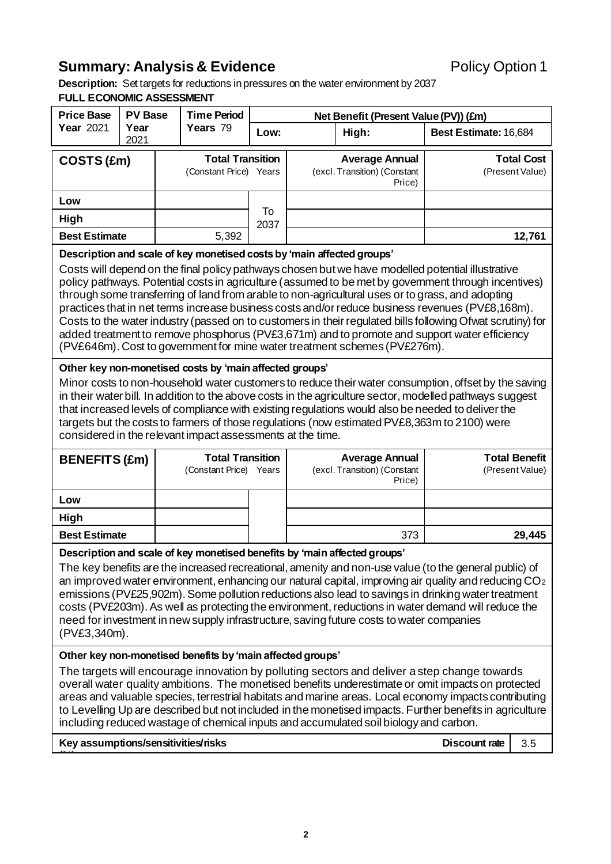## **Summary: Analysis & Evidence** *Policy Option 1*

**Description:** Set targets for reductions in pressures on the water environment by 2037 **FULL ECONOMIC ASSESSMENT**

| <b>Price Base</b>                                                                                                                                                                                                                                                                                                                                                                                                                                                                                                                                                                                                                                                                                                                                                                      | <b>PV Base</b> |  | <b>Time Period</b>                                |            |                                                                 | Net Benefit (Present Value (PV)) (£m)                           |                       |                                         |
|----------------------------------------------------------------------------------------------------------------------------------------------------------------------------------------------------------------------------------------------------------------------------------------------------------------------------------------------------------------------------------------------------------------------------------------------------------------------------------------------------------------------------------------------------------------------------------------------------------------------------------------------------------------------------------------------------------------------------------------------------------------------------------------|----------------|--|---------------------------------------------------|------------|-----------------------------------------------------------------|-----------------------------------------------------------------|-----------------------|-----------------------------------------|
| <b>Year 2021</b>                                                                                                                                                                                                                                                                                                                                                                                                                                                                                                                                                                                                                                                                                                                                                                       | Year<br>2021   |  | Years 79                                          | Low:       |                                                                 | High:                                                           | Best Estimate: 16,684 |                                         |
| COSTS (£m)                                                                                                                                                                                                                                                                                                                                                                                                                                                                                                                                                                                                                                                                                                                                                                             |                |  | <b>Total Transition</b><br>(Constant Price) Years |            | <b>Average Annual</b><br>(excl. Transition) (Constant<br>Price) |                                                                 |                       | <b>Total Cost</b><br>(Present Value)    |
| Low                                                                                                                                                                                                                                                                                                                                                                                                                                                                                                                                                                                                                                                                                                                                                                                    |                |  |                                                   |            |                                                                 |                                                                 |                       |                                         |
| High                                                                                                                                                                                                                                                                                                                                                                                                                                                                                                                                                                                                                                                                                                                                                                                   |                |  |                                                   | To<br>2037 |                                                                 |                                                                 |                       |                                         |
| <b>Best Estimate</b>                                                                                                                                                                                                                                                                                                                                                                                                                                                                                                                                                                                                                                                                                                                                                                   |                |  | 5,392                                             |            |                                                                 |                                                                 |                       | 12,761                                  |
| Description and scale of key monetised costs by 'main affected groups'<br>Costs will depend on the final policy pathways chosen but we have modelled potential illustrative<br>policy pathways. Potential costs in agriculture (assumed to be met by government through incentives)<br>through some transferring of land from arable to non-agricultural uses or to grass, and adopting<br>practices that in net terms increase business costs and/or reduce business revenues (PV£8,168m).<br>Costs to the water industry (passed on to customers in their regulated bills following Ofwat scrutiny) for<br>added treatment to remove phosphorus (PV£3,671m) and to promote and support water efficiency<br>(PV£646m). Cost to government for mine water treatment schemes (PV£276m). |                |  |                                                   |            |                                                                 |                                                                 |                       |                                         |
| Other key non-monetised costs by 'main affected groups'<br>Minor costs to non-household water customers to reduce their water consumption, offset by the saving<br>in their water bill. In addition to the above costs in the agriculture sector, modelled pathways suggest<br>that increased levels of compliance with existing regulations would also be needed to deliver the<br>targets but the costs to farmers of those regulations (now estimated PV£8,363m to 2100) were<br>considered in the relevant impact assessments at the time.                                                                                                                                                                                                                                         |                |  |                                                   |            |                                                                 |                                                                 |                       |                                         |
| <b>BENEFITS (£m)</b>                                                                                                                                                                                                                                                                                                                                                                                                                                                                                                                                                                                                                                                                                                                                                                   |                |  | <b>Total Transition</b><br>(Constant Price) Years |            |                                                                 | <b>Average Annual</b><br>(excl. Transition) (Constant<br>Price) |                       | <b>Total Benefit</b><br>(Present Value) |
| Low                                                                                                                                                                                                                                                                                                                                                                                                                                                                                                                                                                                                                                                                                                                                                                                    |                |  |                                                   |            |                                                                 |                                                                 |                       |                                         |
| <b>High</b>                                                                                                                                                                                                                                                                                                                                                                                                                                                                                                                                                                                                                                                                                                                                                                            |                |  |                                                   |            |                                                                 |                                                                 |                       |                                         |
| <b>Best Estimate</b>                                                                                                                                                                                                                                                                                                                                                                                                                                                                                                                                                                                                                                                                                                                                                                   |                |  |                                                   |            |                                                                 | 373                                                             |                       | 29,445                                  |
| Description and scale of key monetised benefits by 'main affected groups'<br>The key benefits are the increased recreational, amenity and non-use value (to the general public) of<br>an improved water environment, enhancing our natural capital, improving air quality and reducing $CO2$<br>emissions (PV£25,902m). Some pollution reductions also lead to savings in drinking water treatment<br>costs (PV£203m). As well as protecting the environment, reductions in water demand will reduce the<br>need for investment in new supply infrastructure, saving future costs to water companies<br>(PV£3,340m).                                                                                                                                                                   |                |  |                                                   |            |                                                                 |                                                                 |                       |                                         |
| Other key non-monetised benefits by 'main affected groups'<br>The targets will encourage innovation by polluting sectors and deliver a step change towards<br>overall water quality ambitions. The monetised benefits underestimate or omit impacts on protected<br>areas and valuable species, terrestrial habitats and marine areas. Local economy impacts contributing<br>to Levelling Up are described but not included in the monetised impacts. Further benefits in agriculture<br>including reduced wastage of chemical inputs and accumulated soil biology and carbon.<br>Key assumptions/sensitivities/risks<br><b>Discount rate</b><br>3.5                                                                                                                                   |                |  |                                                   |            |                                                                 |                                                                 |                       |                                         |
|                                                                                                                                                                                                                                                                                                                                                                                                                                                                                                                                                                                                                                                                                                                                                                                        |                |  |                                                   |            |                                                                 |                                                                 |                       |                                         |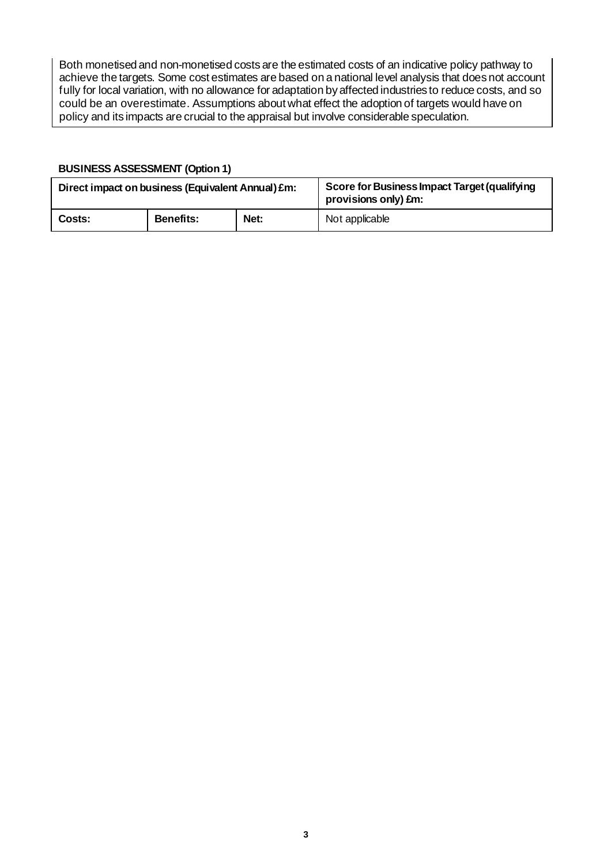Both monetised and non-monetised costs are the estimated costs of an indicative policy pathway to achieve the targets. Some cost estimates are based on a national level analysis that does not account fully for local variation, with no allowance for adaptation by affected industries to reduce costs, and so could be an overestimate. Assumptions about what effect the adoption of targets would have on policy and its impacts are crucial to the appraisal but involve considerable speculation.

#### **BUSINESS ASSESSMENT (Option 1)**

| Direct impact on business (Equivalent Annual) £m: |                  |      | Score for Business Impact Target (qualifying<br>provisions only) £m: |  |
|---------------------------------------------------|------------------|------|----------------------------------------------------------------------|--|
| Costs:                                            | <b>Benefits:</b> | Net: | Not applicable                                                       |  |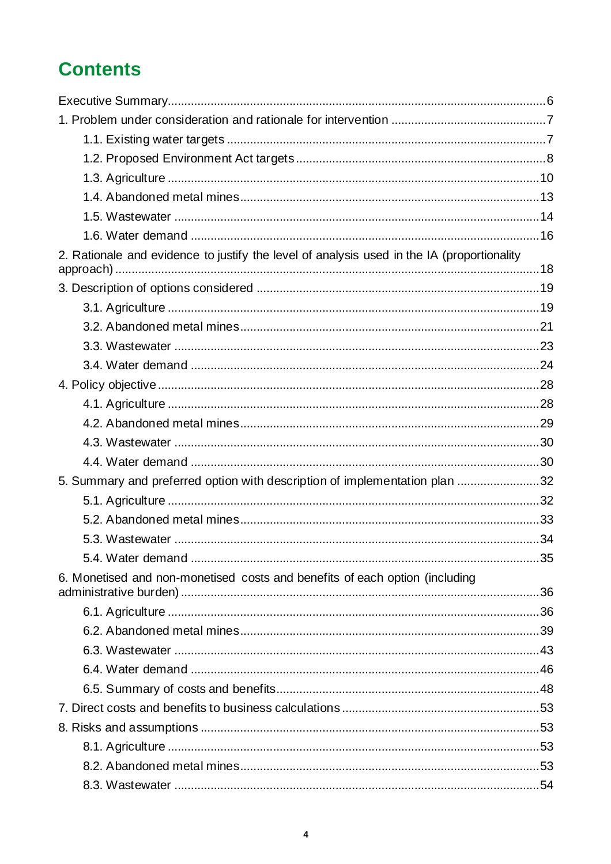# **Contents**

| 2. Rationale and evidence to justify the level of analysis used in the IA (proportionality |  |
|--------------------------------------------------------------------------------------------|--|
|                                                                                            |  |
|                                                                                            |  |
|                                                                                            |  |
|                                                                                            |  |
|                                                                                            |  |
|                                                                                            |  |
|                                                                                            |  |
|                                                                                            |  |
|                                                                                            |  |
|                                                                                            |  |
|                                                                                            |  |
| 5. Summary and preferred option with description of implementation plan 32                 |  |
|                                                                                            |  |
|                                                                                            |  |
|                                                                                            |  |
|                                                                                            |  |
| 6. Monetised and non-monetised costs and benefits of each option (including                |  |
|                                                                                            |  |
|                                                                                            |  |
|                                                                                            |  |
|                                                                                            |  |
|                                                                                            |  |
|                                                                                            |  |
|                                                                                            |  |
|                                                                                            |  |
|                                                                                            |  |
|                                                                                            |  |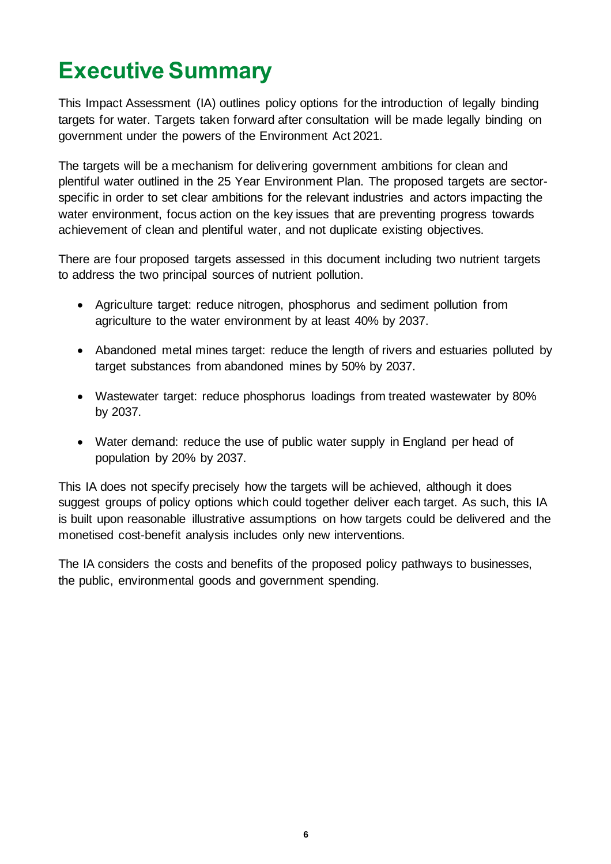# <span id="page-5-0"></span>**Executive Summary**

This Impact Assessment (IA) outlines policy options for the introduction of legally binding targets for water. Targets taken forward after consultation will be made legally binding on government under the powers of the Environment Act 2021.

The targets will be a mechanism for delivering government ambitions for clean and plentiful water outlined in the 25 Year Environment Plan. The proposed targets are sectorspecific in order to set clear ambitions for the relevant industries and actors impacting the water environment, focus action on the key issues that are preventing progress towards achievement of clean and plentiful water, and not duplicate existing objectives.

There are four proposed targets assessed in this document including two nutrient targets to address the two principal sources of nutrient pollution.

- Agriculture target: reduce nitrogen, phosphorus and sediment pollution from agriculture to the water environment by at least 40% by 2037.
- Abandoned metal mines target: reduce the length of rivers and estuaries polluted by target substances from abandoned mines by 50% by 2037.
- Wastewater target: reduce phosphorus loadings from treated wastewater by 80% by 2037.
- Water demand: reduce the use of public water supply in England per head of population by 20% by 2037.

This IA does not specify precisely how the targets will be achieved, although it does suggest groups of policy options which could together deliver each target. As such, this IA is built upon reasonable illustrative assumptions on how targets could be delivered and the monetised cost-benefit analysis includes only new interventions.

The IA considers the costs and benefits of the proposed policy pathways to businesses, the public, environmental goods and government spending.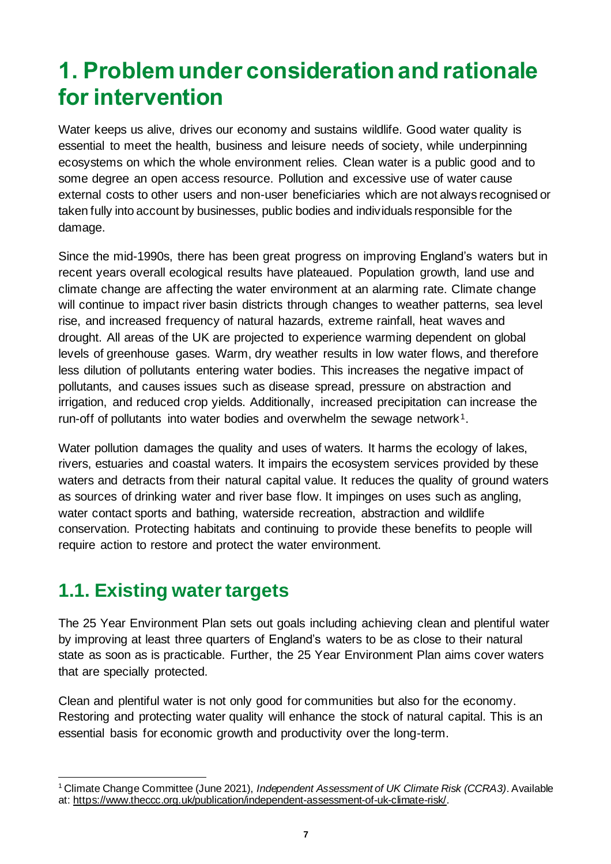# <span id="page-6-0"></span>**1. Problem under consideration and rationale for intervention**

Water keeps us alive, drives our economy and sustains wildlife. Good water quality is essential to meet the health, business and leisure needs of society, while underpinning ecosystems on which the whole environment relies. Clean water is a public good and to some degree an open access resource. Pollution and excessive use of water cause external costs to other users and non-user beneficiaries which are not always recognised or taken fully into account by businesses, public bodies and individuals responsible for the damage.

Since the mid-1990s, there has been great progress on improving England's waters but in recent years overall ecological results have plateaued. Population growth, land use and climate change are affecting the water environment at an alarming rate. Climate change will continue to impact river basin districts through changes to weather patterns, sea level rise, and increased frequency of natural hazards, extreme rainfall, heat waves and drought. All areas of the UK are projected to experience warming dependent on global levels of greenhouse gases. Warm, dry weather results in low water flows, and therefore less dilution of pollutants entering water bodies. This increases the negative impact of pollutants, and causes issues such as disease spread, pressure on abstraction and irrigation, and reduced crop yields. Additionally, increased precipitation can increase the run-off of pollutants into water bodies and overwhelm the sewage network<sup>1</sup>.

Water pollution damages the quality and uses of waters. It harms the ecology of lakes, rivers, estuaries and coastal waters. It impairs the ecosystem services provided by these waters and detracts from their natural capital value. It reduces the quality of ground waters as sources of drinking water and river base flow. It impinges on uses such as angling, water contact sports and bathing, waterside recreation, abstraction and wildlife conservation. Protecting habitats and continuing to provide these benefits to people will require action to restore and protect the water environment.

## <span id="page-6-1"></span>**1.1. Existing water targets**

The 25 Year Environment Plan sets out goals including achieving clean and plentiful water by improving at least three quarters of England's waters to be as close to their natural state as soon as is practicable. Further, the 25 Year Environment Plan aims cover waters that are specially protected.

Clean and plentiful water is not only good for communities but also for the economy. Restoring and protecting water quality will enhance the stock of natural capital. This is an essential basis for economic growth and productivity over the long-term.

<sup>1</sup> Climate Change Committee (June 2021), *Independent Assessment of UK Climate Risk (CCRA3)*. Available at[: https://www.theccc.org.uk/publication/independent-assessment-of-uk-climate-risk/](https://www.theccc.org.uk/publication/independent-assessment-of-uk-climate-risk/).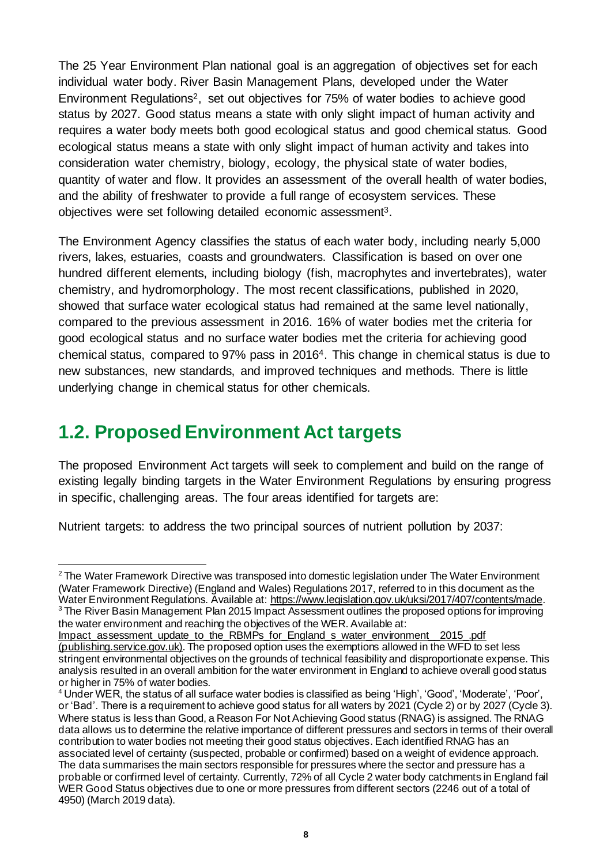The 25 Year Environment Plan national goal is an aggregation of objectives set for each individual water body. River Basin Management Plans, developed under the Water Environment Regulations2, set out objectives for 75% of water bodies to achieve good status by 2027. Good status means a state with only slight impact of human activity and requires a water body meets both good ecological status and good chemical status. Good ecological status means a state with only slight impact of human activity and takes into consideration water chemistry, biology, ecology, the physical state of water bodies, quantity of water and flow. It provides an assessment of the overall health of water bodies, and the ability of freshwater to provide a full range of ecosystem services. These objectives were set following detailed economic assessment3.

The Environment Agency classifies the status of each water body, including nearly 5,000 rivers, lakes, estuaries, coasts and groundwaters. Classification is based on over one hundred different elements, including biology (fish, macrophytes and invertebrates), water chemistry, and hydromorphology. The most recent classifications, published in 2020, showed that surface water ecological status had remained at the same level nationally, compared to the previous assessment in 2016. 16% of water bodies met the criteria for good ecological status and no surface water bodies met the criteria for achieving good chemical status, compared to 97% pass in 20164. This change in chemical status is due to new substances, new standards, and improved techniques and methods. There is little underlying change in chemical status for other chemicals.

## <span id="page-7-0"></span>**1.2. Proposed Environment Act targets**

The proposed Environment Act targets will seek to complement and build on the range of existing legally binding targets in the Water Environment Regulations by ensuring progress in specific, challenging areas. The four areas identified for targets are:

Nutrient targets: to address the two principal sources of nutrient pollution by 2037:

the water environment and reaching the objectives of the WER. Available at:

 $2$  The Water Framework Directive was transposed into domestic legislation under The Water Environment (Water Framework Directive) (England and Wales) Regulations 2017, referred to in this document as the Water Environment Regulations. Available at[: https://www.legislation.gov.uk/uksi/2017/407/contents/made](https://www.legislation.gov.uk/uksi/2017/407/contents/made). <sup>3</sup> The River Basin Management Plan 2015 Impact Assessment outlines the proposed options for improving

Impact assessment update to the RBMPs for England s water environment 2015 .pdf [\(publishing.service.gov.uk\)](https://assets.publishing.service.gov.uk/government/uploads/system/uploads/attachment_data/file/500583/Impact_assessment_update_to_the_RBMPs_for_England_s_water_environment__2015_.pdf). The proposed option uses the exemptions allowed in the WFD to set less stringent environmental objectives on the grounds of technical feasibility and disproportionate expense. This analysis resulted in an overall ambition for the water environment in England to achieve overall good status or higher in 75% of water bodies.

<sup>4</sup> Under WER, the status of all surface water bodies is classified as being 'High', 'Good', 'Moderate', 'Poor', or 'Bad'. There is a requirement to achieve good status for all waters by 2021 (Cycle 2) or by 2027 (Cycle 3). Where status is less than Good, a Reason For Not Achieving Good status (RNAG) is assigned. The RNAG data allows us to determine the relative importance of different pressures and sectors in terms of their overall contribution to water bodies not meeting their good status objectives. Each identified RNAG has an associated level of certainty (suspected, probable or confirmed) based on a weight of evidence approach. The data summarises the main sectors responsible for pressures where the sector and pressure has a probable or confirmed level of certainty. Currently, 72% of all Cycle 2 water body catchments in England fail WER Good Status objectives due to one or more pressures from different sectors (2246 out of a total of 4950) (March 2019 data).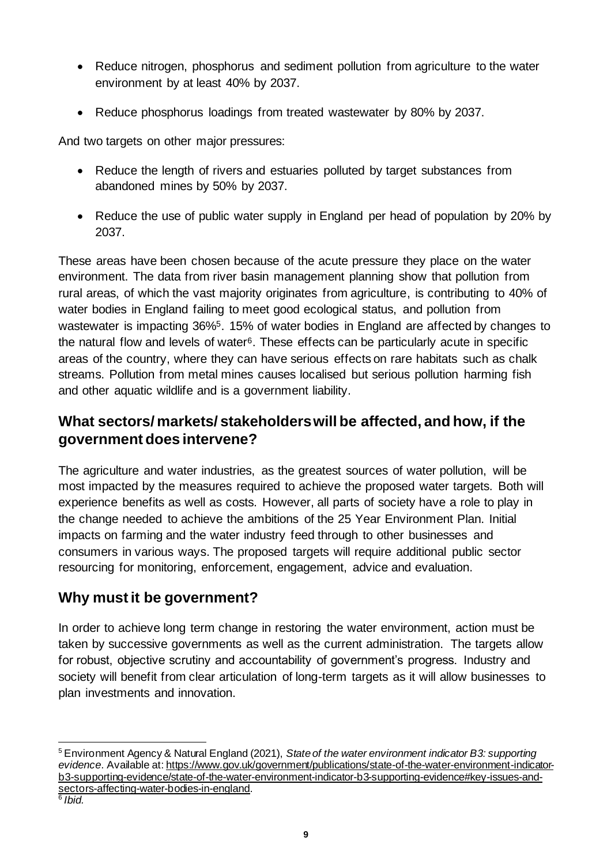- Reduce nitrogen, phosphorus and sediment pollution from agriculture to the water environment by at least 40% by 2037.
- Reduce phosphorus loadings from treated wastewater by 80% by 2037.

And two targets on other major pressures:

- Reduce the length of rivers and estuaries polluted by target substances from abandoned mines by 50% by 2037.
- Reduce the use of public water supply in England per head of population by 20% by 2037.

These areas have been chosen because of the acute pressure they place on the water environment. The data from river basin management planning show that pollution from rural areas, of which the vast majority originates from agriculture, is contributing to 40% of water bodies in England failing to meet good ecological status, and pollution from wastewater is impacting 36%<sup>5</sup>. 15% of water bodies in England are affected by changes to the natural flow and levels of water<sup>6</sup>. These effects can be particularly acute in specific areas of the country, where they can have serious effects on rare habitats such as chalk streams. Pollution from metal mines causes localised but serious pollution harming fish and other aquatic wildlife and is a government liability.

### **What sectors/ markets/ stakeholders will be affected, and how, if the government does intervene?**

The agriculture and water industries, as the greatest sources of water pollution, will be most impacted by the measures required to achieve the proposed water targets. Both will experience benefits as well as costs. However, all parts of society have a role to play in the change needed to achieve the ambitions of the 25 Year Environment Plan. Initial impacts on farming and the water industry feed through to other businesses and consumers in various ways. The proposed targets will require additional public sector resourcing for monitoring, enforcement, engagement, advice and evaluation.

## **Why must it be government?**

In order to achieve long term change in restoring the water environment, action must be taken by successive governments as well as the current administration. The targets allow for robust, objective scrutiny and accountability of government's progress. Industry and society will benefit from clear articulation of long-term targets as it will allow businesses to plan investments and innovation.

<sup>5</sup> Environment Agency & Natural England (2021), *State of the water environment indicator B3: supporting evidence*. Available at[: https://www.gov.uk/government/publications/state-of-the-water-environment-indicator](https://www.gov.uk/government/publications/state-of-the-water-environment-indicator-b3-supporting-evidence/state-of-the-water-environment-indicator-b3-supporting-evidence#key-issues-and-sectors-affecting-water-bodies-in-england)[b3-supporting-evidence/state-of-the-water-environment-indicator-b3-supporting-evidence#key-issues-and](https://www.gov.uk/government/publications/state-of-the-water-environment-indicator-b3-supporting-evidence/state-of-the-water-environment-indicator-b3-supporting-evidence#key-issues-and-sectors-affecting-water-bodies-in-england)[sectors-affecting-water-bodies-in-england](https://www.gov.uk/government/publications/state-of-the-water-environment-indicator-b3-supporting-evidence/state-of-the-water-environment-indicator-b3-supporting-evidence#key-issues-and-sectors-affecting-water-bodies-in-england).

<sup>6</sup> *Ibid.*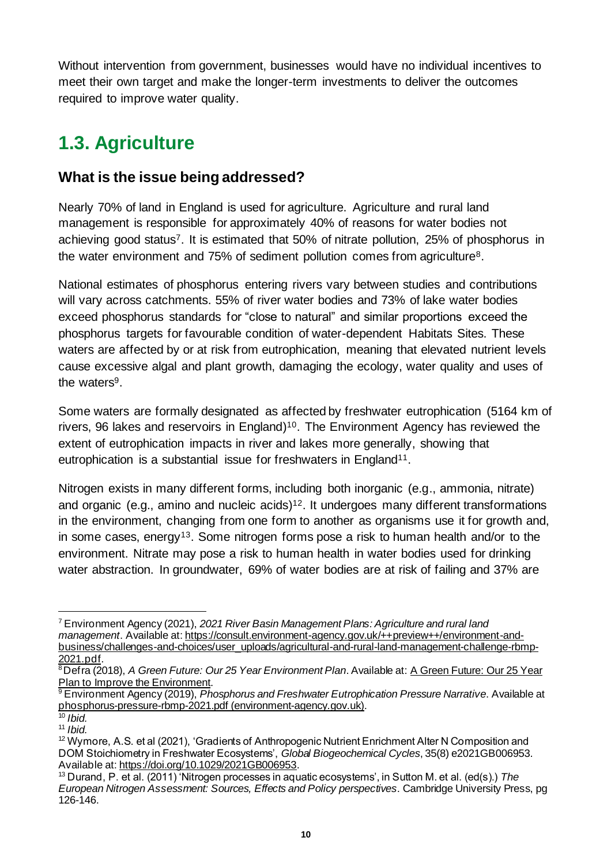Without intervention from government, businesses would have no individual incentives to meet their own target and make the longer-term investments to deliver the outcomes required to improve water quality.

# <span id="page-9-0"></span>**1.3. Agriculture**

#### **What is the issue being addressed?**

Nearly 70% of land in England is used for agriculture. Agriculture and rural land management is responsible for approximately 40% of reasons for water bodies not achieving good status<sup>7</sup>. It is estimated that 50% of nitrate pollution, 25% of phosphorus in the water environment and 75% of sediment pollution comes from agriculture8.

National estimates of phosphorus entering rivers vary between studies and contributions will vary across catchments. 55% of river water bodies and 73% of lake water bodies exceed phosphorus standards for "close to natural" and similar proportions exceed the phosphorus targets for favourable condition of water-dependent Habitats Sites. These waters are affected by or at risk from eutrophication, meaning that elevated nutrient levels cause excessive algal and plant growth, damaging the ecology, water quality and uses of the waters<sup>9</sup>.

Some waters are formally designated as affected by freshwater eutrophication (5164 km of rivers, 96 lakes and reservoirs in England) <sup>10</sup>. The Environment Agency has reviewed the extent of eutrophication impacts in river and lakes more generally, showing that eutrophication is a substantial issue for freshwaters in England<sup>11</sup>.

Nitrogen exists in many different forms, including both inorganic (e.g., ammonia, nitrate) and organic (e.g., amino and nucleic acids) <sup>12</sup>. It undergoes many different transformations in the environment, changing from one form to another as organisms use it for growth and, in some cases, energy<sup>13</sup>. Some nitrogen forms pose a risk to human health and/or to the environment. Nitrate may pose a risk to human health in water bodies used for drinking water abstraction. In groundwater, 69% of water bodies are at risk of failing and 37% are

<sup>7</sup> Environment Agency (2021), *2021 River Basin Management Plans: Agriculture and rural land management*. Available at[: https://consult.environment-agency.gov.uk/++preview++/environment-and](https://consult.environment-agency.gov.uk/++preview++/environment-and-business/challenges-and-choices/user_uploads/agricultural-and-rural-land-management-challenge-rbmp-2021.pdf)[business/challenges-and-choices/user\\_uploads/agricultural-and-rural-land-management-challenge-rbmp-](https://consult.environment-agency.gov.uk/++preview++/environment-and-business/challenges-and-choices/user_uploads/agricultural-and-rural-land-management-challenge-rbmp-2021.pdf)[2021.pdf](https://consult.environment-agency.gov.uk/++preview++/environment-and-business/challenges-and-choices/user_uploads/agricultural-and-rural-land-management-challenge-rbmp-2021.pdf).

<sup>8</sup>Defra (2018), *A Green Future: Our 25 Year Environment Plan*. Available at[: A Green Future: Our 25 Year](https://assets.publishing.service.gov.uk/government/uploads/system/uploads/attachment_data/file/693158/25-year-environment-plan.pdf)  [Plan to Improve the Environment](https://assets.publishing.service.gov.uk/government/uploads/system/uploads/attachment_data/file/693158/25-year-environment-plan.pdf).

<sup>9</sup> Environment Agency (2019), *Phosphorus and Freshwater Eutrophication Pressure Narrative*. Available at [phosphorus-pressure-rbmp-2021.pdf \(environment-agency.gov.uk\)](https://consult.environment-agency.gov.uk/++preview++/environment-and-business/challenges-and-choices/user_uploads/phosphorus-pressure-rbmp-2021.pdf).

<sup>10</sup> *Ibid.*

<sup>11</sup> *Ibid.*

<sup>&</sup>lt;sup>12</sup> Wymore, A.S. et al (2021), 'Gradients of Anthropogenic Nutrient Enrichment Alter N Composition and DOM Stoichiometry in Freshwater Ecosystems', *Global Biogeochemical Cycles*, 35(8) e2021GB006953. Available at[: https://doi.org/10.1029/2021GB006953](https://doi.org/10.1029/2021GB006953).

<sup>13</sup> Durand, P. et al. (2011) 'Nitrogen processes in aquatic ecosystems', in Sutton M. et al. (ed(s).) *The European Nitrogen Assessment: Sources, Effects and Policy perspectives*. Cambridge University Press, pg 126-146.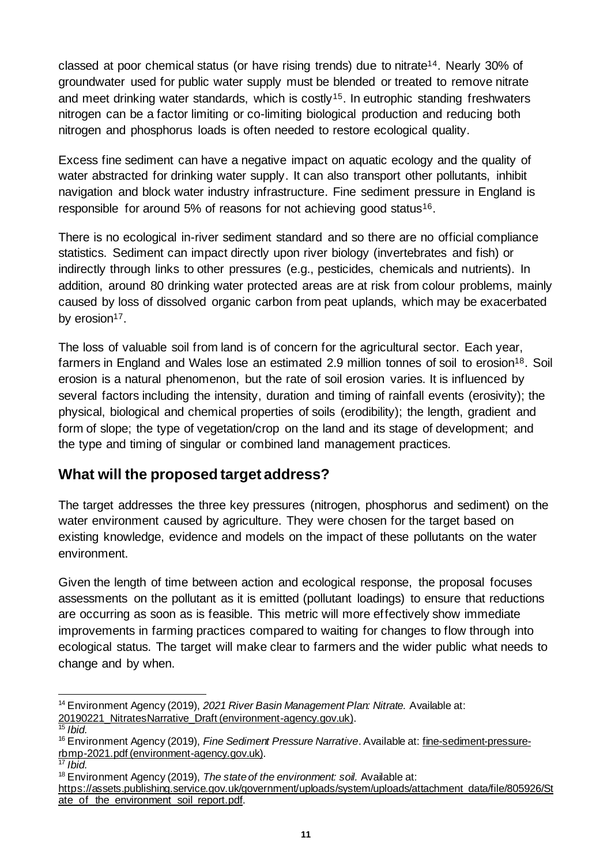classed at poor chemical status (or have rising trends) due to nitrate14. Nearly 30% of groundwater used for public water supply must be blended or treated to remove nitrate and meet drinking water standards, which is costly<sup>15</sup>. In eutrophic standing freshwaters nitrogen can be a factor limiting or co-limiting biological production and reducing both nitrogen and phosphorus loads is often needed to restore ecological quality.

Excess fine sediment can have a negative impact on aquatic ecology and the quality of water abstracted for drinking water supply. It can also transport other pollutants, inhibit navigation and block water industry infrastructure. Fine sediment pressure in England is responsible for around 5% of reasons for not achieving good status<sup>16</sup>.

There is no ecological in-river sediment standard and so there are no official compliance statistics. Sediment can impact directly upon river biology (invertebrates and fish) or indirectly through links to other pressures (e.g., pesticides, chemicals and nutrients). In addition, around 80 drinking water protected areas are at risk from colour problems, mainly caused by loss of dissolved organic carbon from peat uplands, which may be exacerbated by erosion<sup>17</sup>.

The loss of valuable soil from land is of concern for the agricultural sector. Each year, farmers in England and Wales lose an estimated 2.9 million tonnes of soil to erosion<sup>18</sup>. Soil erosion is a natural phenomenon, but the rate of soil erosion varies. It is influenced by several factors including the intensity, duration and timing of rainfall events (erosivity); the physical, biological and chemical properties of soils (erodibility); the length, gradient and form of slope; the type of vegetation/crop on the land and its stage of development; and the type and timing of singular or combined land management practices.

### **What will the proposed target address?**

The target addresses the three key pressures (nitrogen, phosphorus and sediment) on the water environment caused by agriculture. They were chosen for the target based on existing knowledge, evidence and models on the impact of these pollutants on the water environment.

Given the length of time between action and ecological response, the proposal focuses assessments on the pollutant as it is emitted (pollutant loadings) to ensure that reductions are occurring as soon as is feasible. This metric will more effectively show immediate improvements in farming practices compared to waiting for changes to flow through into ecological status. The target will make clear to farmers and the wider public what needs to change and by when.

<sup>18</sup> Environment Agency (2019), *The state of the environment: soil.* Available at:

<sup>14</sup> Environment Agency (2019), *2021 River Basin Management Plan: Nitrate.* Available at: [20190221\\_NitratesNarrative\\_Draft \(environment-agency.gov.uk\)](https://consult.environment-agency.gov.uk/environment-and-business/challenges-and-choices/user_uploads/nitrate-pressure-narrative-021211.pdf).

<sup>15</sup> *Ibid.*

<sup>16</sup> Environment Agency (2019), *Fine Sediment Pressure Narrative*. Available at: [fine-sediment-pressure](https://consult.environment-agency.gov.uk/++preview++/environment-and-business/challenges-and-choices/user_uploads/fine-sediment-pressure-rbmp-2021.pdf)[rbmp-2021.pdf \(environment-agency.gov.uk\)](https://consult.environment-agency.gov.uk/++preview++/environment-and-business/challenges-and-choices/user_uploads/fine-sediment-pressure-rbmp-2021.pdf).

<sup>17</sup> *Ibid.* 

[https://assets.publishing.service.gov.uk/government/uploads/system/uploads/attachment\\_data/file/805926/St](https://assets.publishing.service.gov.uk/government/uploads/system/uploads/attachment_data/file/805926/State_of_the_environment_soil_report.pdf) [ate\\_of\\_the\\_environment\\_soil\\_report.pdf](https://assets.publishing.service.gov.uk/government/uploads/system/uploads/attachment_data/file/805926/State_of_the_environment_soil_report.pdf).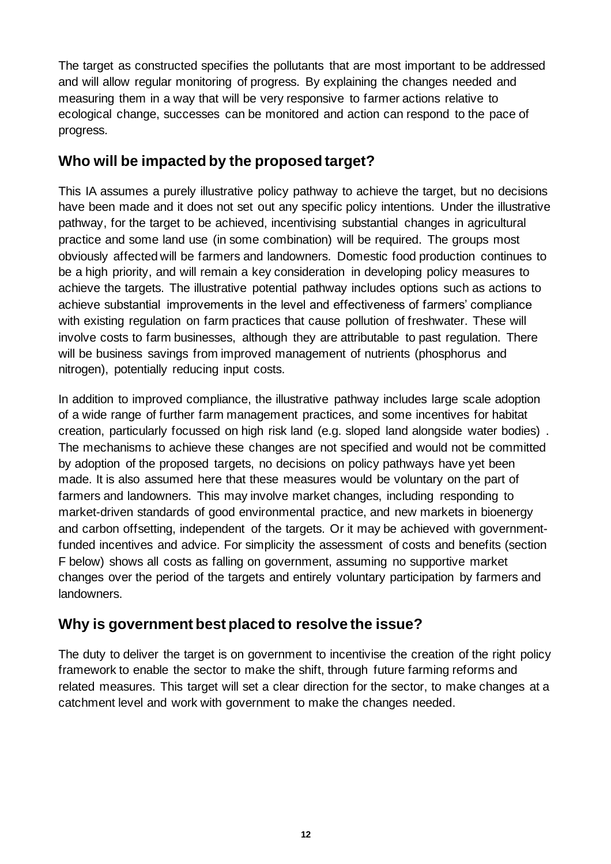The target as constructed specifies the pollutants that are most important to be addressed and will allow regular monitoring of progress. By explaining the changes needed and measuring them in a way that will be very responsive to farmer actions relative to ecological change, successes can be monitored and action can respond to the pace of progress.

### **Who will be impacted by the proposed target?**

This IA assumes a purely illustrative policy pathway to achieve the target, but no decisions have been made and it does not set out any specific policy intentions. Under the illustrative pathway, for the target to be achieved, incentivising substantial changes in agricultural practice and some land use (in some combination) will be required. The groups most obviously affected will be farmers and landowners. Domestic food production continues to be a high priority, and will remain a key consideration in developing policy measures to achieve the targets. The illustrative potential pathway includes options such as actions to achieve substantial improvements in the level and effectiveness of farmers' compliance with existing regulation on farm practices that cause pollution of freshwater. These will involve costs to farm businesses, although they are attributable to past regulation. There will be business savings from improved management of nutrients (phosphorus and nitrogen), potentially reducing input costs.

In addition to improved compliance, the illustrative pathway includes large scale adoption of a wide range of further farm management practices, and some incentives for habitat creation, particularly focussed on high risk land (e.g. sloped land alongside water bodies) . The mechanisms to achieve these changes are not specified and would not be committed by adoption of the proposed targets, no decisions on policy pathways have yet been made. It is also assumed here that these measures would be voluntary on the part of farmers and landowners. This may involve market changes, including responding to market-driven standards of good environmental practice, and new markets in bioenergy and carbon offsetting, independent of the targets. Or it may be achieved with governmentfunded incentives and advice. For simplicity the assessment of costs and benefits (section F below) shows all costs as falling on government, assuming no supportive market changes over the period of the targets and entirely voluntary participation by farmers and landowners.

#### **Why is government best placed to resolve the issue?**

The duty to deliver the target is on government to incentivise the creation of the right policy framework to enable the sector to make the shift, through future farming reforms and related measures. This target will set a clear direction for the sector, to make changes at a catchment level and work with government to make the changes needed.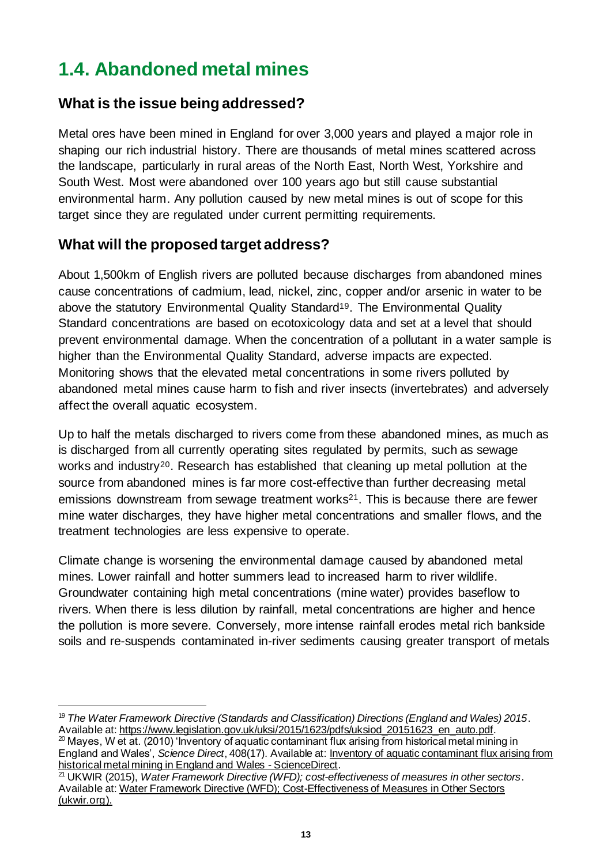# <span id="page-12-0"></span>**1.4. Abandoned metal mines**

### **What is the issue being addressed?**

Metal ores have been mined in England for over 3,000 years and played a major role in shaping our rich industrial history. There are thousands of metal mines scattered across the landscape, particularly in rural areas of the North East, North West, Yorkshire and South West. Most were abandoned over 100 years ago but still cause substantial environmental harm. Any pollution caused by new metal mines is out of scope for this target since they are regulated under current permitting requirements.

### **What will the proposed target address?**

About 1,500km of English rivers are polluted because discharges from abandoned mines cause concentrations of cadmium, lead, nickel, zinc, copper and/or arsenic in water to be above the statutory Environmental Quality Standard<sup>19</sup>. The Environmental Quality Standard concentrations are based on ecotoxicology data and set at a level that should prevent environmental damage. When the concentration of a pollutant in a water sample is higher than the Environmental Quality Standard, adverse impacts are expected. Monitoring shows that the elevated metal concentrations in some rivers polluted by abandoned metal mines cause harm to fish and river insects (invertebrates) and adversely affect the overall aquatic ecosystem.

Up to half the metals discharged to rivers come from these abandoned mines, as much as is discharged from all currently operating sites regulated by permits, such as sewage works and industry<sup>20</sup>. Research has established that cleaning up metal pollution at the source from abandoned mines is far more cost-effective than further decreasing metal emissions downstream from sewage treatment works<sup>21</sup>. This is because there are fewer mine water discharges, they have higher metal concentrations and smaller flows, and the treatment technologies are less expensive to operate.

Climate change is worsening the environmental damage caused by abandoned metal mines. Lower rainfall and hotter summers lead to increased harm to river wildlife. Groundwater containing high metal concentrations (mine water) provides baseflow to rivers. When there is less dilution by rainfall, metal concentrations are higher and hence the pollution is more severe. Conversely, more intense rainfall erodes metal rich bankside soils and re-suspends contaminated in-river sediments causing greater transport of metals

<sup>19</sup> *The Water Framework Directive (Standards and Classification) Directions (England and Wales) 2015*. Available at[: https://www.legislation.gov.uk/uksi/2015/1623/pdfs/uksiod\\_20151623\\_en\\_auto.pdf](https://www.legislation.gov.uk/uksi/2015/1623/pdfs/uksiod_20151623_en_auto.pdf).

<sup>20</sup> Mayes, W et at. (2010) 'Inventory of aquatic contaminant flux arising from historical metal mining in England and Wales', *Science Direct*, 408(17). Available at[: Inventory of aquatic contaminant flux arising from](https://www.sciencedirect.com/science/article/pii/S0048969710003992)  [historical metal mining in England and Wales -](https://www.sciencedirect.com/science/article/pii/S0048969710003992) ScienceDirect.

<sup>21</sup> UKWIR (2015), *Water Framework Directive (WFD); cost-effectiveness of measures in other sectors*. Available at[: Water Framework Directive \(WFD\); Cost-Effectiveness of Measures in Other Sectors](https://ukwir.org/eng/reports/15-RG-07-34/129438/Water-Framework-Directive-WFD-CostEffectiveness-of-Measures-in-Other-Sectors)  [\(ukwir.org\)](https://ukwir.org/eng/reports/15-RG-07-34/129438/Water-Framework-Directive-WFD-CostEffectiveness-of-Measures-in-Other-Sectors).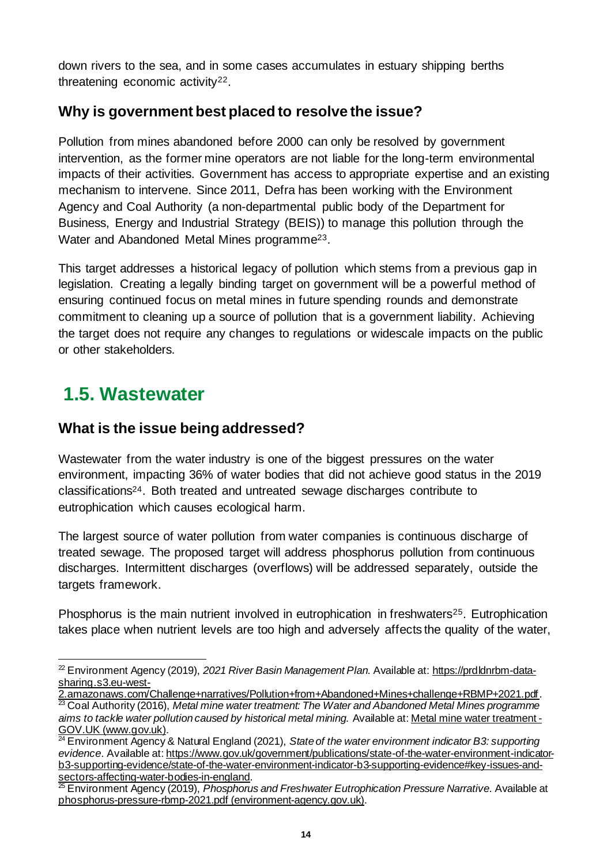down rivers to the sea, and in some cases accumulates in estuary shipping berths threatening economic activity22.

### **Why is government best placed to resolve the issue?**

Pollution from mines abandoned before 2000 can only be resolved by government intervention, as the former mine operators are not liable for the long-term environmental impacts of their activities. Government has access to appropriate expertise and an existing mechanism to intervene. Since 2011, Defra has been working with the Environment Agency and Coal Authority (a non-departmental public body of the Department for Business, Energy and Industrial Strategy (BEIS)) to manage this pollution through the Water and Abandoned Metal Mines programme23.

This target addresses a historical legacy of pollution which stems from a previous gap in legislation. Creating a legally binding target on government will be a powerful method of ensuring continued focus on metal mines in future spending rounds and demonstrate commitment to cleaning up a source of pollution that is a government liability. Achieving the target does not require any changes to regulations or widescale impacts on the public or other stakeholders.

# <span id="page-13-0"></span>**1.5. Wastewater**

### **What is the issue being addressed?**

Wastewater from the water industry is one of the biggest pressures on the water environment, impacting 36% of water bodies that did not achieve good status in the 2019 classifications24. Both treated and untreated sewage discharges contribute to eutrophication which causes ecological harm.

The largest source of water pollution from water companies is continuous discharge of treated sewage. The proposed target will address phosphorus pollution from continuous discharges. Intermittent discharges (overflows) will be addressed separately, outside the targets framework.

Phosphorus is the main nutrient involved in eutrophication in freshwaters<sup>25</sup>. Eutrophication takes place when nutrient levels are too high and adversely affects the quality of the water,

<sup>22</sup> Environment Agency (2019), *2021 River Basin Management Plan*. Available at[: https://prdldnrbm-data](https://prdldnrbm-data-sharing.s3.eu-west-2.amazonaws.com/Challenge+narratives/Pollution+from+Abandoned+Mines+challenge+RBMP+2021.pdf)[sharing.s3.eu-west-](https://prdldnrbm-data-sharing.s3.eu-west-2.amazonaws.com/Challenge+narratives/Pollution+from+Abandoned+Mines+challenge+RBMP+2021.pdf)

[<sup>2.</sup>amazonaws.com/Challenge+narratives/Pollution+from+Abandoned+Mines+challenge+RBMP+2021.pdf](https://prdldnrbm-data-sharing.s3.eu-west-2.amazonaws.com/Challenge+narratives/Pollution+from+Abandoned+Mines+challenge+RBMP+2021.pdf).

<sup>23</sup> Coal Authority (2016), *Metal mine water treatment: The Water and Abandoned Metal Mines programme aims to tackle water pollution caused by historical metal mining.* Available at[: Metal mine water treatment -](https://www.gov.uk/government/collections/metal-mine-water-treatment) [GOV.UK \(www.gov.uk\)](https://www.gov.uk/government/collections/metal-mine-water-treatment).

<sup>24</sup> Environment Agency & Natural England (2021), *State of the water environment indicator B3: supporting evidence*. Available at[: https://www.gov.uk/government/publications/state-of-the-water-environment-indicator](https://www.gov.uk/government/publications/state-of-the-water-environment-indicator-b3-supporting-evidence/state-of-the-water-environment-indicator-b3-supporting-evidence#key-issues-and-sectors-affecting-water-bodies-in-england)[b3-supporting-evidence/state-of-the-water-environment-indicator-b3-supporting-evidence#key-issues-and](https://www.gov.uk/government/publications/state-of-the-water-environment-indicator-b3-supporting-evidence/state-of-the-water-environment-indicator-b3-supporting-evidence#key-issues-and-sectors-affecting-water-bodies-in-england)[sectors-affecting-water-bodies-in-england](https://www.gov.uk/government/publications/state-of-the-water-environment-indicator-b3-supporting-evidence/state-of-the-water-environment-indicator-b3-supporting-evidence#key-issues-and-sectors-affecting-water-bodies-in-england).

<sup>25</sup> Environment Agency (2019), *Phosphorus and Freshwater Eutrophication Pressure Narrative*. Available at [phosphorus-pressure-rbmp-2021.pdf \(environment-agency.gov.uk\)](https://consult.environment-agency.gov.uk/++preview++/environment-and-business/challenges-and-choices/user_uploads/phosphorus-pressure-rbmp-2021.pdf).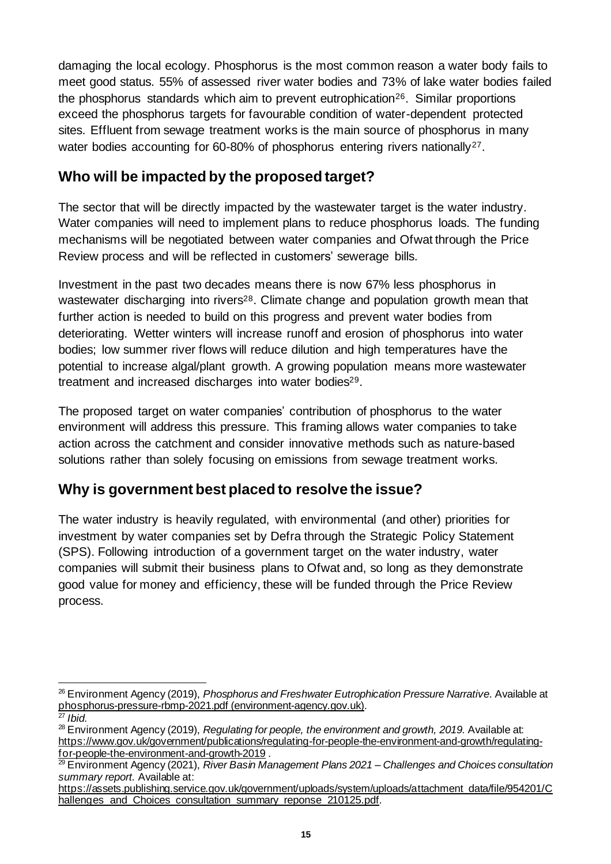damaging the local ecology. Phosphorus is the most common reason a water body fails to meet good status. 55% of assessed river water bodies and 73% of lake water bodies failed the phosphorus standards which aim to prevent eutrophication<sup>26</sup>. Similar proportions exceed the phosphorus targets for favourable condition of water-dependent protected sites. Effluent from sewage treatment works is the main source of phosphorus in many water bodies accounting for 60-80% of phosphorus entering rivers nationally<sup>27</sup>.

### **Who will be impacted by the proposed target?**

The sector that will be directly impacted by the wastewater target is the water industry. Water companies will need to implement plans to reduce phosphorus loads. The funding mechanisms will be negotiated between water companies and Ofwat through the Price Review process and will be reflected in customers' sewerage bills.

Investment in the past two decades means there is now 67% less phosphorus in wastewater discharging into rivers<sup>28</sup>. Climate change and population growth mean that further action is needed to build on this progress and prevent water bodies from deteriorating. Wetter winters will increase runoff and erosion of phosphorus into water bodies; low summer river flows will reduce dilution and high temperatures have the potential to increase algal/plant growth. A growing population means more wastewater treatment and increased discharges into water bodies<sup>29</sup>.

The proposed target on water companies' contribution of phosphorus to the water environment will address this pressure. This framing allows water companies to take action across the catchment and consider innovative methods such as nature-based solutions rather than solely focusing on emissions from sewage treatment works.

### **Why is government best placed to resolve the issue?**

The water industry is heavily regulated, with environmental (and other) priorities for investment by water companies set by Defra through the Strategic Policy Statement (SPS). Following introduction of a government target on the water industry, water companies will submit their business plans to Ofwat and, so long as they demonstrate good value for money and efficiency, these will be funded through the Price Review process.

<sup>26</sup> Environment Agency (2019), *Phosphorus and Freshwater Eutrophication Pressure Narrative*. Available at [phosphorus-pressure-rbmp-2021.pdf \(environment-agency.gov.uk\)](https://consult.environment-agency.gov.uk/++preview++/environment-and-business/challenges-and-choices/user_uploads/phosphorus-pressure-rbmp-2021.pdf).

<sup>27</sup> *Ibid.*

<sup>&</sup>lt;sup>28</sup> Environment Agency (2019), *Regulating for people, the environment and growth, 2019.* Available at: [https://www.gov.uk/government/publications/regulating-for-people-the-environment-and-growth/regulating](https://www.gov.uk/government/publications/regulating-for-people-the-environment-and-growth/regulating-for-people-the-environment-and-growth-2019)[for-people-the-environment-and-growth-2019](https://www.gov.uk/government/publications/regulating-for-people-the-environment-and-growth/regulating-for-people-the-environment-and-growth-2019) .

<sup>29</sup> Environment Agency (2021), *River Basin Management Plans 2021 – Challenges and Choices consultation summary report.* Available at:

[https://assets.publishing.service.gov.uk/government/uploads/system/uploads/attachment\\_data/file/954201/C](https://assets.publishing.service.gov.uk/government/uploads/system/uploads/attachment_data/file/954201/Challenges_and_Choices_consultation_summary_reponse_210125.pdf) hallenges and Choices consultation summary reponse 210125.pdf.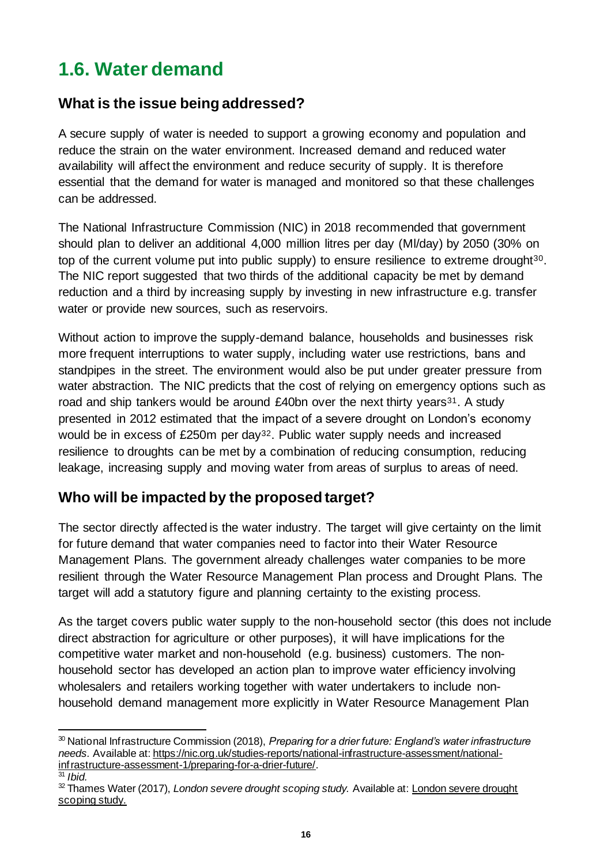# <span id="page-15-0"></span>**1.6. Water demand**

### **What is the issue being addressed?**

A secure supply of water is needed to support a growing economy and population and reduce the strain on the water environment. Increased demand and reduced water availability will affect the environment and reduce security of supply. It is therefore essential that the demand for water is managed and monitored so that these challenges can be addressed.

The National Infrastructure Commission (NIC) in 2018 recommended that government should plan to deliver an additional 4,000 million litres per day (Ml/day) by 2050 (30% on top of the current volume put into public supply) to ensure resilience to extreme drought<sup>30</sup>. The NIC report suggested that two thirds of the additional capacity be met by demand reduction and a third by increasing supply by investing in new infrastructure e.g. transfer water or provide new sources, such as reservoirs.

Without action to improve the supply-demand balance, households and businesses risk more frequent interruptions to water supply, including water use restrictions, bans and standpipes in the street. The environment would also be put under greater pressure from water abstraction. The NIC predicts that the cost of relying on emergency options such as road and ship tankers would be around £40bn over the next thirty years<sup>31</sup>. A study presented in 2012 estimated that the impact of a severe drought on London's economy would be in excess of £250m per day<sup>32</sup>. Public water supply needs and increased resilience to droughts can be met by a combination of reducing consumption, reducing leakage, increasing supply and moving water from areas of surplus to areas of need.

## **Who will be impacted by the proposed target?**

The sector directly affected is the water industry. The target will give certainty on the limit for future demand that water companies need to factor into their Water Resource Management Plans. The government already challenges water companies to be more resilient through the Water Resource Management Plan process and Drought Plans. The target will add a statutory figure and planning certainty to the existing process.

As the target covers public water supply to the non-household sector (this does not include direct abstraction for agriculture or other purposes), it will have implications for the competitive water market and non-household (e.g. business) customers. The nonhousehold sector has developed an action plan to improve water efficiency involving wholesalers and retailers working together with water undertakers to include nonhousehold demand management more explicitly in Water Resource Management Plan

<sup>30</sup> National Infrastructure Commission (2018), *Preparing for a drier future: England's water infrastructure needs.* Available at[: https://nic.org.uk/studies-reports/national-infrastructure-assessment/national](https://nic.org.uk/studies-reports/national-infrastructure-assessment/national-infrastructure-assessment-1/preparing-for-a-drier-future/)[infrastructure-assessment-1/preparing-for-a-drier-future/](https://nic.org.uk/studies-reports/national-infrastructure-assessment/national-infrastructure-assessment-1/preparing-for-a-drier-future/).

<sup>31</sup> *Ibid.* 

<sup>32</sup> Thames Water (2017), *London severe drought scoping study.* Available at[: London severe drought](https://www.london.gov.uk/sites/default/files/severe_drought_scoping_study_report_2017.pdf)  [scoping study](https://www.london.gov.uk/sites/default/files/severe_drought_scoping_study_report_2017.pdf).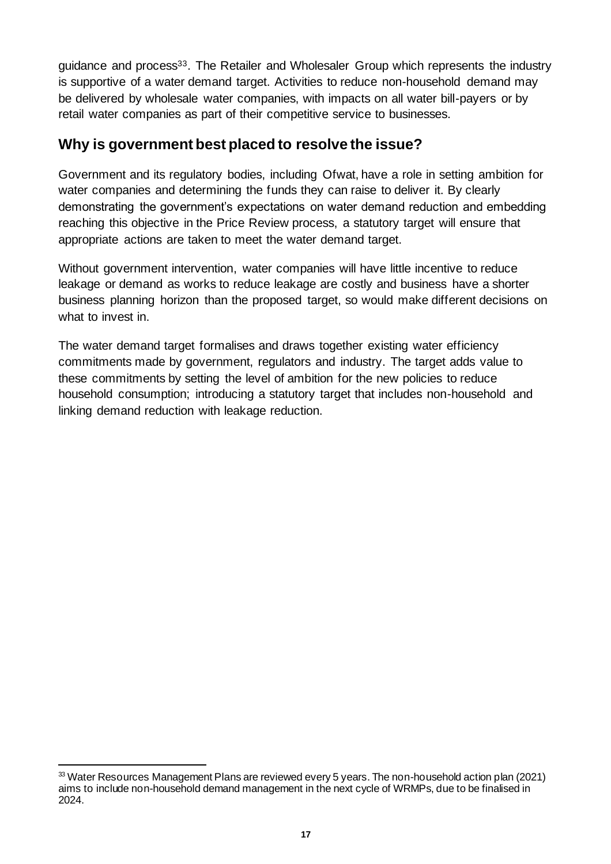guidance and process<sup>33</sup>. The Retailer and Wholesaler Group which represents the industry is supportive of a water demand target. Activities to reduce non-household demand may be delivered by wholesale water companies, with impacts on all water bill-payers or by retail water companies as part of their competitive service to businesses.

#### **Why is government best placed to resolve the issue?**

Government and its regulatory bodies, including Ofwat, have a role in setting ambition for water companies and determining the funds they can raise to deliver it. By clearly demonstrating the government's expectations on water demand reduction and embedding reaching this objective in the Price Review process, a statutory target will ensure that appropriate actions are taken to meet the water demand target.

Without government intervention, water companies will have little incentive to reduce leakage or demand as works to reduce leakage are costly and business have a shorter business planning horizon than the proposed target, so would make different decisions on what to invest in.

The water demand target formalises and draws together existing water efficiency commitments made by government, regulators and industry. The target adds value to these commitments by setting the level of ambition for the new policies to reduce household consumption; introducing a statutory target that includes non-household and linking demand reduction with leakage reduction.

<sup>33</sup> Water Resources Management Plans are reviewed every 5 years. The non-household action plan (2021) aims to include non-household demand management in the next cycle of WRMPs, due to be finalised in 2024.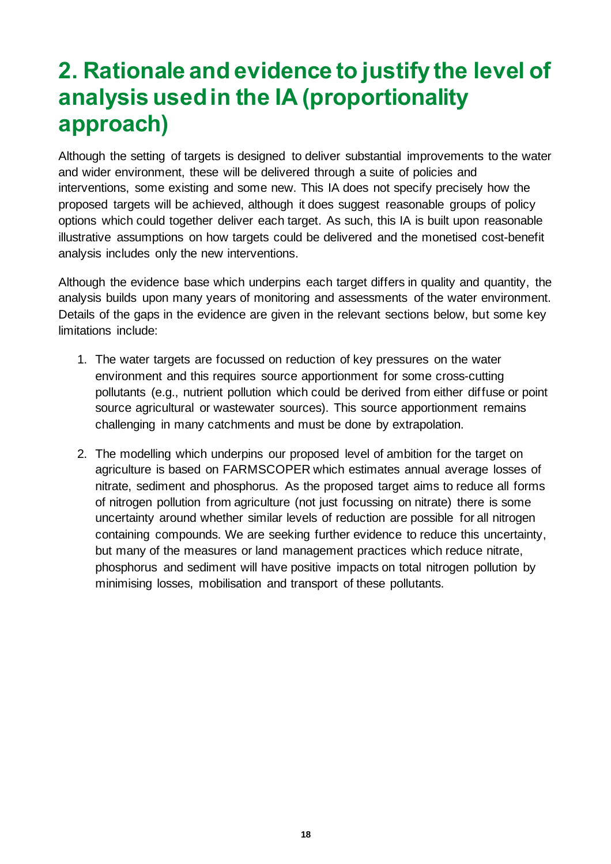# <span id="page-17-0"></span>**2. Rationale and evidence to justify the level of analysis used in the IA (proportionality approach)**

Although the setting of targets is designed to deliver substantial improvements to the water and wider environment, these will be delivered through a suite of policies and interventions, some existing and some new. This IA does not specify precisely how the proposed targets will be achieved, although it does suggest reasonable groups of policy options which could together deliver each target. As such, this IA is built upon reasonable illustrative assumptions on how targets could be delivered and the monetised cost-benefit analysis includes only the new interventions.

Although the evidence base which underpins each target differs in quality and quantity, the analysis builds upon many years of monitoring and assessments of the water environment. Details of the gaps in the evidence are given in the relevant sections below, but some key limitations include:

- 1. The water targets are focussed on reduction of key pressures on the water environment and this requires source apportionment for some cross-cutting pollutants (e.g., nutrient pollution which could be derived from either diffuse or point source agricultural or wastewater sources). This source apportionment remains challenging in many catchments and must be done by extrapolation.
- 2. The modelling which underpins our proposed level of ambition for the target on agriculture is based on FARMSCOPER which estimates annual average losses of nitrate, sediment and phosphorus. As the proposed target aims to reduce all forms of nitrogen pollution from agriculture (not just focussing on nitrate) there is some uncertainty around whether similar levels of reduction are possible for all nitrogen containing compounds. We are seeking further evidence to reduce this uncertainty, but many of the measures or land management practices which reduce nitrate, phosphorus and sediment will have positive impacts on total nitrogen pollution by minimising losses, mobilisation and transport of these pollutants.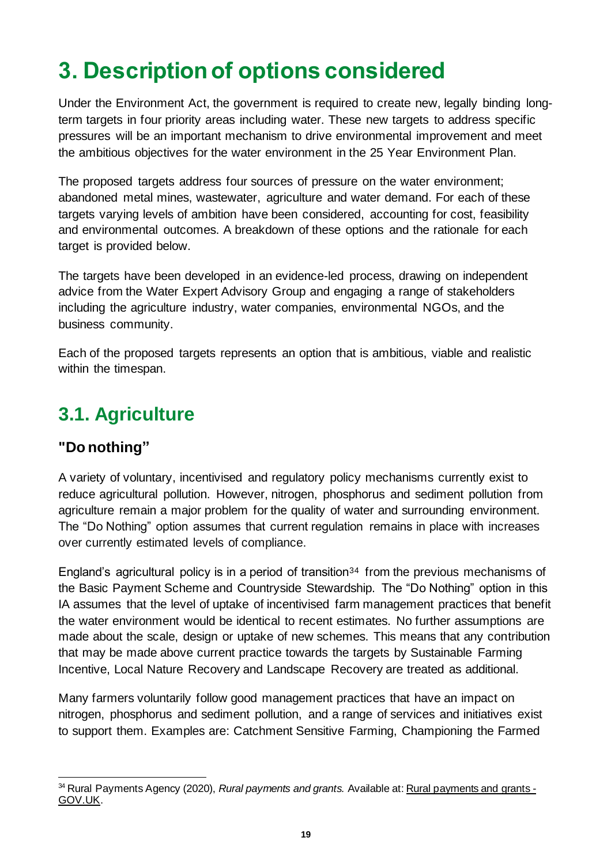# <span id="page-18-0"></span>**3. Description of options considered**

Under the Environment Act, the government is required to create new, legally binding longterm targets in four priority areas including water. These new targets to address specific pressures will be an important mechanism to drive environmental improvement and meet the ambitious objectives for the water environment in the 25 Year Environment Plan.

The proposed targets address four sources of pressure on the water environment; abandoned metal mines, wastewater, agriculture and water demand. For each of these targets varying levels of ambition have been considered, accounting for cost, feasibility and environmental outcomes. A breakdown of these options and the rationale for each target is provided below.

The targets have been developed in an evidence-led process, drawing on independent advice from the Water Expert Advisory Group and engaging a range of stakeholders including the agriculture industry, water companies, environmental NGOs, and the business community.

Each of the proposed targets represents an option that is ambitious, viable and realistic within the timespan.

# <span id="page-18-1"></span>**3.1. Agriculture**

## **"Do nothing"**

A variety of voluntary, incentivised and regulatory policy mechanisms currently exist to reduce agricultural pollution. However, nitrogen, phosphorus and sediment pollution from agriculture remain a major problem for the quality of water and surrounding environment. The "Do Nothing" option assumes that current regulation remains in place with increases over currently estimated levels of compliance.

England's agricultural policy is in a period of transition<sup>34</sup> from the previous mechanisms of the Basic Payment Scheme and Countryside Stewardship. The "Do Nothing" option in this IA assumes that the level of uptake of incentivised farm management practices that benefit the water environment would be identical to recent estimates. No further assumptions are made about the scale, design or uptake of new schemes. This means that any contribution that may be made above current practice towards the targets by Sustainable Farming Incentive, Local Nature Recovery and Landscape Recovery are treated as additional.

Many farmers voluntarily follow good management practices that have an impact on nitrogen, phosphorus and sediment pollution, and a range of services and initiatives exist to support them. Examples are: Catchment Sensitive Farming, Championing the Farmed

<sup>&</sup>lt;sup>34</sup> Rural Payments Agency (2020), *Rural payments and grants.* Available at[: Rural payments and grants -](https://www.gov.uk/government/collections/rural-payments-and-grants) [GOV.UK.](https://www.gov.uk/government/collections/rural-payments-and-grants)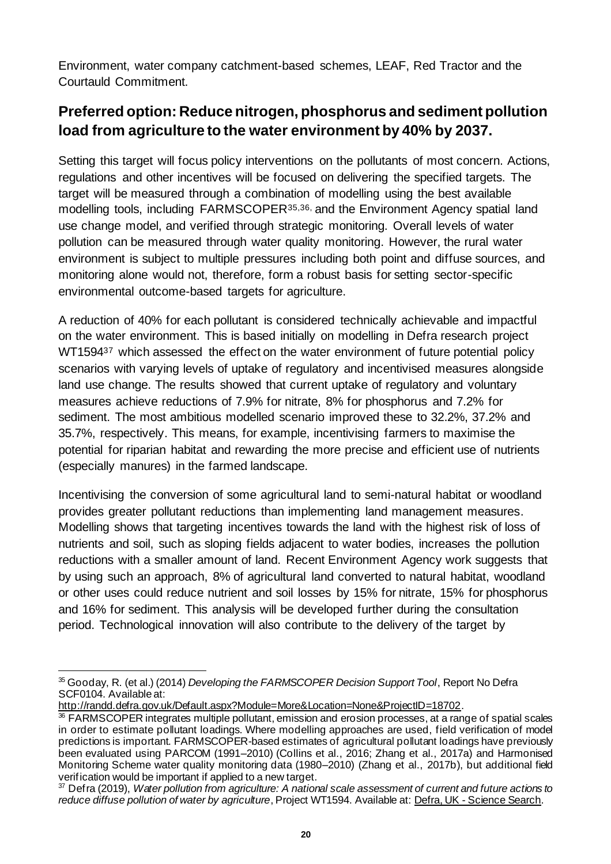Environment, water company catchment-based schemes, LEAF, Red Tractor and the Courtauld Commitment.

## **Preferred option: Reduce nitrogen, phosphorus and sediment pollution load from agriculture to the water environment by 40% by 2037.**

Setting this target will focus policy interventions on the pollutants of most concern. Actions, regulations and other incentives will be focused on delivering the specified targets. The target will be measured through a combination of modelling using the best available modelling tools, including FARMSCOPER35,36, and the Environment Agency spatial land use change model, and verified through strategic monitoring. Overall levels of water pollution can be measured through water quality monitoring. However, the rural water environment is subject to multiple pressures including both point and diffuse sources, and monitoring alone would not, therefore, form a robust basis for setting sector-specific environmental outcome-based targets for agriculture.

A reduction of 40% for each pollutant is considered technically achievable and impactful on the water environment. This is based initially on modelling in Defra research project WT1594<sup>37</sup> which assessed the effect on the water environment of future potential policy scenarios with varying levels of uptake of regulatory and incentivised measures alongside land use change. The results showed that current uptake of regulatory and voluntary measures achieve reductions of 7.9% for nitrate, 8% for phosphorus and 7.2% for sediment. The most ambitious modelled scenario improved these to 32.2%, 37.2% and 35.7%, respectively. This means, for example, incentivising farmers to maximise the potential for riparian habitat and rewarding the more precise and efficient use of nutrients (especially manures) in the farmed landscape.

Incentivising the conversion of some agricultural land to semi-natural habitat or woodland provides greater pollutant reductions than implementing land management measures. Modelling shows that targeting incentives towards the land with the highest risk of loss of nutrients and soil, such as sloping fields adjacent to water bodies, increases the pollution reductions with a smaller amount of land. Recent Environment Agency work suggests that by using such an approach, 8% of agricultural land converted to natural habitat, woodland or other uses could reduce nutrient and soil losses by 15% for nitrate, 15% for phosphorus and 16% for sediment. This analysis will be developed further during the consultation period. Technological innovation will also contribute to the delivery of the target by

<http://randd.defra.gov.uk/Default.aspx?Module=More&Location=None&ProjectID=18702>.

<sup>35</sup> Gooday, R. (et al.) (2014) *Developing the FARMSCOPER Decision Support Tool*, Report No Defra SCF0104. Available at:

<sup>36</sup> FARMSCOPER integrates multiple pollutant, emission and erosion processes, at a range of spatial scales in order to estimate pollutant loadings. Where modelling approaches are used, field verification of model predictions is important. FARMSCOPER-based estimates of agricultural pollutant loadings have previously been evaluated using PARCOM (1991–2010) (Collins et al., 2016; Zhang et al., 2017a) and Harmonised Monitoring Scheme water quality monitoring data (1980–2010) (Zhang et al., 2017b), but additional field verification would be important if applied to a new target.

<sup>37</sup> Defra (2019), *Water pollution from agriculture: A national scale assessment of current and future actions to reduce diffuse pollution of water by agriculture*, Project WT1594. Available at: Defra, UK - [Science Search](http://randd.defra.gov.uk/Default.aspx?Menu=Menu&Module=More&Location=None&ProjectID=20001&FromSearch=Y&Publisher=1&SearchText=Wt1594&SortString=ProjectCode&SortOrder=Asc&Paging=10#Description).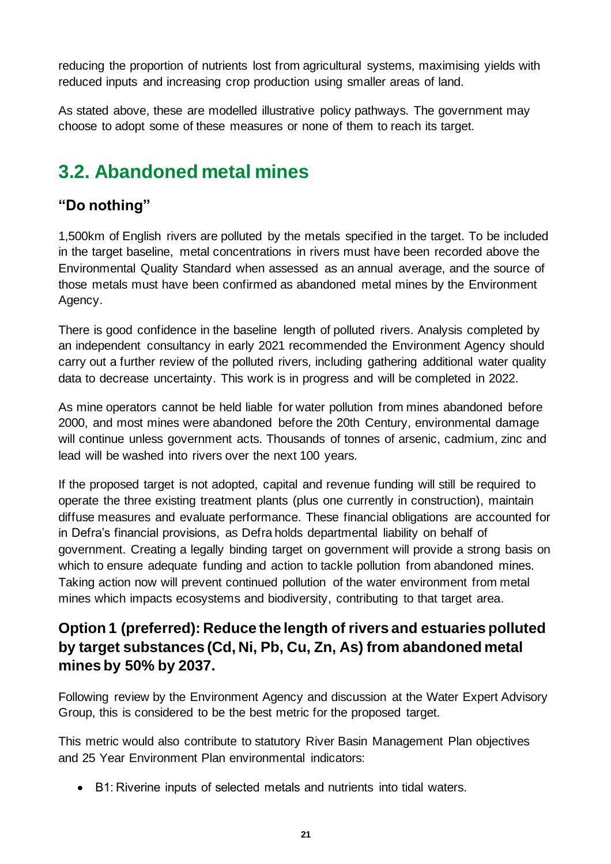reducing the proportion of nutrients lost from agricultural systems, maximising yields with reduced inputs and increasing crop production using smaller areas of land.

As stated above, these are modelled illustrative policy pathways. The government may choose to adopt some of these measures or none of them to reach its target.

# <span id="page-20-0"></span>**3.2. Abandoned metal mines**

## **"Do nothing"**

1,500km of English rivers are polluted by the metals specified in the target. To be included in the target baseline, metal concentrations in rivers must have been recorded above the Environmental Quality Standard when assessed as an annual average, and the source of those metals must have been confirmed as abandoned metal mines by the Environment Agency.

There is good confidence in the baseline length of polluted rivers. Analysis completed by an independent consultancy in early 2021 recommended the Environment Agency should carry out a further review of the polluted rivers, including gathering additional water quality data to decrease uncertainty. This work is in progress and will be completed in 2022.

As mine operators cannot be held liable for water pollution from mines abandoned before 2000, and most mines were abandoned before the 20th Century, environmental damage will continue unless government acts. Thousands of tonnes of arsenic, cadmium, zinc and lead will be washed into rivers over the next 100 years.

If the proposed target is not adopted, capital and revenue funding will still be required to operate the three existing treatment plants (plus one currently in construction), maintain diffuse measures and evaluate performance. These financial obligations are accounted for in Defra's financial provisions, as Defra holds departmental liability on behalf of government. Creating a legally binding target on government will provide a strong basis on which to ensure adequate funding and action to tackle pollution from abandoned mines. Taking action now will prevent continued pollution of the water environment from metal mines which impacts ecosystems and biodiversity, contributing to that target area.

### **Option 1 (preferred): Reduce the length of rivers and estuaries polluted by target substances (Cd, Ni, Pb, Cu, Zn, As) from abandoned metal mines by 50% by 2037.**

Following review by the Environment Agency and discussion at the Water Expert Advisory Group, this is considered to be the best metric for the proposed target.

This metric would also contribute to statutory River Basin Management Plan objectives and 25 Year Environment Plan environmental indicators:

• B1: Riverine inputs of selected metals and nutrients into tidal waters.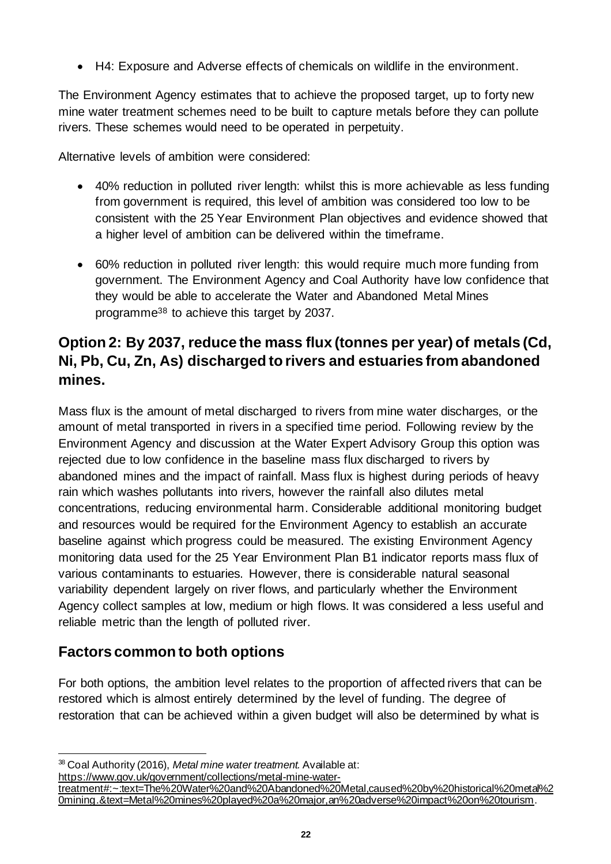• H4: Exposure and Adverse effects of chemicals on wildlife in the environment.

The Environment Agency estimates that to achieve the proposed target, up to forty new mine water treatment schemes need to be built to capture metals before they can pollute rivers. These schemes would need to be operated in perpetuity.

Alternative levels of ambition were considered:

- 40% reduction in polluted river length: whilst this is more achievable as less funding from government is required, this level of ambition was considered too low to be consistent with the 25 Year Environment Plan objectives and evidence showed that a higher level of ambition can be delivered within the timeframe.
- 60% reduction in polluted river length: this would require much more funding from government. The Environment Agency and Coal Authority have low confidence that they would be able to accelerate the Water and Abandoned Metal Mines programme<sup>38</sup> to achieve this target by 2037.

## **Option 2: By 2037, reduce the mass flux (tonnes per year) of metals (Cd, Ni, Pb, Cu, Zn, As) discharged to rivers and estuaries from abandoned mines.**

Mass flux is the amount of metal discharged to rivers from mine water discharges, or the amount of metal transported in rivers in a specified time period. Following review by the Environment Agency and discussion at the Water Expert Advisory Group this option was rejected due to low confidence in the baseline mass flux discharged to rivers by abandoned mines and the impact of rainfall. Mass flux is highest during periods of heavy rain which washes pollutants into rivers, however the rainfall also dilutes metal concentrations, reducing environmental harm. Considerable additional monitoring budget and resources would be required for the Environment Agency to establish an accurate baseline against which progress could be measured. The existing Environment Agency monitoring data used for the 25 Year Environment Plan B1 indicator reports mass flux of various contaminants to estuaries. However, there is considerable natural seasonal variability dependent largely on river flows, and particularly whether the Environment Agency collect samples at low, medium or high flows. It was considered a less useful and reliable metric than the length of polluted river.

### **Factors common to both options**

For both options, the ambition level relates to the proportion of affected rivers that can be restored which is almost entirely determined by the level of funding. The degree of restoration that can be achieved within a given budget will also be determined by what is

<sup>38</sup> Coal Authority (2016), *Metal mine water treatment.* Available at:

[https://www.gov.uk/government/collections/metal-mine-water-](https://www.gov.uk/government/collections/metal-mine-water-treatment#:~:text=The%20Water%20and%20Abandoned%20Metal,caused%20by%20historical%20metal%20mining.&text=Metal%20mines%20played%20a%20major,an%20adverse%20impact%20on%20tourism)

[treatment#:~:text=The%20Water%20and%20Abandoned%20Metal,caused%20by%20historical%20metal%2](https://www.gov.uk/government/collections/metal-mine-water-treatment#:~:text=The%20Water%20and%20Abandoned%20Metal,caused%20by%20historical%20metal%20mining.&text=Metal%20mines%20played%20a%20major,an%20adverse%20impact%20on%20tourism) [0mining.&text=Metal%20mines%20played%20a%20major,an%20adverse%20impact%20on%20tourism](https://www.gov.uk/government/collections/metal-mine-water-treatment#:~:text=The%20Water%20and%20Abandoned%20Metal,caused%20by%20historical%20metal%20mining.&text=Metal%20mines%20played%20a%20major,an%20adverse%20impact%20on%20tourism).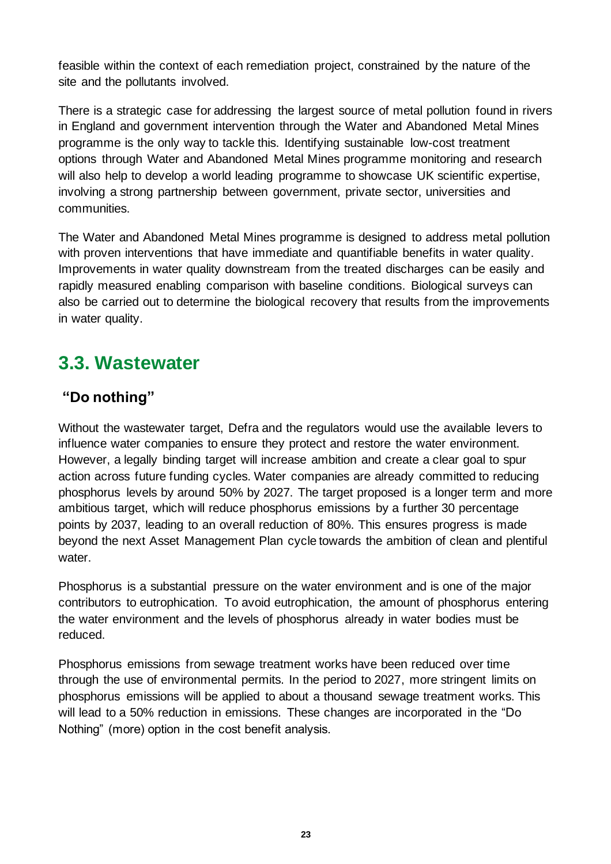feasible within the context of each remediation project, constrained by the nature of the site and the pollutants involved.

There is a strategic case for addressing the largest source of metal pollution found in rivers in England and government intervention through the Water and Abandoned Metal Mines programme is the only way to tackle this. Identifying sustainable low-cost treatment options through Water and Abandoned Metal Mines programme monitoring and research will also help to develop a world leading programme to showcase UK scientific expertise, involving a strong partnership between government, private sector, universities and communities.

The Water and Abandoned Metal Mines programme is designed to address metal pollution with proven interventions that have immediate and quantifiable benefits in water quality. Improvements in water quality downstream from the treated discharges can be easily and rapidly measured enabling comparison with baseline conditions. Biological surveys can also be carried out to determine the biological recovery that results from the improvements in water quality.

# <span id="page-22-0"></span>**3.3. Wastewater**

### **"Do nothing"**

Without the wastewater target, Defra and the regulators would use the available levers to influence water companies to ensure they protect and restore the water environment. However, a legally binding target will increase ambition and create a clear goal to spur action across future funding cycles. Water companies are already committed to reducing phosphorus levels by around 50% by 2027. The target proposed is a longer term and more ambitious target, which will reduce phosphorus emissions by a further 30 percentage points by 2037, leading to an overall reduction of 80%. This ensures progress is made beyond the next Asset Management Plan cycle towards the ambition of clean and plentiful water.

Phosphorus is a substantial pressure on the water environment and is one of the major contributors to eutrophication. To avoid eutrophication, the amount of phosphorus entering the water environment and the levels of phosphorus already in water bodies must be reduced.

Phosphorus emissions from sewage treatment works have been reduced over time through the use of environmental permits. In the period to 2027, more stringent limits on phosphorus emissions will be applied to about a thousand sewage treatment works. This will lead to a 50% reduction in emissions. These changes are incorporated in the "Do Nothing" (more) option in the cost benefit analysis.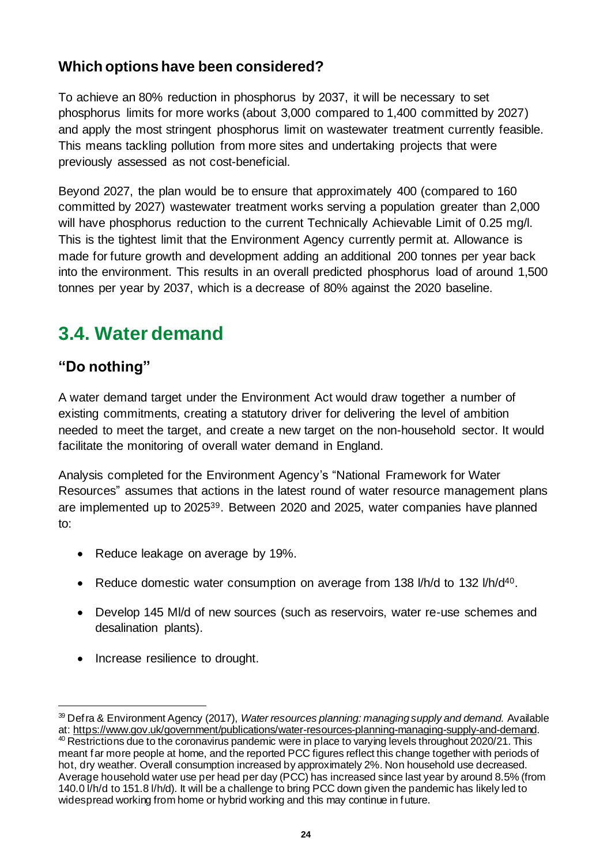### **Which options have been considered?**

To achieve an 80% reduction in phosphorus by 2037, it will be necessary to set phosphorus limits for more works (about 3,000 compared to 1,400 committed by 2027) and apply the most stringent phosphorus limit on wastewater treatment currently feasible. This means tackling pollution from more sites and undertaking projects that were previously assessed as not cost-beneficial.

Beyond 2027, the plan would be to ensure that approximately 400 (compared to 160 committed by 2027) wastewater treatment works serving a population greater than 2,000 will have phosphorus reduction to the current Technically Achievable Limit of 0.25 mg/l. This is the tightest limit that the Environment Agency currently permit at. Allowance is made for future growth and development adding an additional 200 tonnes per year back into the environment. This results in an overall predicted phosphorus load of around 1,500 tonnes per year by 2037, which is a decrease of 80% against the 2020 baseline.

# <span id="page-23-0"></span>**3.4. Water demand**

## **"Do nothing"**

A water demand target under the Environment Act would draw together a number of existing commitments, creating a statutory driver for delivering the level of ambition needed to meet the target, and create a new target on the non-household sector. It would facilitate the monitoring of overall water demand in England.

Analysis completed for the Environment Agency's "National Framework for Water Resources" assumes that actions in the latest round of water resource management plans are implemented up to 202539. Between 2020 and 2025, water companies have planned to:

- Reduce leakage on average by 19%.
- Reduce domestic water consumption on average from 138 I/h/d to 132 I/h/d<sup>40</sup>.
- Develop 145 Ml/d of new sources (such as reservoirs, water re-use schemes and desalination plants).
- Increase resilience to drought.

<sup>39</sup> Defra & Environment Agency (2017), *Water resources planning: managing supply and demand.* Available at[: https://www.gov.uk/government/publications/water-resources-planning-managing-supply-and-demand](https://www.gov.uk/government/publications/water-resources-planning-managing-supply-and-demand).

<sup>40</sup> Restrictions due to the coronavirus pandemic were in place to varying levels throughout 2020/21. This meant far more people at home, and the reported PCC figures reflect this change together with periods of hot, dry weather. Overall consumption increased by approximately 2%. Non household use decreased. Average household water use per head per day (PCC) has increased since last year by around 8.5% (from 140.0 l/h/d to 151.8 l/h/d). It will be a challenge to bring PCC down given the pandemic has likely led to widespread working from home or hybrid working and this may continue in future.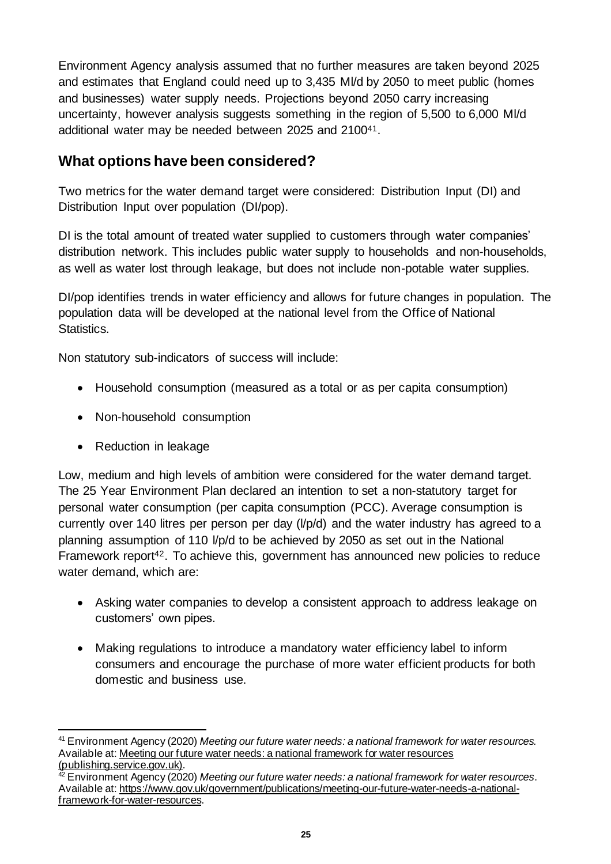Environment Agency analysis assumed that no further measures are taken beyond 2025 and estimates that England could need up to 3,435 Ml/d by 2050 to meet public (homes and businesses) water supply needs. Projections beyond 2050 carry increasing uncertainty, however analysis suggests something in the region of 5,500 to 6,000 Ml/d additional water may be needed between 2025 and 210041.

### **What options have been considered?**

Two metrics for the water demand target were considered: Distribution Input (DI) and Distribution Input over population (DI/pop).

DI is the total amount of treated water supplied to customers through water companies' distribution network. This includes public water supply to households and non-households, as well as water lost through leakage, but does not include non-potable water supplies.

DI/pop identifies trends in water efficiency and allows for future changes in population. The population data will be developed at the national level from the Office of National Statistics.

Non statutory sub-indicators of success will include:

- Household consumption (measured as a total or as per capita consumption)
- Non-household consumption
- Reduction in leakage

Low, medium and high levels of ambition were considered for the water demand target. The 25 Year Environment Plan declared an intention to set a non-statutory target for personal water consumption (per capita consumption (PCC). Average consumption is currently over 140 litres per person per day (l/p/d) and the water industry has agreed to a planning assumption of 110 l/p/d to be achieved by 2050 as set out in the National Framework report<sup>42</sup>. To achieve this, government has announced new policies to reduce water demand, which are:

- Asking water companies to develop a consistent approach to address leakage on customers' own pipes.
- Making regulations to introduce a mandatory water efficiency label to inform consumers and encourage the purchase of more water efficient products for both domestic and business use.

<sup>41</sup> Environment Agency (2020) *Meeting our future water needs: a national framework for water resources.*  Available at: Meeting our future water needs: a national framework for water resources [\(publishing.service.gov.uk\)](https://assets.publishing.service.gov.uk/government/uploads/system/uploads/attachment_data/file/872759/National_Framework_for_water_resources_main_report.pdf).

<sup>42</sup> Environment Agency (2020) *Meeting our future water needs: a national framework for water resources*. Available at[: https://www.gov.uk/government/publications/meeting-our-future-water-needs-a-national](https://www.gov.uk/government/publications/meeting-our-future-water-needs-a-national-framework-for-water-resources)[framework-for-water-resources](https://www.gov.uk/government/publications/meeting-our-future-water-needs-a-national-framework-for-water-resources).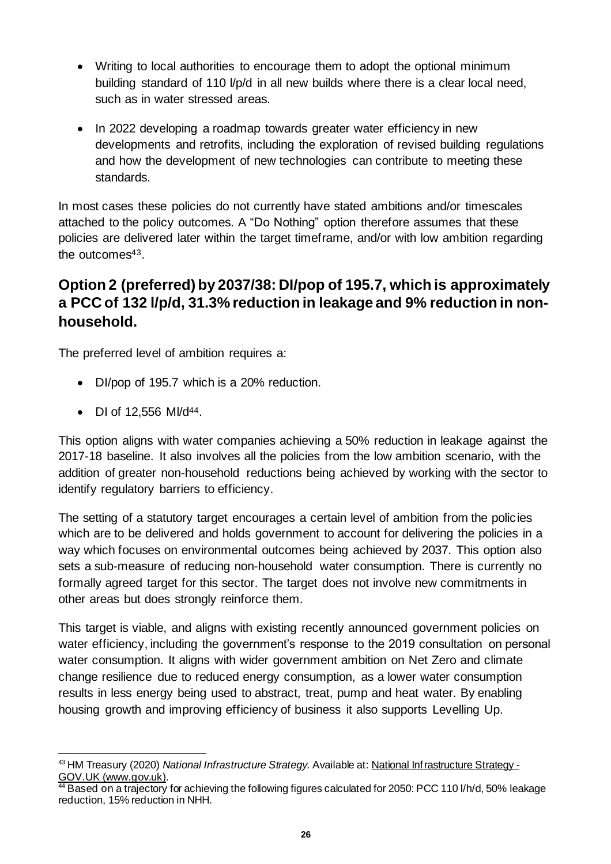- Writing to local authorities to encourage them to adopt the optional minimum building standard of 110 l/p/d in all new builds where there is a clear local need, such as in water stressed areas.
- In 2022 developing a roadmap towards greater water efficiency in new developments and retrofits, including the exploration of revised building regulations and how the development of new technologies can contribute to meeting these standards.

In most cases these policies do not currently have stated ambitions and/or timescales attached to the policy outcomes. A "Do Nothing" option therefore assumes that these policies are delivered later within the target timeframe, and/or with low ambition regarding the outcomes43.

## **Option 2 (preferred) by 2037/38: DI/pop of 195.7, which is approximately a PCC of 132 l/p/d, 31.3% reduction in leakage and 9% reduction in nonhousehold.**

The preferred level of ambition requires a:

- DI/pop of 195.7 which is a 20% reduction.
- DI of  $12,556$  MI/d<sup>44</sup>.

This option aligns with water companies achieving a 50% reduction in leakage against the 2017-18 baseline. It also involves all the policies from the low ambition scenario, with the addition of greater non-household reductions being achieved by working with the sector to identify regulatory barriers to efficiency.

The setting of a statutory target encourages a certain level of ambition from the policies which are to be delivered and holds government to account for delivering the policies in a way which focuses on environmental outcomes being achieved by 2037. This option also sets a sub-measure of reducing non-household water consumption. There is currently no formally agreed target for this sector. The target does not involve new commitments in other areas but does strongly reinforce them.

This target is viable, and aligns with existing recently announced government policies on water efficiency, including the government's response to the 2019 consultation on personal water consumption. It aligns with wider government ambition on Net Zero and climate change resilience due to reduced energy consumption, as a lower water consumption results in less energy being used to abstract, treat, pump and heat water. By enabling housing growth and improving efficiency of business it also supports Levelling Up.

<sup>43</sup> HM Treasury (2020) *National Infrastructure Strategy.* Available at: National Infrastructure Strategy - GOV.UK (www.gov.uk).

<sup>&</sup>lt;sup>44</sup> Based on a trajectory for achieving the following figures calculated for 2050: PCC 110 l/h/d, 50% leakage reduction, 15% reduction in NHH.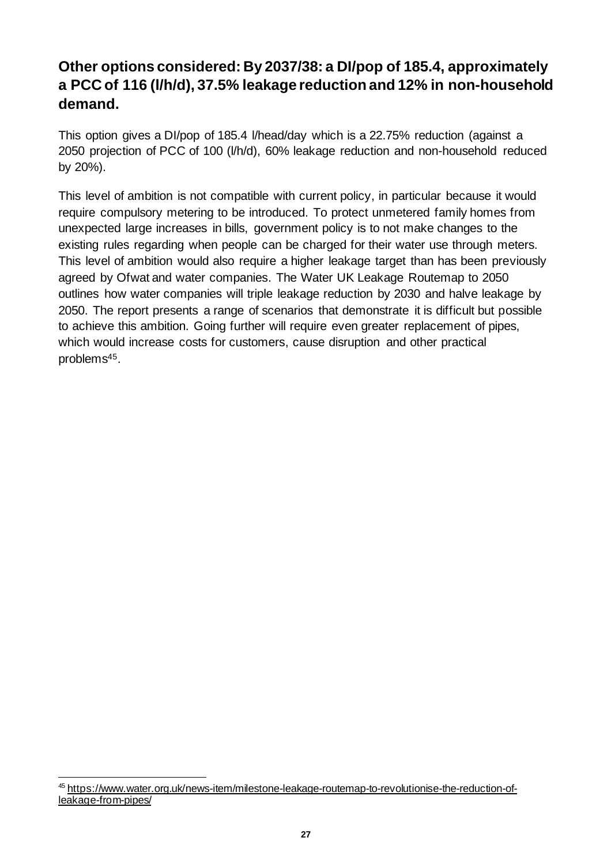## **Other options considered: By 2037/38: a DI/pop of 185.4, approximately a PCC of 116 (l/h/d), 37.5% leakage reduction and 12% in non-household demand.**

This option gives a DI/pop of 185.4 l/head/day which is a 22.75% reduction (against a 2050 projection of PCC of 100 (l/h/d), 60% leakage reduction and non-household reduced by 20%).

This level of ambition is not compatible with current policy, in particular because it would require compulsory metering to be introduced. To protect unmetered family homes from unexpected large increases in bills, government policy is to not make changes to the existing rules regarding when people can be charged for their water use through meters. This level of ambition would also require a higher leakage target than has been previously agreed by Ofwat and water companies. The Water UK Leakage Routemap to 2050 outlines how water companies will triple leakage reduction by 2030 and halve leakage by 2050. The report presents a range of scenarios that demonstrate it is difficult but possible to achieve this ambition. Going further will require even greater replacement of pipes, which would increase costs for customers, cause disruption and other practical problems45.

<sup>45</sup> https://www.water.org.uk/news-item/milestone-leakage-routemap-to-revolutionise-the-reduction-ofleakage-from-pipes/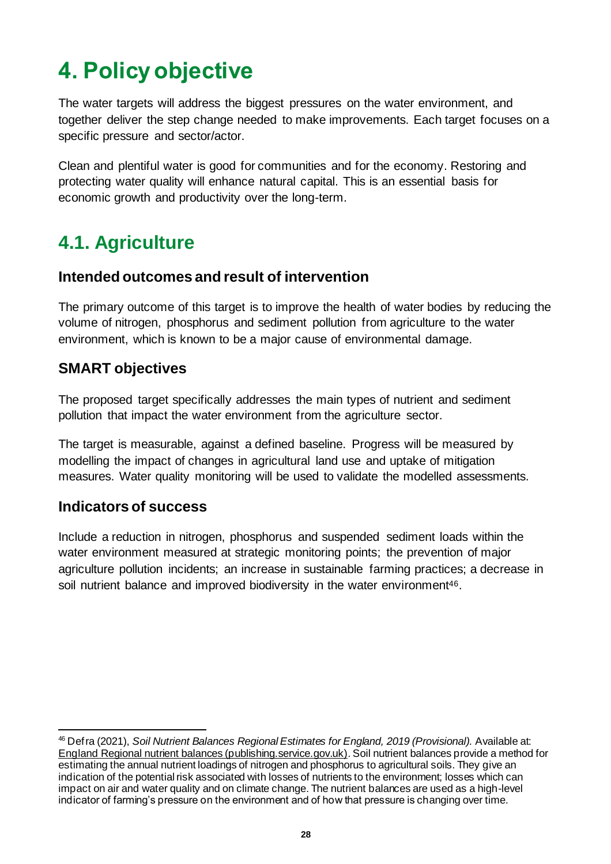# <span id="page-27-0"></span>**4. Policy objective**

The water targets will address the biggest pressures on the water environment, and together deliver the step change needed to make improvements. Each target focuses on a specific pressure and sector/actor.

Clean and plentiful water is good for communities and for the economy. Restoring and protecting water quality will enhance natural capital. This is an essential basis for economic growth and productivity over the long-term.

# <span id="page-27-1"></span>**4.1. Agriculture**

#### **Intended outcomes and result of intervention**

The primary outcome of this target is to improve the health of water bodies by reducing the volume of nitrogen, phosphorus and sediment pollution from agriculture to the water environment, which is known to be a major cause of environmental damage.

#### **SMART objectives**

The proposed target specifically addresses the main types of nutrient and sediment pollution that impact the water environment from the agriculture sector.

The target is measurable, against a defined baseline. Progress will be measured by modelling the impact of changes in agricultural land use and uptake of mitigation measures. Water quality monitoring will be used to validate the modelled assessments.

#### **Indicators of success**

Include a reduction in nitrogen, phosphorus and suspended sediment loads within the water environment measured at strategic monitoring points; the prevention of major agriculture pollution incidents; an increase in sustainable farming practices; a decrease in soil nutrient balance and improved biodiversity in the water environment<sup>46</sup>.

<sup>46</sup> Defra (2021), *Soil Nutrient Balances Regional Estimates for England, 2019 (Provisional).* Available at: [England Regional nutrient balances \(publishing.service.gov.uk\)](https://assets.publishing.service.gov.uk/government/uploads/system/uploads/attachment_data/file/990178/soilnutrientbalances-England-28may21.pdf). Soil nutrient balances provide a method for estimating the annual nutrient loadings of nitrogen and phosphorus to agricultural soils. They give an indication of the potential risk associated with losses of nutrients to the environment; losses which can impact on air and water quality and on climate change. The nutrient balances are used as a high-level indicator of farming's pressure on the environment and of how that pressure is changing over time.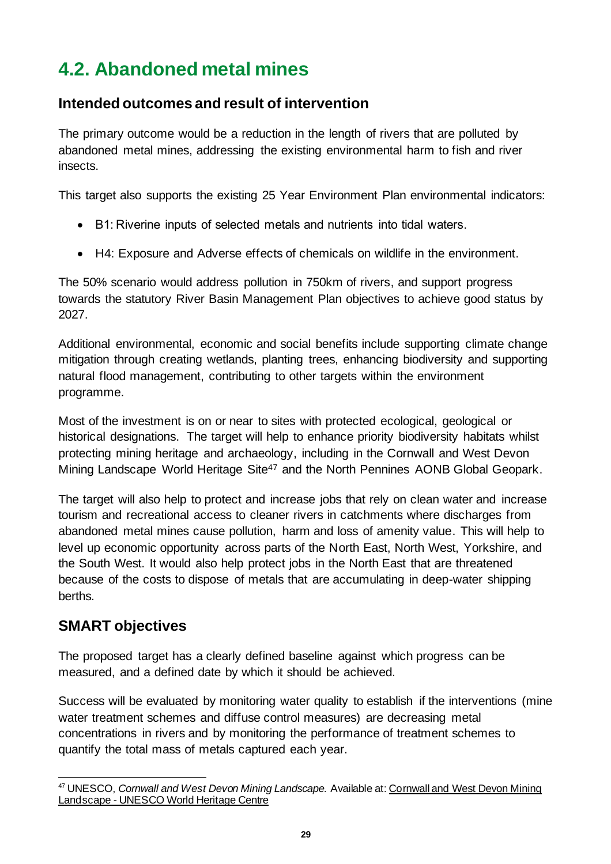# <span id="page-28-0"></span>**4.2. Abandoned metal mines**

### **Intended outcomes and result of intervention**

The primary outcome would be a reduction in the length of rivers that are polluted by abandoned metal mines, addressing the existing environmental harm to fish and river insects.

This target also supports the existing 25 Year Environment Plan environmental indicators:

- B1: Riverine inputs of selected metals and nutrients into tidal waters.
- H4: Exposure and Adverse effects of chemicals on wildlife in the environment.

The 50% scenario would address pollution in 750km of rivers, and support progress towards the statutory River Basin Management Plan objectives to achieve good status by 2027.

Additional environmental, economic and social benefits include supporting climate change mitigation through creating wetlands, planting trees, enhancing biodiversity and supporting natural flood management, contributing to other targets within the environment programme.

Most of the investment is on or near to sites with protected ecological, geological or historical designations. The target will help to enhance priority biodiversity habitats whilst protecting mining heritage and archaeology, including in the Cornwall and West Devon Mining Landscape World Heritage Site<sup>47</sup> and the North Pennines AONB Global Geopark.

The target will also help to protect and increase jobs that rely on clean water and increase tourism and recreational access to cleaner rivers in catchments where discharges from abandoned metal mines cause pollution, harm and loss of amenity value. This will help to level up economic opportunity across parts of the North East, North West, Yorkshire, and the South West. It would also help protect jobs in the North East that are threatened because of the costs to dispose of metals that are accumulating in deep-water shipping berths.

### **SMART objectives**

The proposed target has a clearly defined baseline against which progress can be measured, and a defined date by which it should be achieved.

Success will be evaluated by monitoring water quality to establish if the interventions (mine water treatment schemes and diffuse control measures) are decreasing metal concentrations in rivers and by monitoring the performance of treatment schemes to quantify the total mass of metals captured each year.

<sup>47</sup> UNESCO, *Cornwall and West Devon Mining Landscape.* Available at[: Cornwall and West Devon Mining](https://whc.unesco.org/en/list/1215)  Landscape - [UNESCO World Heritage Centre](https://whc.unesco.org/en/list/1215)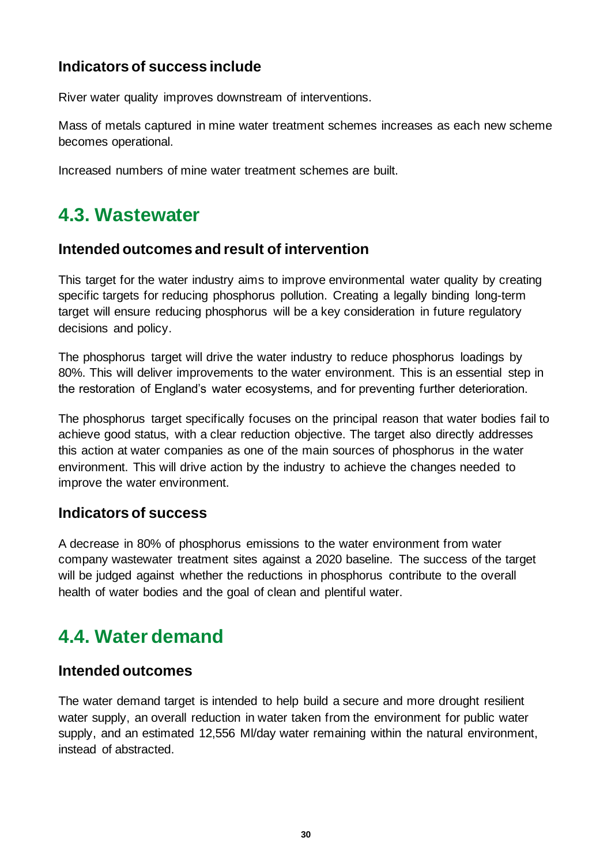### **Indicators of success include**

River water quality improves downstream of interventions.

Mass of metals captured in mine water treatment schemes increases as each new scheme becomes operational.

Increased numbers of mine water treatment schemes are built.

## <span id="page-29-0"></span>**4.3. Wastewater**

#### **Intended outcomes and result of intervention**

This target for the water industry aims to improve environmental water quality by creating specific targets for reducing phosphorus pollution. Creating a legally binding long-term target will ensure reducing phosphorus will be a key consideration in future regulatory decisions and policy.

The phosphorus target will drive the water industry to reduce phosphorus loadings by 80%. This will deliver improvements to the water environment. This is an essential step in the restoration of England's water ecosystems, and for preventing further deterioration.

The phosphorus target specifically focuses on the principal reason that water bodies fail to achieve good status, with a clear reduction objective. The target also directly addresses this action at water companies as one of the main sources of phosphorus in the water environment. This will drive action by the industry to achieve the changes needed to improve the water environment.

#### **Indicators of success**

A decrease in 80% of phosphorus emissions to the water environment from water company wastewater treatment sites against a 2020 baseline. The success of the target will be judged against whether the reductions in phosphorus contribute to the overall health of water bodies and the goal of clean and plentiful water.

# <span id="page-29-1"></span>**4.4. Water demand**

#### **Intended outcomes**

The water demand target is intended to help build a secure and more drought resilient water supply, an overall reduction in water taken from the environment for public water supply, and an estimated 12,556 Ml/day water remaining within the natural environment, instead of abstracted.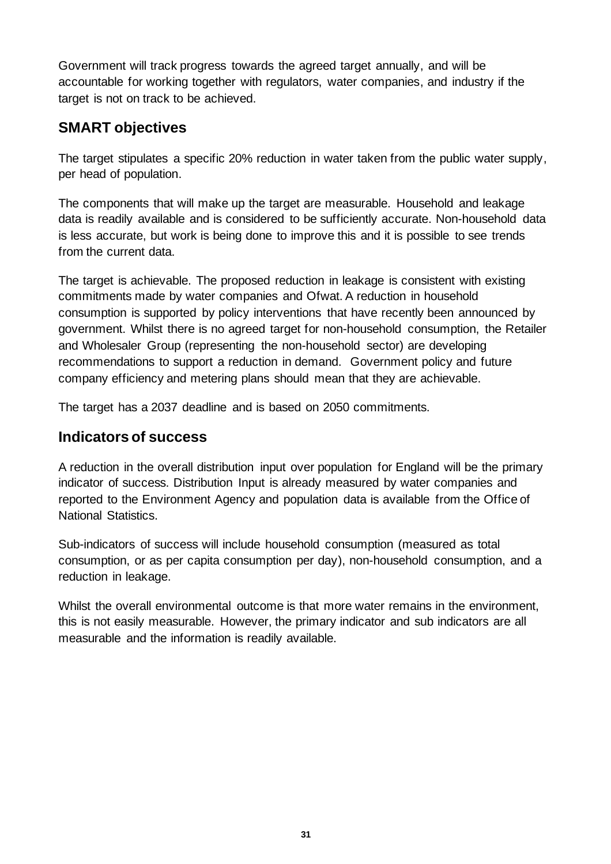Government will track progress towards the agreed target annually, and will be accountable for working together with regulators, water companies, and industry if the target is not on track to be achieved.

### **SMART objectives**

The target stipulates a specific 20% reduction in water taken from the public water supply, per head of population.

The components that will make up the target are measurable. Household and leakage data is readily available and is considered to be sufficiently accurate. Non-household data is less accurate, but work is being done to improve this and it is possible to see trends from the current data.

The target is achievable. The proposed reduction in leakage is consistent with existing commitments made by water companies and Ofwat. A reduction in household consumption is supported by policy interventions that have recently been announced by government. Whilst there is no agreed target for non-household consumption, the Retailer and Wholesaler Group (representing the non-household sector) are developing recommendations to support a reduction in demand. Government policy and future company efficiency and metering plans should mean that they are achievable.

The target has a 2037 deadline and is based on 2050 commitments.

### **Indicators of success**

A reduction in the overall distribution input over population for England will be the primary indicator of success. Distribution Input is already measured by water companies and reported to the Environment Agency and population data is available from the Office of National Statistics.

Sub-indicators of success will include household consumption (measured as total consumption, or as per capita consumption per day), non-household consumption, and a reduction in leakage.

Whilst the overall environmental outcome is that more water remains in the environment, this is not easily measurable. However, the primary indicator and sub indicators are all measurable and the information is readily available.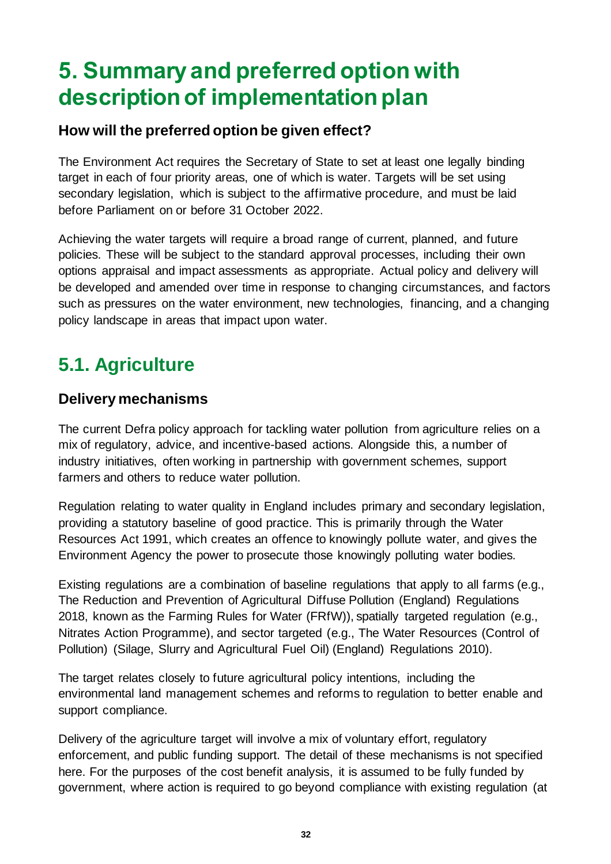# <span id="page-31-0"></span>**5. Summary and preferred option with description of implementation plan**

### **How will the preferred option be given effect?**

The Environment Act requires the Secretary of State to set at least one legally binding target in each of four priority areas, one of which is water. Targets will be set using secondary legislation, which is subject to the affirmative procedure, and must be laid before Parliament on or before 31 October 2022.

Achieving the water targets will require a broad range of current, planned, and future policies. These will be subject to the standard approval processes, including their own options appraisal and impact assessments as appropriate. Actual policy and delivery will be developed and amended over time in response to changing circumstances, and factors such as pressures on the water environment, new technologies, financing, and a changing policy landscape in areas that impact upon water.

# <span id="page-31-1"></span>**5.1. Agriculture**

#### **Delivery mechanisms**

The current Defra policy approach for tackling water pollution from agriculture relies on a mix of regulatory, advice, and incentive-based actions. Alongside this, a number of industry initiatives, often working in partnership with government schemes, support farmers and others to reduce water pollution.

Regulation relating to water quality in England includes primary and secondary legislation, providing a statutory baseline of good practice. This is primarily through the Water Resources Act 1991, which creates an offence to knowingly pollute water, and gives the Environment Agency the power to prosecute those knowingly polluting water bodies.

Existing regulations are a combination of baseline regulations that apply to all farms (e.g., The Reduction and Prevention of Agricultural Diffuse Pollution (England) Regulations 2018, known as the Farming Rules for Water (FRfW)), spatially targeted regulation (e.g., Nitrates Action Programme), and sector targeted (e.g., The Water Resources (Control of Pollution) (Silage, Slurry and Agricultural Fuel Oil) (England) Regulations 2010).

The target relates closely to future agricultural policy intentions, including the environmental land management schemes and reforms to regulation to better enable and support compliance.

Delivery of the agriculture target will involve a mix of voluntary effort, regulatory enforcement, and public funding support. The detail of these mechanisms is not specified here. For the purposes of the cost benefit analysis, it is assumed to be fully funded by government, where action is required to go beyond compliance with existing regulation (at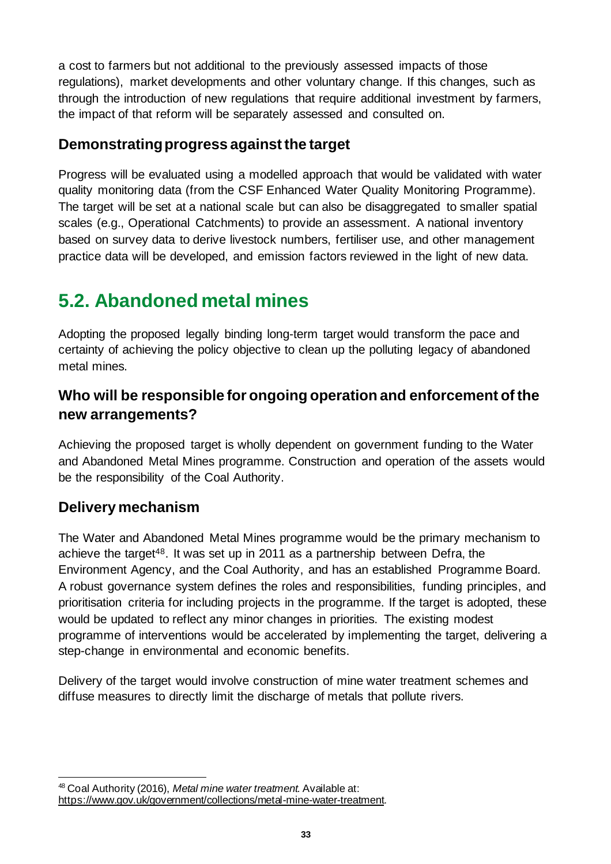a cost to farmers but not additional to the previously assessed impacts of those regulations), market developments and other voluntary change. If this changes, such as through the introduction of new regulations that require additional investment by farmers, the impact of that reform will be separately assessed and consulted on.

#### **Demonstrating progress against the target**

Progress will be evaluated using a modelled approach that would be validated with water quality monitoring data (from the CSF Enhanced Water Quality Monitoring Programme). The target will be set at a national scale but can also be disaggregated to smaller spatial scales (e.g., Operational Catchments) to provide an assessment. A national inventory based on survey data to derive livestock numbers, fertiliser use, and other management practice data will be developed, and emission factors reviewed in the light of new data.

# <span id="page-32-0"></span>**5.2. Abandoned metal mines**

Adopting the proposed legally binding long-term target would transform the pace and certainty of achieving the policy objective to clean up the polluting legacy of abandoned metal mines.

### **Who will be responsible for ongoing operation and enforcement of the new arrangements?**

Achieving the proposed target is wholly dependent on government funding to the Water and Abandoned Metal Mines programme. Construction and operation of the assets would be the responsibility of the Coal Authority.

### **Delivery mechanism**

The Water and Abandoned Metal Mines programme would be the primary mechanism to achieve the target48. It was set up in 2011 as a partnership between Defra, the Environment Agency, and the Coal Authority, and has an established Programme Board. A robust governance system defines the roles and responsibilities, funding principles, and prioritisation criteria for including projects in the programme. If the target is adopted, these would be updated to reflect any minor changes in priorities. The existing modest programme of interventions would be accelerated by implementing the target, delivering a step-change in environmental and economic benefits.

Delivery of the target would involve construction of mine water treatment schemes and diffuse measures to directly limit the discharge of metals that pollute rivers.

<sup>48</sup> Coal Authority (2016), *Metal mine water treatment.* Available at: <https://www.gov.uk/government/collections/metal-mine-water-treatment>.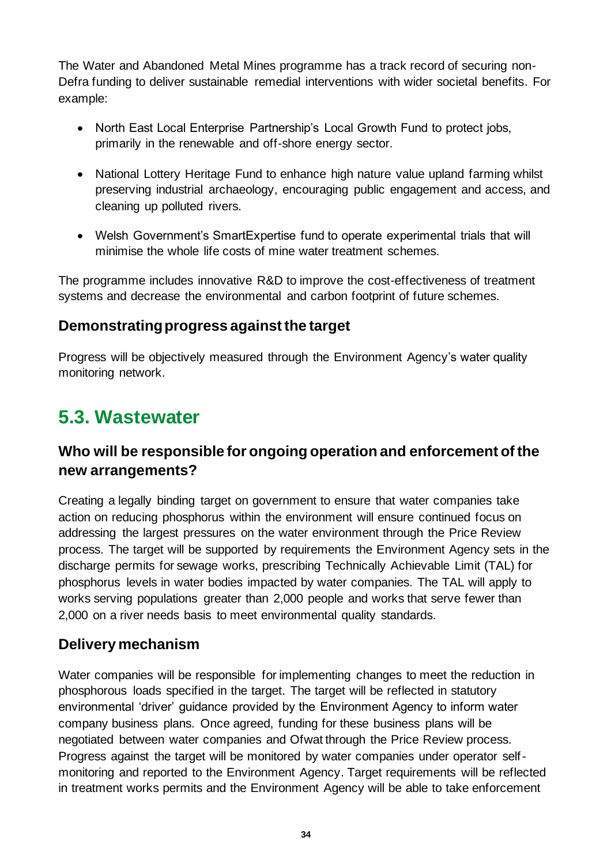The Water and Abandoned Metal Mines programme has a track record of securing non-Defra funding to deliver sustainable remedial interventions with wider societal benefits. For example:

- North East Local Enterprise Partnership's Local Growth Fund to protect jobs, primarily in the renewable and off-shore energy sector.
- National Lottery Heritage Fund to enhance high nature value upland farming whilst preserving industrial archaeology, encouraging public engagement and access, and cleaning up polluted rivers.
- Welsh Government's SmartExpertise fund to operate experimental trials that will minimise the whole life costs of mine water treatment schemes.

The programme includes innovative R&D to improve the cost-effectiveness of treatment systems and decrease the environmental and carbon footprint of future schemes.

### **Demonstrating progress against the target**

Progress will be objectively measured through the Environment Agency's water quality monitoring network.

# <span id="page-33-0"></span>**5.3. Wastewater**

### **Who will be responsible for ongoing operation and enforcement of the new arrangements?**

Creating a legally binding target on government to ensure that water companies take action on reducing phosphorus within the environment will ensure continued focus on addressing the largest pressures on the water environment through the Price Review process. The target will be supported by requirements the Environment Agency sets in the discharge permits for sewage works, prescribing Technically Achievable Limit (TAL) for phosphorus levels in water bodies impacted by water companies. The TAL will apply to works serving populations greater than 2,000 people and works that serve fewer than 2,000 on a river needs basis to meet environmental quality standards.

#### **Delivery mechanism**

Water companies will be responsible for implementing changes to meet the reduction in phosphorous loads specified in the target. The target will be reflected in statutory environmental 'driver' guidance provided by the Environment Agency to inform water company business plans. Once agreed, funding for these business plans will be negotiated between water companies and Ofwat through the Price Review process. Progress against the target will be monitored by water companies under operator selfmonitoring and reported to the Environment Agency. Target requirements will be reflected in treatment works permits and the Environment Agency will be able to take enforcement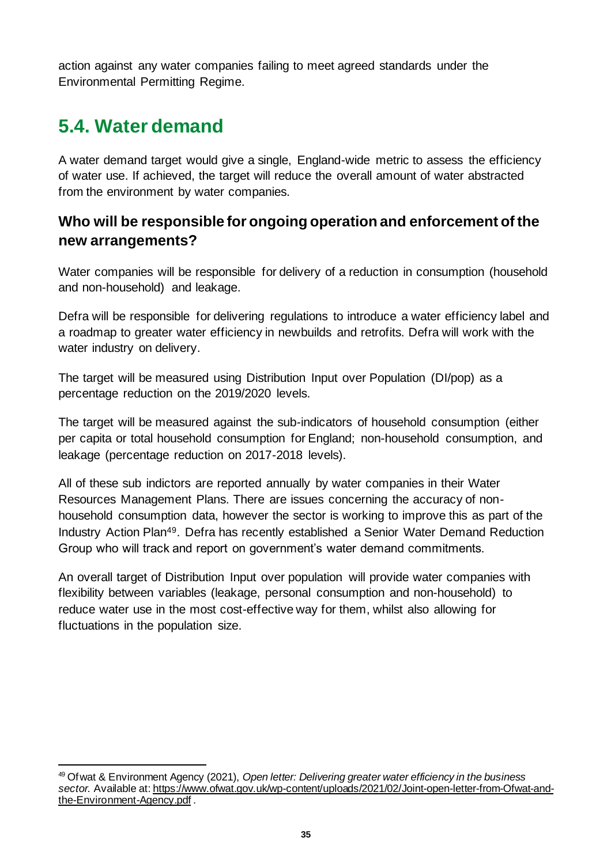action against any water companies failing to meet agreed standards under the Environmental Permitting Regime.

## <span id="page-34-0"></span>**5.4. Water demand**

A water demand target would give a single, England-wide metric to assess the efficiency of water use. If achieved, the target will reduce the overall amount of water abstracted from the environment by water companies.

### **Who will be responsible for ongoing operation and enforcement of the new arrangements?**

Water companies will be responsible for delivery of a reduction in consumption (household and non-household) and leakage.

Defra will be responsible for delivering regulations to introduce a water efficiency label and a roadmap to greater water efficiency in newbuilds and retrofits. Defra will work with the water industry on delivery.

The target will be measured using Distribution Input over Population (DI/pop) as a percentage reduction on the 2019/2020 levels.

The target will be measured against the sub-indicators of household consumption (either per capita or total household consumption for England; non-household consumption, and leakage (percentage reduction on 2017-2018 levels).

All of these sub indictors are reported annually by water companies in their Water Resources Management Plans. There are issues concerning the accuracy of nonhousehold consumption data, however the sector is working to improve this as part of the Industry Action Plan49. Defra has recently established a Senior Water Demand Reduction Group who will track and report on government's water demand commitments.

An overall target of Distribution Input over population will provide water companies with flexibility between variables (leakage, personal consumption and non-household) to reduce water use in the most cost-effective way for them, whilst also allowing for fluctuations in the population size.

<sup>49</sup> Ofwat & Environment Agency (2021), *Open letter: Delivering greater water efficiency in the business*  sector. Available at[: https://www.ofwat.gov.uk/wp-content/uploads/2021/02/Joint-open-letter-from-Ofwat-and](https://www.ofwat.gov.uk/wp-content/uploads/2021/02/Joint-open-letter-from-Ofwat-and-the-Environment-Agency.pdf)[the-Environment-Agency.pdf](https://www.ofwat.gov.uk/wp-content/uploads/2021/02/Joint-open-letter-from-Ofwat-and-the-Environment-Agency.pdf) .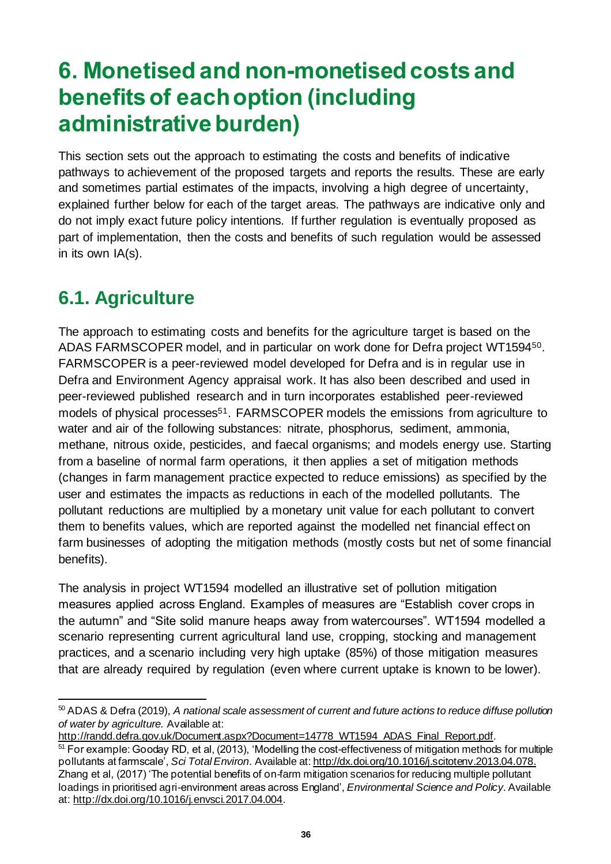# <span id="page-35-0"></span>**6. Monetised and non-monetised costs and benefits of each option (including administrative burden)**

This section sets out the approach to estimating the costs and benefits of indicative pathways to achievement of the proposed targets and reports the results. These are early and sometimes partial estimates of the impacts, involving a high degree of uncertainty, explained further below for each of the target areas. The pathways are indicative only and do not imply exact future policy intentions. If further regulation is eventually proposed as part of implementation, then the costs and benefits of such regulation would be assessed in its own IA(s).

# <span id="page-35-1"></span>**6.1. Agriculture**

The approach to estimating costs and benefits for the agriculture target is based on the ADAS FARMSCOPER model, and in particular on work done for Defra project WT159450. FARMSCOPER is a peer-reviewed model developed for Defra and is in regular use in Defra and Environment Agency appraisal work. It has also been described and used in peer-reviewed published research and in turn incorporates established peer-reviewed models of physical processes<sup>51</sup>. FARMSCOPER models the emissions from agriculture to water and air of the following substances: nitrate, phosphorus, sediment, ammonia, methane, nitrous oxide, pesticides, and faecal organisms; and models energy use. Starting from a baseline of normal farm operations, it then applies a set of mitigation methods (changes in farm management practice expected to reduce emissions) as specified by the user and estimates the impacts as reductions in each of the modelled pollutants. The pollutant reductions are multiplied by a monetary unit value for each pollutant to convert them to benefits values, which are reported against the modelled net financial effect on farm businesses of adopting the mitigation methods (mostly costs but net of some financial benefits).

The analysis in project WT1594 modelled an illustrative set of pollution mitigation measures applied across England. Examples of measures are "Establish cover crops in the autumn" and "Site solid manure heaps away from watercourses". WT1594 modelled a scenario representing current agricultural land use, cropping, stocking and management practices, and a scenario including very high uptake (85%) of those mitigation measures that are already required by regulation (even where current uptake is known to be lower).

<sup>50</sup> ADAS & Defra (2019), *A national scale assessment of current and future actions to reduce diffuse pollution of water by agriculture.* Available at:

[http://randd.defra.gov.uk/Document.aspx?Document=14778\\_WT1594\\_ADAS\\_Final\\_Report.pdf](http://randd.defra.gov.uk/Document.aspx?Document=14778_WT1594_ADAS_Final_Report.pdf).

<sup>51</sup> For example: Gooday RD, et al, (2013), 'Modelling the cost-effectiveness of mitigation methods for multiple pollutants at farmscale', *Sci Total Environ*. Available at[: http://dx.doi.org/10.1016/j.scitotenv.2013.04.078](http://dx.doi.org/10.1016/j.scitotenv.2013.04.078). Zhang et al, (2017) 'The potential benefits of on-farm mitigation scenarios for reducing multiple pollutant loadings in prioritised agri-environment areas across England', *Environmental Science and Policy*. Available at[: http://dx.doi.org/10.1016/j.envsci.2017.04.004](http://dx.doi.org/10.1016/j.envsci.2017.04.004).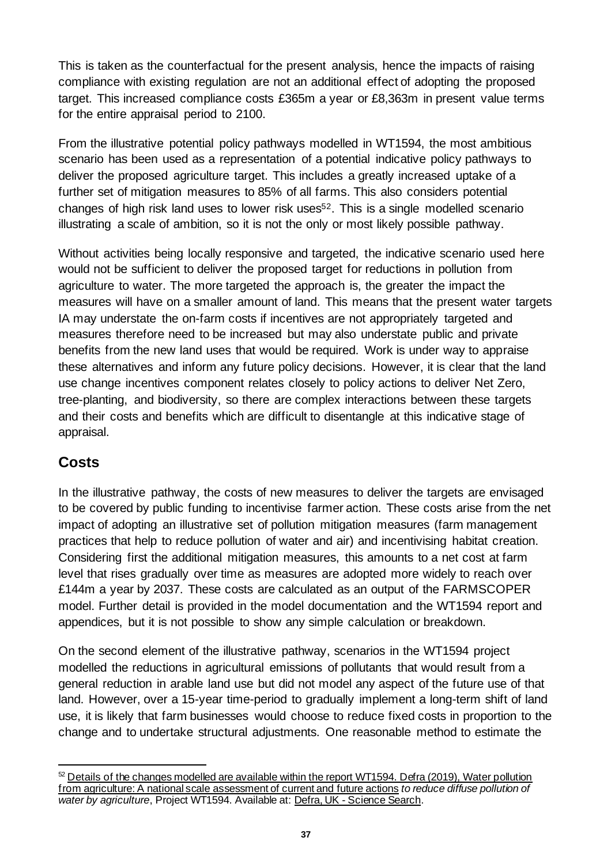This is taken as the counterfactual for the present analysis, hence the impacts of raising compliance with existing regulation are not an additional effect of adopting the proposed target. This increased compliance costs £365m a year or £8,363m in present value terms for the entire appraisal period to 2100.

From the illustrative potential policy pathways modelled in WT1594, the most ambitious scenario has been used as a representation of a potential indicative policy pathways to deliver the proposed agriculture target. This includes a greatly increased uptake of a further set of mitigation measures to 85% of all farms. This also considers potential changes of high risk land uses to lower risk uses52. This is a single modelled scenario illustrating a scale of ambition, so it is not the only or most likely possible pathway.

Without activities being locally responsive and targeted, the indicative scenario used here would not be sufficient to deliver the proposed target for reductions in pollution from agriculture to water. The more targeted the approach is, the greater the impact the measures will have on a smaller amount of land. This means that the present water targets IA may understate the on-farm costs if incentives are not appropriately targeted and measures therefore need to be increased but may also understate public and private benefits from the new land uses that would be required. Work is under way to appraise these alternatives and inform any future policy decisions. However, it is clear that the land use change incentives component relates closely to policy actions to deliver Net Zero, tree-planting, and biodiversity, so there are complex interactions between these targets and their costs and benefits which are difficult to disentangle at this indicative stage of appraisal.

### **Costs**

In the illustrative pathway, the costs of new measures to deliver the targets are envisaged to be covered by public funding to incentivise farmer action. These costs arise from the net impact of adopting an illustrative set of pollution mitigation measures (farm management practices that help to reduce pollution of water and air) and incentivising habitat creation. Considering first the additional mitigation measures, this amounts to a net cost at farm level that rises gradually over time as measures are adopted more widely to reach over £144m a year by 2037. These costs are calculated as an output of the FARMSCOPER model. Further detail is provided in the model documentation and the WT1594 report and appendices, but it is not possible to show any simple calculation or breakdown.

On the second element of the illustrative pathway, scenarios in the WT1594 project modelled the reductions in agricultural emissions of pollutants that would result from a general reduction in arable land use but did not model any aspect of the future use of that land. However, over a 15-year time-period to gradually implement a long-term shift of land use, it is likely that farm businesses would choose to reduce fixed costs in proportion to the change and to undertake structural adjustments. One reasonable method to estimate the

<sup>52</sup> Details of the changes modelled are available within the report WT1594. Defra (2019), Water pollution from agriculture: A national scale assessment of current and future actions *to reduce diffuse pollution of water by agriculture*, Project WT1594. Available at: Defra, UK - [Science Search](http://randd.defra.gov.uk/Default.aspx?Menu=Menu&Module=More&Location=None&ProjectID=20001&FromSearch=Y&Publisher=1&SearchText=Wt1594&SortString=ProjectCode&SortOrder=Asc&Paging=10#Description).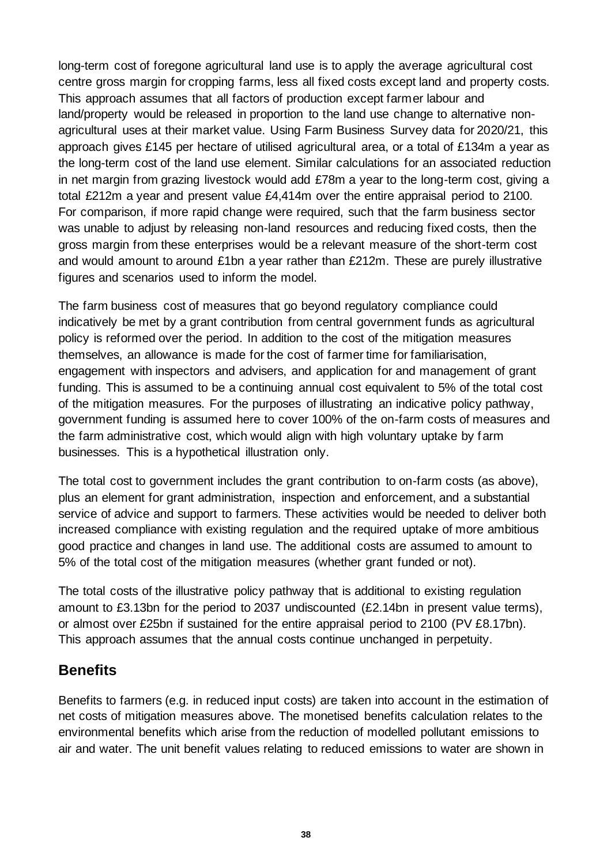long-term cost of foregone agricultural land use is to apply the average agricultural cost centre gross margin for cropping farms, less all fixed costs except land and property costs. This approach assumes that all factors of production except farmer labour and land/property would be released in proportion to the land use change to alternative nonagricultural uses at their market value. Using Farm Business Survey data for 2020/21, this approach gives £145 per hectare of utilised agricultural area, or a total of £134m a year as the long-term cost of the land use element. Similar calculations for an associated reduction in net margin from grazing livestock would add £78m a year to the long-term cost, giving a total £212m a year and present value £4,414m over the entire appraisal period to 2100. For comparison, if more rapid change were required, such that the farm business sector was unable to adjust by releasing non-land resources and reducing fixed costs, then the gross margin from these enterprises would be a relevant measure of the short-term cost and would amount to around £1bn a year rather than £212m. These are purely illustrative figures and scenarios used to inform the model.

The farm business cost of measures that go beyond regulatory compliance could indicatively be met by a grant contribution from central government funds as agricultural policy is reformed over the period. In addition to the cost of the mitigation measures themselves, an allowance is made for the cost of farmer time for familiarisation, engagement with inspectors and advisers, and application for and management of grant funding. This is assumed to be a continuing annual cost equivalent to 5% of the total cost of the mitigation measures. For the purposes of illustrating an indicative policy pathway, government funding is assumed here to cover 100% of the on-farm costs of measures and the farm administrative cost, which would align with high voluntary uptake by farm businesses. This is a hypothetical illustration only.

The total cost to government includes the grant contribution to on-farm costs (as above), plus an element for grant administration, inspection and enforcement, and a substantial service of advice and support to farmers. These activities would be needed to deliver both increased compliance with existing regulation and the required uptake of more ambitious good practice and changes in land use. The additional costs are assumed to amount to 5% of the total cost of the mitigation measures (whether grant funded or not).

The total costs of the illustrative policy pathway that is additional to existing regulation amount to £3.13bn for the period to 2037 undiscounted (£2.14bn in present value terms), or almost over £25bn if sustained for the entire appraisal period to 2100 (PV £8.17bn). This approach assumes that the annual costs continue unchanged in perpetuity.

#### **Benefits**

Benefits to farmers (e.g. in reduced input costs) are taken into account in the estimation of net costs of mitigation measures above. The monetised benefits calculation relates to the environmental benefits which arise from the reduction of modelled pollutant emissions to air and water. The unit benefit values relating to reduced emissions to water are shown in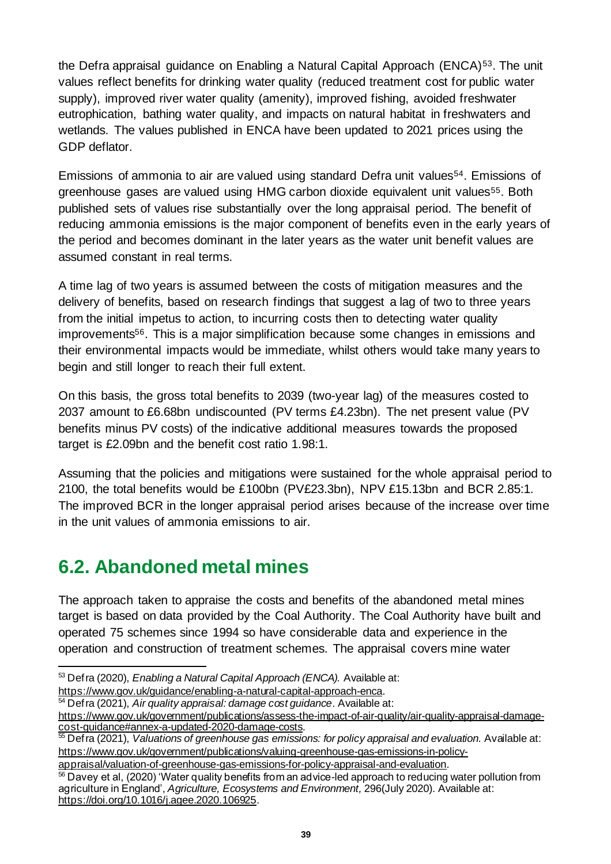the Defra appraisal guidance on Enabling a Natural Capital Approach (ENCA)<sup>53</sup>. The unit values reflect benefits for drinking water quality (reduced treatment cost for public water supply), improved river water quality (amenity), improved fishing, avoided freshwater eutrophication, bathing water quality, and impacts on natural habitat in freshwaters and wetlands. The values published in ENCA have been updated to 2021 prices using the GDP deflator.

Emissions of ammonia to air are valued using standard Defra unit values<sup>54</sup>. Emissions of greenhouse gases are valued using HMG carbon dioxide equivalent unit values55. Both published sets of values rise substantially over the long appraisal period. The benefit of reducing ammonia emissions is the major component of benefits even in the early years of the period and becomes dominant in the later years as the water unit benefit values are assumed constant in real terms.

A time lag of two years is assumed between the costs of mitigation measures and the delivery of benefits, based on research findings that suggest a lag of two to three years from the initial impetus to action, to incurring costs then to detecting water quality improvements<sup>56</sup>. This is a major simplification because some changes in emissions and their environmental impacts would be immediate, whilst others would take many years to begin and still longer to reach their full extent.

On this basis, the gross total benefits to 2039 (two-year lag) of the measures costed to 2037 amount to £6.68bn undiscounted (PV terms £4.23bn). The net present value (PV benefits minus PV costs) of the indicative additional measures towards the proposed target is £2.09bn and the benefit cost ratio 1.98:1.

Assuming that the policies and mitigations were sustained for the whole appraisal period to 2100, the total benefits would be £100bn (PV£23.3bn), NPV £15.13bn and BCR 2.85:1. The improved BCR in the longer appraisal period arises because of the increase over time in the unit values of ammonia emissions to air.

## <span id="page-38-0"></span>**6.2. Abandoned metal mines**

The approach taken to appraise the costs and benefits of the abandoned metal mines target is based on data provided by the Coal Authority. The Coal Authority have built and operated 75 schemes since 1994 so have considerable data and experience in the operation and construction of treatment schemes. The appraisal covers mine water

<https://www.gov.uk/guidance/enabling-a-natural-capital-approach-enca>.

<sup>53</sup> Defra (2020), *Enabling a Natural Capital Approach (ENCA).* Available at:

<sup>54</sup> Defra (2021), *Air quality appraisal: damage cost guidance*. Available at: [https://www.gov.uk/government/publications/assess-the-impact-of-air-quality/air-quality-appraisal-damage](https://www.gov.uk/government/publications/assess-the-impact-of-air-quality/air-quality-appraisal-damage-cost-guidance#annex-a-updated-2020-damage-costs)[cost-guidance#annex-a-updated-2020-damage-costs](https://www.gov.uk/government/publications/assess-the-impact-of-air-quality/air-quality-appraisal-damage-cost-guidance#annex-a-updated-2020-damage-costs).

<sup>&</sup>lt;sup>55</sup> Defra (2021), *Valuations of greenhouse gas emissions: for policy appraisal and evaluation.* Available at: [https://www.gov.uk/government/publications/valuing-greenhouse-gas-emissions-in-policy](https://www.gov.uk/government/publications/valuing-greenhouse-gas-emissions-in-policy-appraisal/valuation-of-greenhouse-gas-emissions-for-policy-appraisal-and-evaluation)[appraisal/valuation-of-greenhouse-gas-emissions-for-policy-appraisal-and-evaluation](https://www.gov.uk/government/publications/valuing-greenhouse-gas-emissions-in-policy-appraisal/valuation-of-greenhouse-gas-emissions-for-policy-appraisal-and-evaluation).

<sup>56</sup> Davey et al, (2020) 'Water quality benefits from an advice-led approach to reducing water pollution from agriculture in England', *Agriculture, Ecosystems and Environment,* 296(July 2020). Available at: [https://doi.org/10.1016/j.agee.2020.106925.](https://doi.org/10.1016/j.agee.2020.106925)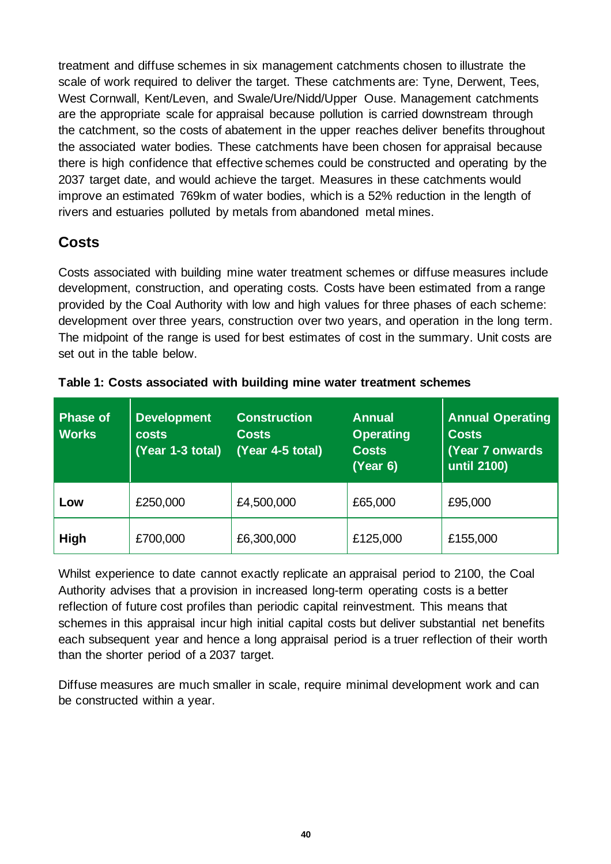treatment and diffuse schemes in six management catchments chosen to illustrate the scale of work required to deliver the target. These catchments are: Tyne, Derwent, Tees, West Cornwall, Kent/Leven, and Swale/Ure/Nidd/Upper Ouse. Management catchments are the appropriate scale for appraisal because pollution is carried downstream through the catchment, so the costs of abatement in the upper reaches deliver benefits throughout the associated water bodies. These catchments have been chosen for appraisal because there is high confidence that effective schemes could be constructed and operating by the 2037 target date, and would achieve the target. Measures in these catchments would improve an estimated 769km of water bodies, which is a 52% reduction in the length of rivers and estuaries polluted by metals from abandoned metal mines.

### **Costs**

Costs associated with building mine water treatment schemes or diffuse measures include development, construction, and operating costs. Costs have been estimated from a range provided by the Coal Authority with low and high values for three phases of each scheme: development over three years, construction over two years, and operation in the long term. The midpoint of the range is used for best estimates of cost in the summary. Unit costs are set out in the table below.

| <b>Phase of</b><br><b>Works</b> | <b>Development</b><br><b>costs</b><br>(Year 1-3 total) | <b>Construction</b><br><b>Costs</b><br>$(Year 4-5 total)$ | <b>Annual</b><br><b>Operating</b><br><b>Costs</b><br>(Year 6) | <b>Annual Operating</b><br><b>Costs</b><br>(Year 7 onwards)<br>until 2100) |  |
|---------------------------------|--------------------------------------------------------|-----------------------------------------------------------|---------------------------------------------------------------|----------------------------------------------------------------------------|--|
| Low                             | £250,000                                               | £4,500,000                                                | £65,000                                                       | £95,000                                                                    |  |
| <b>High</b>                     | £700,000                                               | £6,300,000                                                | £125,000                                                      | £155,000                                                                   |  |

|  | Table 1: Costs associated with building mine water treatment schemes |  |  |  |
|--|----------------------------------------------------------------------|--|--|--|
|  |                                                                      |  |  |  |

Whilst experience to date cannot exactly replicate an appraisal period to 2100, the Coal Authority advises that a provision in increased long-term operating costs is a better reflection of future cost profiles than periodic capital reinvestment. This means that schemes in this appraisal incur high initial capital costs but deliver substantial net benefits each subsequent year and hence a long appraisal period is a truer reflection of their worth than the shorter period of a 2037 target.

Diffuse measures are much smaller in scale, require minimal development work and can be constructed within a year.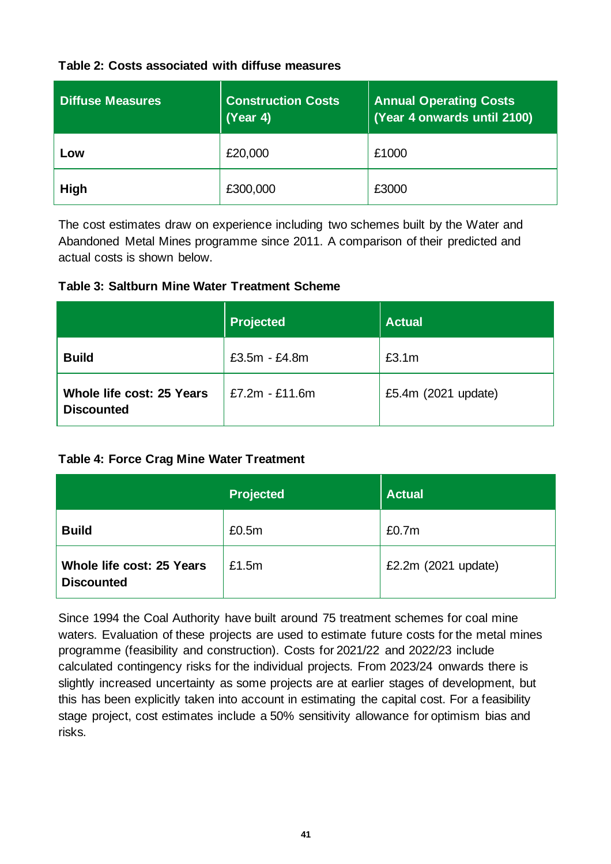#### **Table 2: Costs associated with diffuse measures**

| <b>Diffuse Measures</b> | <b>Construction Costs</b><br>(Year 4) | <b>Annual Operating Costs</b><br>(Year 4 onwards until 2100) |  |  |
|-------------------------|---------------------------------------|--------------------------------------------------------------|--|--|
| LOW                     | £20,000                               | £1000                                                        |  |  |
| <b>High</b>             | £300,000                              | £3000                                                        |  |  |

The cost estimates draw on experience including two schemes built by the Water and Abandoned Metal Mines programme since 2011. A comparison of their predicted and actual costs is shown below.

#### **Table 3: Saltburn Mine Water Treatment Scheme**

|                                                       | <b>Projected</b> | <b>Actual</b>       |
|-------------------------------------------------------|------------------|---------------------|
| <b>Build</b>                                          | £3.5m - £4.8m    | £3.1m               |
| <b>Whole life cost: 25 Years</b><br><b>Discounted</b> | £7.2m - £11.6m   | £5.4m (2021 update) |

#### **Table 4: Force Crag Mine Water Treatment**

|                                                | <b>Projected</b> | <b>Actual</b>       |
|------------------------------------------------|------------------|---------------------|
| <b>Build</b>                                   | £0.5m            | £0.7m               |
| Whole life cost: 25 Years<br><b>Discounted</b> | £1.5m            | £2.2m (2021 update) |

Since 1994 the Coal Authority have built around 75 treatment schemes for coal mine waters. Evaluation of these projects are used to estimate future costs for the metal mines programme (feasibility and construction). Costs for 2021/22 and 2022/23 include calculated contingency risks for the individual projects. From 2023/24 onwards there is slightly increased uncertainty as some projects are at earlier stages of development, but this has been explicitly taken into account in estimating the capital cost. For a feasibility stage project, cost estimates include a 50% sensitivity allowance for optimism bias and risks.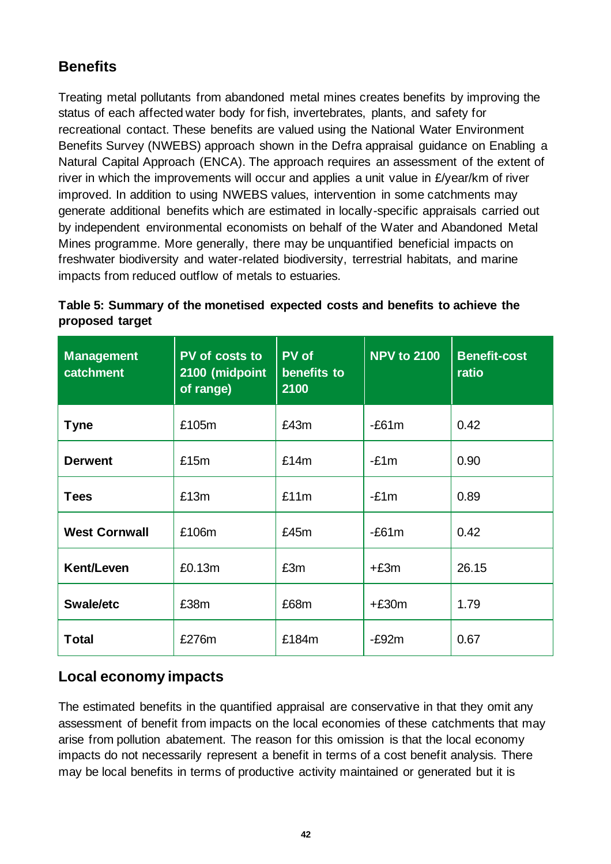## **Benefits**

Treating metal pollutants from abandoned metal mines creates benefits by improving the status of each affected water body for fish, invertebrates, plants, and safety for recreational contact. These benefits are valued using the National Water Environment Benefits Survey (NWEBS) approach shown in the Defra appraisal guidance on Enabling a Natural Capital Approach (ENCA). The approach requires an assessment of the extent of river in which the improvements will occur and applies a unit value in £/year/km of river improved. In addition to using NWEBS values, intervention in some catchments may generate additional benefits which are estimated in locally-specific appraisals carried out by independent environmental economists on behalf of the Water and Abandoned Metal Mines programme. More generally, there may be unquantified beneficial impacts on freshwater biodiversity and water-related biodiversity, terrestrial habitats, and marine impacts from reduced outflow of metals to estuaries.

| <b>Management</b><br>catchment | PV of costs to<br>2100 (midpoint<br>of range) | <b>PV</b> of<br>benefits to<br>2100 | <b>NPV to 2100</b> | <b>Benefit-cost</b><br>ratio |
|--------------------------------|-----------------------------------------------|-------------------------------------|--------------------|------------------------------|
| <b>Tyne</b>                    | £105m                                         | £43m                                | $-E61m$            | 0.42                         |
| <b>Derwent</b>                 | £15m                                          | £14m                                | $-£1m$             | 0.90                         |
| <b>Tees</b>                    | £13m                                          | £11m                                | $-£1m$             | 0.89                         |
| <b>West Cornwall</b>           | £106m                                         | £45m                                | $-E61m$            | 0.42                         |
| Kent/Leven                     | £0.13m                                        | £3m                                 | $+£3m$             | 26.15                        |
| Swale/etc                      | £38m                                          | £68m                                | $+£30m$            | 1.79                         |
| <b>Total</b>                   | £276m                                         | £184m                               | $-E92m$            | 0.67                         |

#### **Table 5: Summary of the monetised expected costs and benefits to achieve the proposed target**

### **Local economy impacts**

The estimated benefits in the quantified appraisal are conservative in that they omit any assessment of benefit from impacts on the local economies of these catchments that may arise from pollution abatement. The reason for this omission is that the local economy impacts do not necessarily represent a benefit in terms of a cost benefit analysis. There may be local benefits in terms of productive activity maintained or generated but it is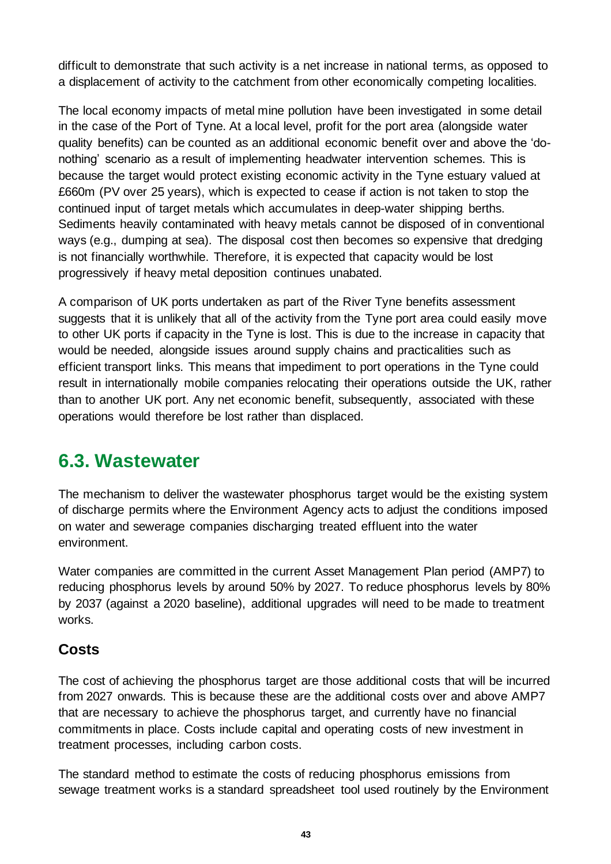difficult to demonstrate that such activity is a net increase in national terms, as opposed to a displacement of activity to the catchment from other economically competing localities.

The local economy impacts of metal mine pollution have been investigated in some detail in the case of the Port of Tyne. At a local level, profit for the port area (alongside water quality benefits) can be counted as an additional economic benefit over and above the 'donothing' scenario as a result of implementing headwater intervention schemes. This is because the target would protect existing economic activity in the Tyne estuary valued at £660m (PV over 25 years), which is expected to cease if action is not taken to stop the continued input of target metals which accumulates in deep-water shipping berths. Sediments heavily contaminated with heavy metals cannot be disposed of in conventional ways (e.g., dumping at sea). The disposal cost then becomes so expensive that dredging is not financially worthwhile. Therefore, it is expected that capacity would be lost progressively if heavy metal deposition continues unabated.

A comparison of UK ports undertaken as part of the River Tyne benefits assessment suggests that it is unlikely that all of the activity from the Tyne port area could easily move to other UK ports if capacity in the Tyne is lost. This is due to the increase in capacity that would be needed, alongside issues around supply chains and practicalities such as efficient transport links. This means that impediment to port operations in the Tyne could result in internationally mobile companies relocating their operations outside the UK, rather than to another UK port. Any net economic benefit, subsequently, associated with these operations would therefore be lost rather than displaced.

## <span id="page-42-0"></span>**6.3. Wastewater**

The mechanism to deliver the wastewater phosphorus target would be the existing system of discharge permits where the Environment Agency acts to adjust the conditions imposed on water and sewerage companies discharging treated effluent into the water environment.

Water companies are committed in the current Asset Management Plan period (AMP7) to reducing phosphorus levels by around 50% by 2027. To reduce phosphorus levels by 80% by 2037 (against a 2020 baseline), additional upgrades will need to be made to treatment works.

#### **Costs**

The cost of achieving the phosphorus target are those additional costs that will be incurred from 2027 onwards. This is because these are the additional costs over and above AMP7 that are necessary to achieve the phosphorus target, and currently have no financial commitments in place. Costs include capital and operating costs of new investment in treatment processes, including carbon costs.

The standard method to estimate the costs of reducing phosphorus emissions from sewage treatment works is a standard spreadsheet tool used routinely by the Environment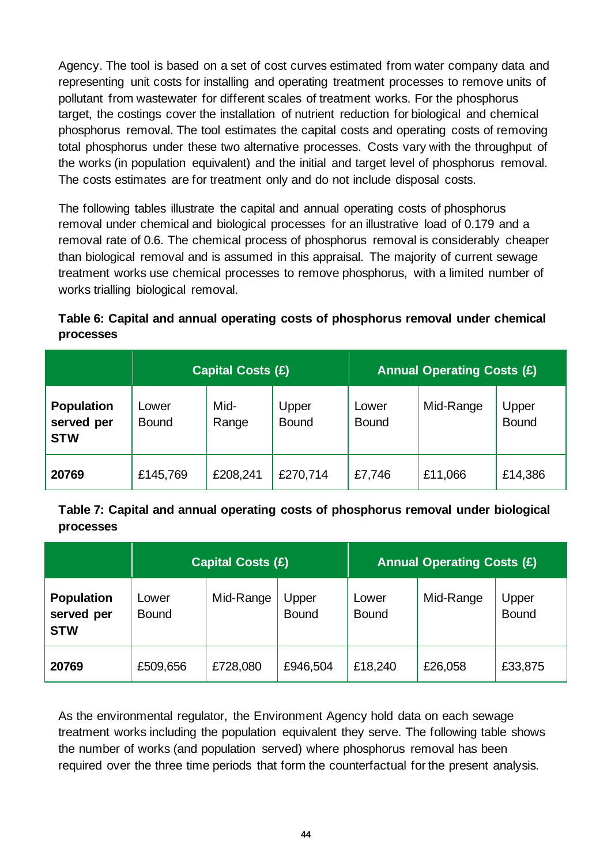Agency. The tool is based on a set of cost curves estimated from water company data and representing unit costs for installing and operating treatment processes to remove units of pollutant from wastewater for different scales of treatment works. For the phosphorus target, the costings cover the installation of nutrient reduction for biological and chemical phosphorus removal. The tool estimates the capital costs and operating costs of removing total phosphorus under these two alternative processes. Costs vary with the throughput of the works (in population equivalent) and the initial and target level of phosphorus removal. The costs estimates are for treatment only and do not include disposal costs.

The following tables illustrate the capital and annual operating costs of phosphorus removal under chemical and biological processes for an illustrative load of 0.179 and a removal rate of 0.6. The chemical process of phosphorus removal is considerably cheaper than biological removal and is assumed in this appraisal. The majority of current sewage treatment works use chemical processes to remove phosphorus, with a limited number of works trialling biological removal.

#### **Table 6: Capital and annual operating costs of phosphorus removal under chemical processes**

|                                               | <b>Capital Costs (£)</b> |               |                       | <b>Annual Operating Costs (£)</b> |           |                       |
|-----------------------------------------------|--------------------------|---------------|-----------------------|-----------------------------------|-----------|-----------------------|
| <b>Population</b><br>served per<br><b>STW</b> | Lower<br><b>Bound</b>    | Mid-<br>Range | Upper<br><b>Bound</b> | Lower<br><b>Bound</b>             | Mid-Range | Upper<br><b>Bound</b> |
| 20769                                         | £145,769                 | £208,241      | £270,714              | £7,746                            | £11,066   | £14,386               |

**Table 7: Capital and annual operating costs of phosphorus removal under biological processes**

|                                               | <b>Capital Costs (£)</b> |           |                       | <b>Annual Operating Costs (£)</b> |           |                       |
|-----------------------------------------------|--------------------------|-----------|-----------------------|-----------------------------------|-----------|-----------------------|
| <b>Population</b><br>served per<br><b>STW</b> | Lower<br><b>Bound</b>    | Mid-Range | Upper<br><b>Bound</b> | Lower<br><b>Bound</b>             | Mid-Range | Upper<br><b>Bound</b> |
| 20769                                         | £509,656                 | £728,080  | £946,504              | £18,240                           | £26,058   | £33,875               |

As the environmental regulator, the Environment Agency hold data on each sewage treatment works including the population equivalent they serve. The following table shows the number of works (and population served) where phosphorus removal has been required over the three time periods that form the counterfactual for the present analysis.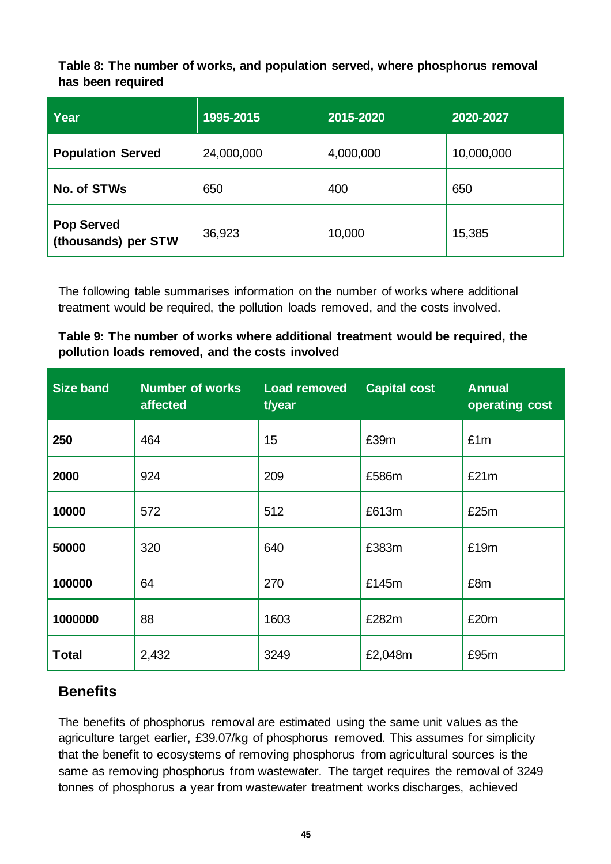**Table 8: The number of works, and population served, where phosphorus removal has been required**

| <b>Year</b>                              | 1995-2015  | 2015-2020 | 2020-2027  |
|------------------------------------------|------------|-----------|------------|
| <b>Population Served</b>                 | 24,000,000 | 4,000,000 | 10,000,000 |
| No. of STWs                              | 650        | 400       | 650        |
| <b>Pop Served</b><br>(thousands) per STW | 36,923     | 10,000    | 15,385     |

The following table summarises information on the number of works where additional treatment would be required, the pollution loads removed, and the costs involved.

**Table 9: The number of works where additional treatment would be required, the pollution loads removed, and the costs involved**

| <b>Size band</b> | <b>Number of works</b><br>affected | <b>Load removed</b><br>t/year | <b>Capital cost</b> | <b>Annual</b><br>operating cost |
|------------------|------------------------------------|-------------------------------|---------------------|---------------------------------|
| 250              | 464                                | 15                            | £39m                | £1m                             |
| 2000             | 924                                | 209                           | £586m               | £21m                            |
| 10000            | 572                                | 512                           | £613m               | £25m                            |
| 50000            | 320                                | 640                           | £383m               | £19m                            |
| 100000           | 64                                 | 270                           | £145m               | £8m                             |
| 1000000          | 88                                 | 1603                          | £282m               | £20m                            |
| <b>Total</b>     | 2,432                              | 3249                          | £2,048m             | £95m                            |

#### **Benefits**

The benefits of phosphorus removal are estimated using the same unit values as the agriculture target earlier, £39.07/kg of phosphorus removed. This assumes for simplicity that the benefit to ecosystems of removing phosphorus from agricultural sources is the same as removing phosphorus from wastewater. The target requires the removal of 3249 tonnes of phosphorus a year from wastewater treatment works discharges, achieved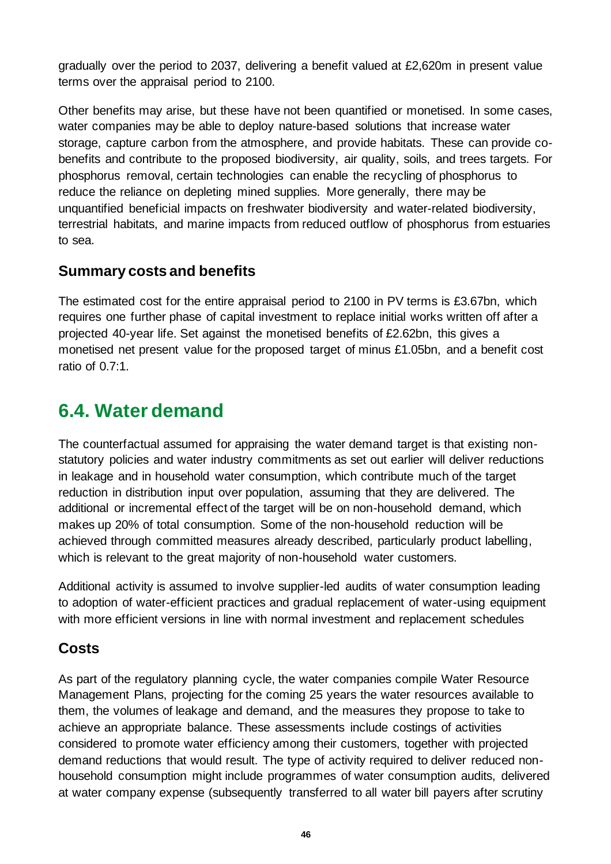gradually over the period to 2037, delivering a benefit valued at £2,620m in present value terms over the appraisal period to 2100.

Other benefits may arise, but these have not been quantified or monetised. In some cases, water companies may be able to deploy nature-based solutions that increase water storage, capture carbon from the atmosphere, and provide habitats. These can provide cobenefits and contribute to the proposed biodiversity, air quality, soils, and trees targets. For phosphorus removal, certain technologies can enable the recycling of phosphorus to reduce the reliance on depleting mined supplies. More generally, there may be unquantified beneficial impacts on freshwater biodiversity and water-related biodiversity, terrestrial habitats, and marine impacts from reduced outflow of phosphorus from estuaries to sea.

#### **Summary costs and benefits**

The estimated cost for the entire appraisal period to 2100 in PV terms is £3.67bn, which requires one further phase of capital investment to replace initial works written off after a projected 40-year life. Set against the monetised benefits of £2.62bn, this gives a monetised net present value for the proposed target of minus £1.05bn, and a benefit cost ratio of 0.7:1.

# <span id="page-45-0"></span>**6.4. Water demand**

The counterfactual assumed for appraising the water demand target is that existing nonstatutory policies and water industry commitments as set out earlier will deliver reductions in leakage and in household water consumption, which contribute much of the target reduction in distribution input over population, assuming that they are delivered. The additional or incremental effect of the target will be on non-household demand, which makes up 20% of total consumption. Some of the non-household reduction will be achieved through committed measures already described, particularly product labelling, which is relevant to the great majority of non-household water customers.

Additional activity is assumed to involve supplier-led audits of water consumption leading to adoption of water-efficient practices and gradual replacement of water-using equipment with more efficient versions in line with normal investment and replacement schedules

### **Costs**

As part of the regulatory planning cycle, the water companies compile Water Resource Management Plans, projecting for the coming 25 years the water resources available to them, the volumes of leakage and demand, and the measures they propose to take to achieve an appropriate balance. These assessments include costings of activities considered to promote water efficiency among their customers, together with projected demand reductions that would result. The type of activity required to deliver reduced nonhousehold consumption might include programmes of water consumption audits, delivered at water company expense (subsequently transferred to all water bill payers after scrutiny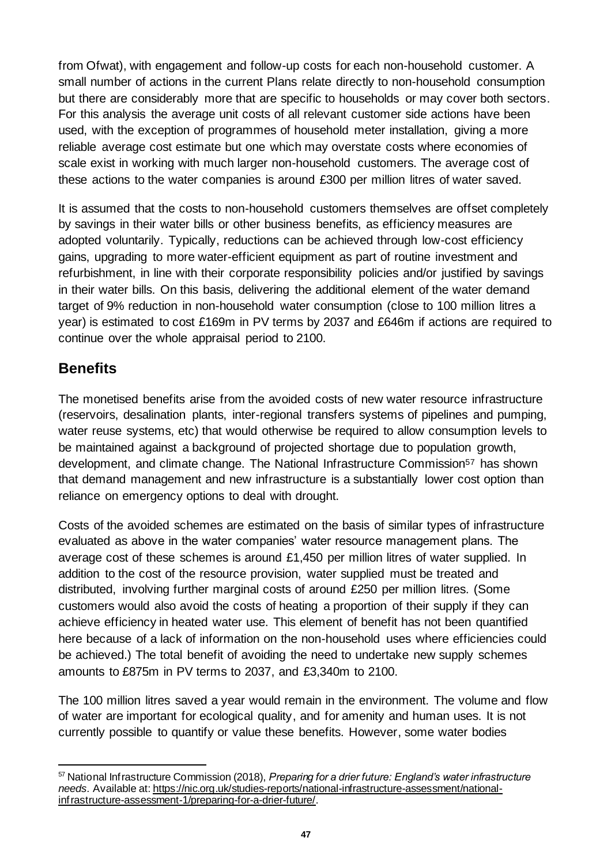from Ofwat), with engagement and follow-up costs for each non-household customer. A small number of actions in the current Plans relate directly to non-household consumption but there are considerably more that are specific to households or may cover both sectors. For this analysis the average unit costs of all relevant customer side actions have been used, with the exception of programmes of household meter installation, giving a more reliable average cost estimate but one which may overstate costs where economies of scale exist in working with much larger non-household customers. The average cost of these actions to the water companies is around £300 per million litres of water saved.

It is assumed that the costs to non-household customers themselves are offset completely by savings in their water bills or other business benefits, as efficiency measures are adopted voluntarily. Typically, reductions can be achieved through low-cost efficiency gains, upgrading to more water-efficient equipment as part of routine investment and refurbishment, in line with their corporate responsibility policies and/or justified by savings in their water bills. On this basis, delivering the additional element of the water demand target of 9% reduction in non-household water consumption (close to 100 million litres a year) is estimated to cost £169m in PV terms by 2037 and £646m if actions are required to continue over the whole appraisal period to 2100.

### **Benefits**

The monetised benefits arise from the avoided costs of new water resource infrastructure (reservoirs, desalination plants, inter-regional transfers systems of pipelines and pumping, water reuse systems, etc) that would otherwise be required to allow consumption levels to be maintained against a background of projected shortage due to population growth, development, and climate change. The National Infrastructure Commission<sup>57</sup> has shown that demand management and new infrastructure is a substantially lower cost option than reliance on emergency options to deal with drought.

Costs of the avoided schemes are estimated on the basis of similar types of infrastructure evaluated as above in the water companies' water resource management plans. The average cost of these schemes is around £1,450 per million litres of water supplied. In addition to the cost of the resource provision, water supplied must be treated and distributed, involving further marginal costs of around £250 per million litres. (Some customers would also avoid the costs of heating a proportion of their supply if they can achieve efficiency in heated water use. This element of benefit has not been quantified here because of a lack of information on the non-household uses where efficiencies could be achieved.) The total benefit of avoiding the need to undertake new supply schemes amounts to £875m in PV terms to 2037, and £3,340m to 2100.

The 100 million litres saved a year would remain in the environment. The volume and flow of water are important for ecological quality, and for amenity and human uses. It is not currently possible to quantify or value these benefits. However, some water bodies

<sup>57</sup> National Infrastructure Commission (2018), *Preparing for a drier future: England's water infrastructure needs.* Available at[: https://nic.org.uk/studies-reports/national-infrastructure-assessment/national](https://nic.org.uk/studies-reports/national-infrastructure-assessment/national-infrastructure-assessment-1/preparing-for-a-drier-future/)[infrastructure-assessment-1/preparing-for-a-drier-future/](https://nic.org.uk/studies-reports/national-infrastructure-assessment/national-infrastructure-assessment-1/preparing-for-a-drier-future/).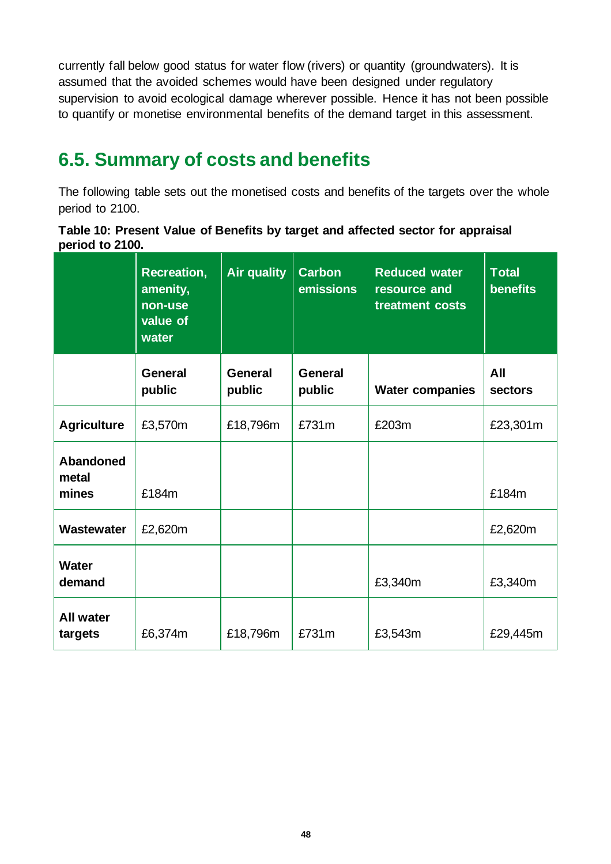currently fall below good status for water flow (rivers) or quantity (groundwaters). It is assumed that the avoided schemes would have been designed under regulatory supervision to avoid ecological damage wherever possible. Hence it has not been possible to quantify or monetise environmental benefits of the demand target in this assessment.

# <span id="page-47-0"></span>**6.5. Summary of costs and benefits**

The following table sets out the monetised costs and benefits of the targets over the whole period to 2100.

|                 |  | Table 10: Present Value of Benefits by target and affected sector for appraisal |  |  |  |
|-----------------|--|---------------------------------------------------------------------------------|--|--|--|
| period to 2100. |  |                                                                                 |  |  |  |

|                                    | <b>Recreation,</b><br>amenity,<br>non-use<br>value of<br>water | <b>Air quality</b> | <b>Carbon</b><br>emissions | <b>Reduced water</b><br>resource and<br>treatment costs | <b>Total</b><br><b>benefits</b> |
|------------------------------------|----------------------------------------------------------------|--------------------|----------------------------|---------------------------------------------------------|---------------------------------|
|                                    | <b>General</b><br>public                                       | General<br>public  | <b>General</b><br>public   | <b>Water companies</b>                                  | All<br>sectors                  |
| <b>Agriculture</b>                 | £3,570m                                                        | £18,796m           | £731m                      | £203m                                                   | £23,301m                        |
| <b>Abandoned</b><br>metal<br>mines | £184m                                                          |                    |                            |                                                         | £184m                           |
| Wastewater                         | £2,620m                                                        |                    |                            |                                                         | £2,620m                         |
| <b>Water</b><br>demand             |                                                                |                    |                            | £3,340m                                                 | £3,340m                         |
| <b>All water</b><br>targets        | £6,374m                                                        | £18,796m           | £731m                      | £3,543m                                                 | £29,445m                        |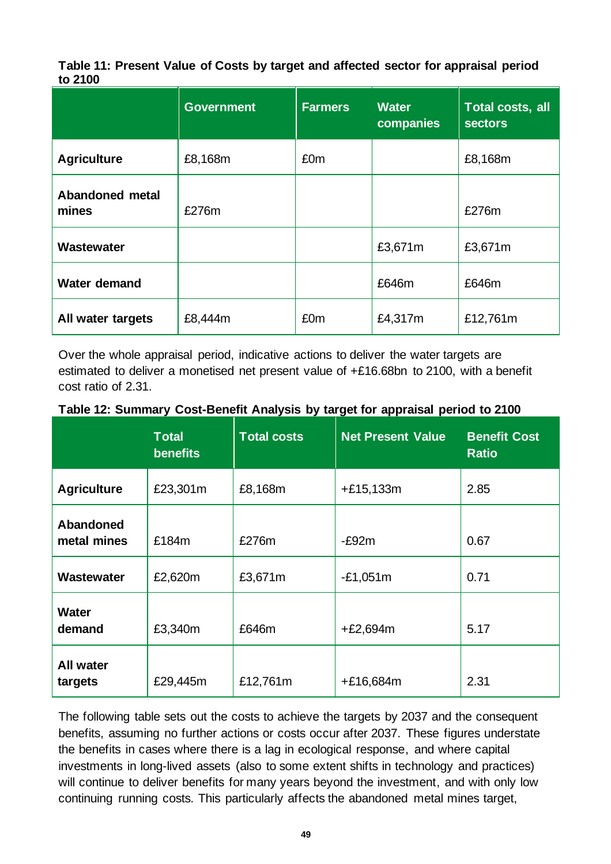**Table 11: Present Value of Costs by target and affected sector for appraisal period to 2100**

|                                 | <b>Government</b> | <b>Farmers</b>  | <b>Water</b><br>companies | Total costs, all<br><b>sectors</b> |
|---------------------------------|-------------------|-----------------|---------------------------|------------------------------------|
| <b>Agriculture</b>              | £8,168m           | £0m             |                           | £8,168m                            |
| <b>Abandoned metal</b><br>mines | £276m             |                 |                           | £276m                              |
| Wastewater                      |                   |                 | £3,671m                   | £3,671m                            |
| <b>Water demand</b>             |                   |                 | £646m                     | £646m                              |
| All water targets               | £8,444m           | £0 <sub>m</sub> | £4,317m                   | £12,761m                           |

Over the whole appraisal period, indicative actions to deliver the water targets are estimated to deliver a monetised net present value of +£16.68bn to 2100, with a benefit cost ratio of 2.31.

|  | Table 12: Summary Cost-Benefit Analysis by target for appraisal period to 2100 |
|--|--------------------------------------------------------------------------------|
|  |                                                                                |

|                                 | <b>Total</b><br><b>benefits</b> | <b>Total costs</b> | <b>Net Present Value</b> | <b>Benefit Cost</b><br><b>Ratio</b> |
|---------------------------------|---------------------------------|--------------------|--------------------------|-------------------------------------|
| <b>Agriculture</b>              | £23,301m                        | £8,168m            | $+£15,133m$              | 2.85                                |
| <b>Abandoned</b><br>metal mines | £184m                           | £276m              | $-E92m$                  | 0.67                                |
| <b>Wastewater</b>               | £2,620m                         | £3,671m            | $-E1,051m$               | 0.71                                |
| <b>Water</b><br>demand          | £3,340m                         | £646m              | $+£2,694m$               | 5.17                                |
| <b>All water</b><br>targets     | £29,445m                        | £12,761m           | +£16,684m                | 2.31                                |

The following table sets out the costs to achieve the targets by 2037 and the consequent benefits, assuming no further actions or costs occur after 2037. These figures understate the benefits in cases where there is a lag in ecological response, and where capital investments in long-lived assets (also to some extent shifts in technology and practices) will continue to deliver benefits for many years beyond the investment, and with only low continuing running costs. This particularly affects the abandoned metal mines target,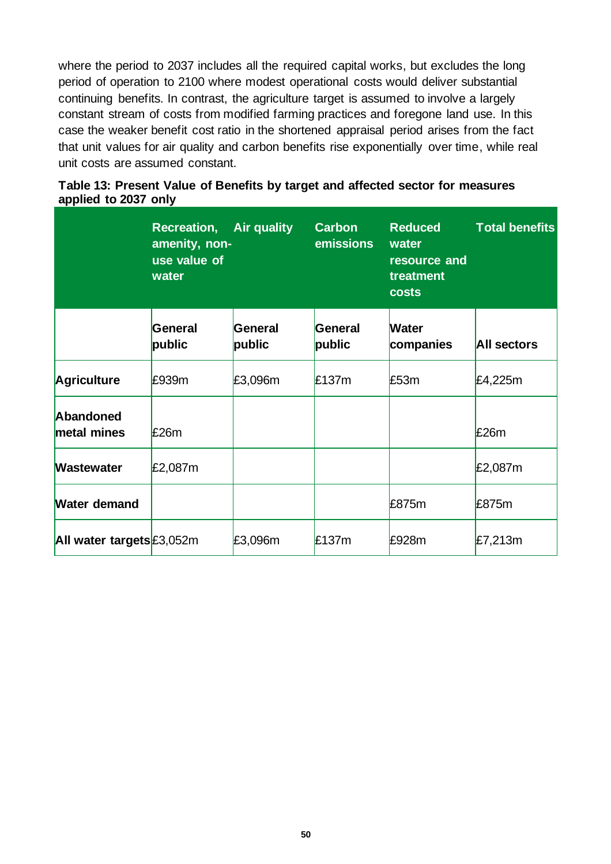where the period to 2037 includes all the required capital works, but excludes the long period of operation to 2100 where modest operational costs would deliver substantial continuing benefits. In contrast, the agriculture target is assumed to involve a largely constant stream of costs from modified farming practices and foregone land use. In this case the weaker benefit cost ratio in the shortened appraisal period arises from the fact that unit values for air quality and carbon benefits rise exponentially over time, while real unit costs are assumed constant.

|                           | <b>Recreation, Air quality</b><br>amenity, non-<br>use value of<br>water |                   | <b>Carbon</b><br>emissions | <b>Reduced</b><br>water<br>resource and<br>treatment<br><b>costs</b> | <b>Total benefits</b> |
|---------------------------|--------------------------------------------------------------------------|-------------------|----------------------------|----------------------------------------------------------------------|-----------------------|
|                           | <b>General</b><br>public                                                 | General<br>public | General<br>public          | <b>Water</b><br>companies                                            | <b>All sectors</b>    |
| <b>Agriculture</b>        | £939m                                                                    | £3,096m           | £137m                      | £53m                                                                 | £4,225m               |
| Abandoned<br>metal mines  | £26m                                                                     |                   |                            |                                                                      | £26m                  |
| <b>Wastewater</b>         | £2,087m                                                                  |                   |                            |                                                                      | £2,087m               |
| <b>Water demand</b>       |                                                                          |                   |                            | £875m                                                                | £875m                 |
| All water targets £3,052m |                                                                          | £3,096m           | £137m                      | £928m                                                                | £7,213m               |

#### **Table 13: Present Value of Benefits by target and affected sector for measures applied to 2037 only**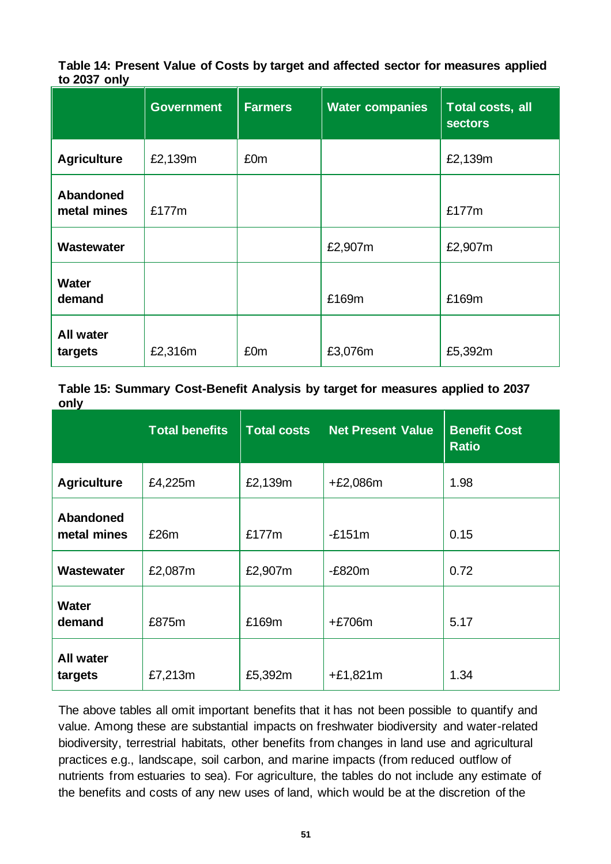**Table 14: Present Value of Costs by target and affected sector for measures applied to 2037 only**

|                             | <b>Government</b> | <b>Farmers</b> | <b>Water companies</b> | Total costs, all<br><b>sectors</b> |
|-----------------------------|-------------------|----------------|------------------------|------------------------------------|
| <b>Agriculture</b>          | £2,139m           | £0m            |                        | £2,139m                            |
| Abandoned<br>metal mines    | £177m             |                |                        | £177m                              |
| Wastewater                  |                   |                | £2,907m                | £2,907m                            |
| <b>Water</b><br>demand      |                   |                | £169m                  | £169m                              |
| <b>All water</b><br>targets | £2,316m           | £0m            | £3,076m                | £5,392m                            |

**Table 15: Summary Cost-Benefit Analysis by target for measures applied to 2037 only**

|                             | <b>Total benefits</b> | <b>Total costs</b> | <b>Net Present Value</b> | <b>Benefit Cost</b><br><b>Ratio</b> |
|-----------------------------|-----------------------|--------------------|--------------------------|-------------------------------------|
| <b>Agriculture</b>          | £4,225m               | £2,139m            | $+£2,086m$               | 1.98                                |
| Abandoned<br>metal mines    | £26m                  | £177m              | $-E151m$                 | 0.15                                |
| Wastewater                  | £2,087m               | £2,907m            | $-E820m$                 | 0.72                                |
| <b>Water</b><br>demand      | £875m                 | £169m              | $+£706m$                 | 5.17                                |
| <b>All water</b><br>targets | £7,213m               | £5,392m            | $+£1,821m$               | 1.34                                |

The above tables all omit important benefits that it has not been possible to quantify and value. Among these are substantial impacts on freshwater biodiversity and water-related biodiversity, terrestrial habitats, other benefits from changes in land use and agricultural practices e.g., landscape, soil carbon, and marine impacts (from reduced outflow of nutrients from estuaries to sea). For agriculture, the tables do not include any estimate of the benefits and costs of any new uses of land, which would be at the discretion of the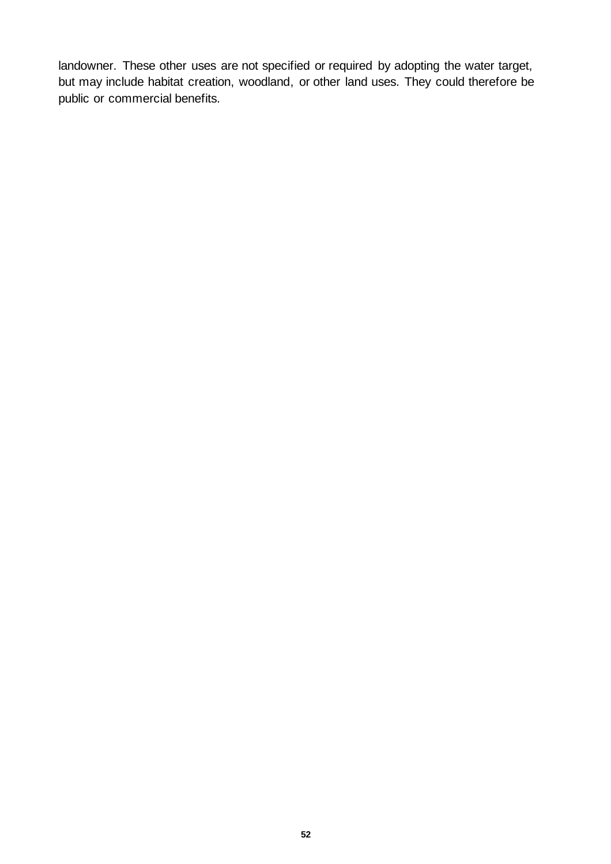landowner. These other uses are not specified or required by adopting the water target, but may include habitat creation, woodland, or other land uses. They could therefore be public or commercial benefits.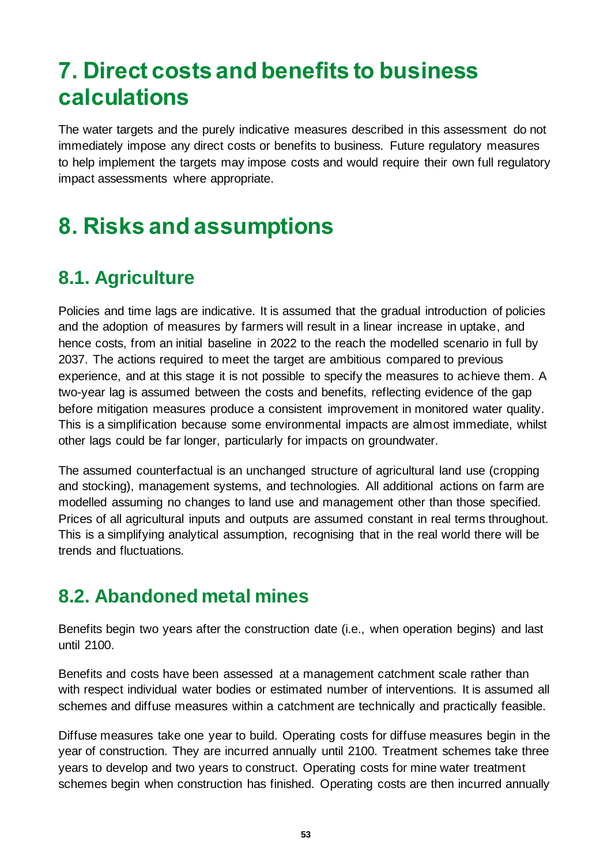# <span id="page-52-0"></span>**7. Direct costs and benefits to business calculations**

The water targets and the purely indicative measures described in this assessment do not immediately impose any direct costs or benefits to business. Future regulatory measures to help implement the targets may impose costs and would require their own full regulatory impact assessments where appropriate.

# <span id="page-52-1"></span>**8. Risks and assumptions**

# <span id="page-52-2"></span>**8.1. Agriculture**

Policies and time lags are indicative. It is assumed that the gradual introduction of policies and the adoption of measures by farmers will result in a linear increase in uptake, and hence costs, from an initial baseline in 2022 to the reach the modelled scenario in full by 2037. The actions required to meet the target are ambitious compared to previous experience, and at this stage it is not possible to specify the measures to achieve them. A two-year lag is assumed between the costs and benefits, reflecting evidence of the gap before mitigation measures produce a consistent improvement in monitored water quality. This is a simplification because some environmental impacts are almost immediate, whilst other lags could be far longer, particularly for impacts on groundwater.

The assumed counterfactual is an unchanged structure of agricultural land use (cropping and stocking), management systems, and technologies. All additional actions on farm are modelled assuming no changes to land use and management other than those specified. Prices of all agricultural inputs and outputs are assumed constant in real terms throughout. This is a simplifying analytical assumption, recognising that in the real world there will be trends and fluctuations.

# <span id="page-52-3"></span>**8.2. Abandoned metal mines**

Benefits begin two years after the construction date (i.e., when operation begins) and last until 2100.

Benefits and costs have been assessed at a management catchment scale rather than with respect individual water bodies or estimated number of interventions. It is assumed all schemes and diffuse measures within a catchment are technically and practically feasible.

Diffuse measures take one year to build. Operating costs for diffuse measures begin in the year of construction. They are incurred annually until 2100. Treatment schemes take three years to develop and two years to construct. Operating costs for mine water treatment schemes begin when construction has finished. Operating costs are then incurred annually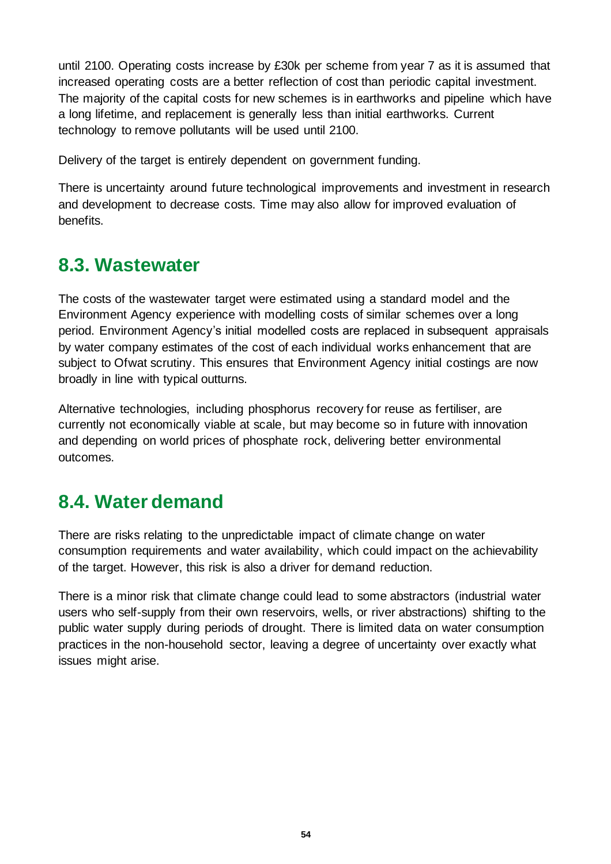until 2100. Operating costs increase by £30k per scheme from year 7 as it is assumed that increased operating costs are a better reflection of cost than periodic capital investment. The majority of the capital costs for new schemes is in earthworks and pipeline which have a long lifetime, and replacement is generally less than initial earthworks. Current technology to remove pollutants will be used until 2100.

Delivery of the target is entirely dependent on government funding.

There is uncertainty around future technological improvements and investment in research and development to decrease costs. Time may also allow for improved evaluation of benefits.

## <span id="page-53-0"></span>**8.3. Wastewater**

The costs of the wastewater target were estimated using a standard model and the Environment Agency experience with modelling costs of similar schemes over a long period. Environment Agency's initial modelled costs are replaced in subsequent appraisals by water company estimates of the cost of each individual works enhancement that are subject to Ofwat scrutiny. This ensures that Environment Agency initial costings are now broadly in line with typical outturns.

Alternative technologies, including phosphorus recovery for reuse as fertiliser, are currently not economically viable at scale, but may become so in future with innovation and depending on world prices of phosphate rock, delivering better environmental outcomes.

# <span id="page-53-1"></span>**8.4. Water demand**

There are risks relating to the unpredictable impact of climate change on water consumption requirements and water availability, which could impact on the achievability of the target. However, this risk is also a driver for demand reduction.

There is a minor risk that climate change could lead to some abstractors (industrial water users who self-supply from their own reservoirs, wells, or river abstractions) shifting to the public water supply during periods of drought. There is limited data on water consumption practices in the non-household sector, leaving a degree of uncertainty over exactly what issues might arise.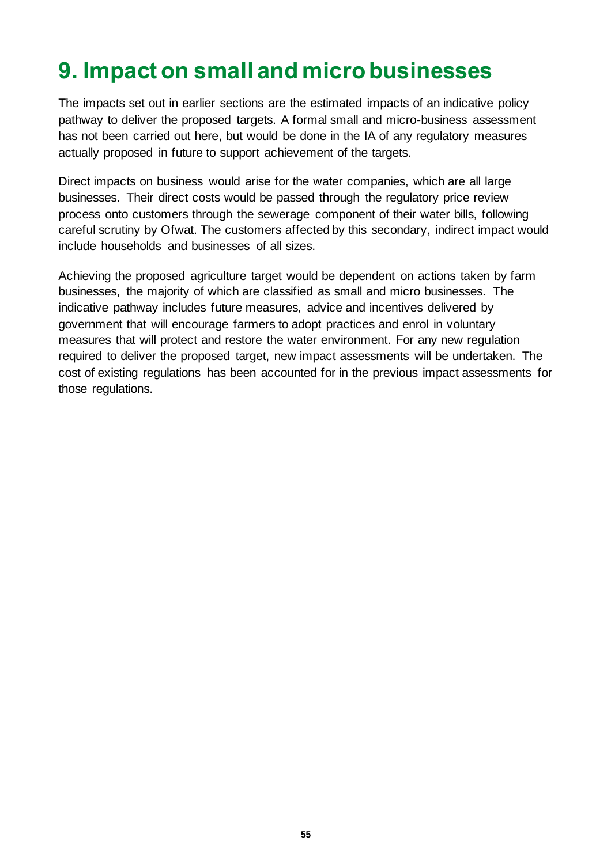# <span id="page-54-0"></span>**9. Impact on small and micro businesses**

The impacts set out in earlier sections are the estimated impacts of an indicative policy pathway to deliver the proposed targets. A formal small and micro-business assessment has not been carried out here, but would be done in the IA of any regulatory measures actually proposed in future to support achievement of the targets.

Direct impacts on business would arise for the water companies, which are all large businesses. Their direct costs would be passed through the regulatory price review process onto customers through the sewerage component of their water bills, following careful scrutiny by Ofwat. The customers affected by this secondary, indirect impact would include households and businesses of all sizes.

Achieving the proposed agriculture target would be dependent on actions taken by farm businesses, the majority of which are classified as small and micro businesses. The indicative pathway includes future measures, advice and incentives delivered by government that will encourage farmers to adopt practices and enrol in voluntary measures that will protect and restore the water environment. For any new regulation required to deliver the proposed target, new impact assessments will be undertaken. The cost of existing regulations has been accounted for in the previous impact assessments for those regulations.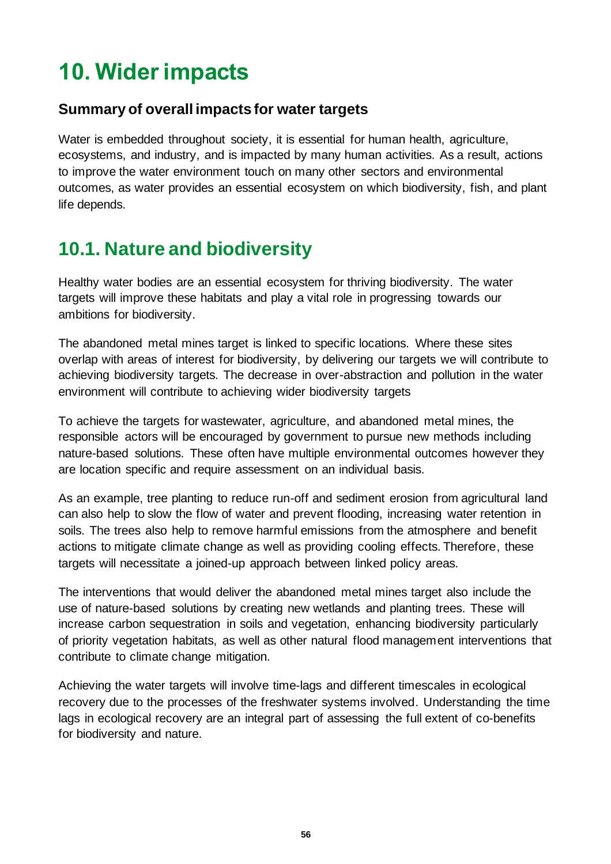# <span id="page-55-0"></span>**10. Wider impacts**

#### **Summary of overall impacts for water targets**

Water is embedded throughout society, it is essential for human health, agriculture, ecosystems, and industry, and is impacted by many human activities. As a result, actions to improve the water environment touch on many other sectors and environmental outcomes, as water provides an essential ecosystem on which biodiversity, fish, and plant life depends.

# <span id="page-55-1"></span>**10.1. Nature and biodiversity**

Healthy water bodies are an essential ecosystem for thriving biodiversity. The water targets will improve these habitats and play a vital role in progressing towards our ambitions for biodiversity.

The abandoned metal mines target is linked to specific locations. Where these sites overlap with areas of interest for biodiversity, by delivering our targets we will contribute to achieving biodiversity targets. The decrease in over-abstraction and pollution in the water environment will contribute to achieving wider biodiversity targets

To achieve the targets for wastewater, agriculture, and abandoned metal mines, the responsible actors will be encouraged by government to pursue new methods including nature-based solutions. These often have multiple environmental outcomes however they are location specific and require assessment on an individual basis.

As an example, tree planting to reduce run-off and sediment erosion from agricultural land can also help to slow the flow of water and prevent flooding, increasing water retention in soils. The trees also help to remove harmful emissions from the atmosphere and benefit actions to mitigate climate change as well as providing cooling effects. Therefore, these targets will necessitate a joined-up approach between linked policy areas.

The interventions that would deliver the abandoned metal mines target also include the use of nature-based solutions by creating new wetlands and planting trees. These will increase carbon sequestration in soils and vegetation, enhancing biodiversity particularly of priority vegetation habitats, as well as other natural flood management interventions that contribute to climate change mitigation.

Achieving the water targets will involve time-lags and different timescales in ecological recovery due to the processes of the freshwater systems involved. Understanding the time lags in ecological recovery are an integral part of assessing the full extent of co-benefits for biodiversity and nature.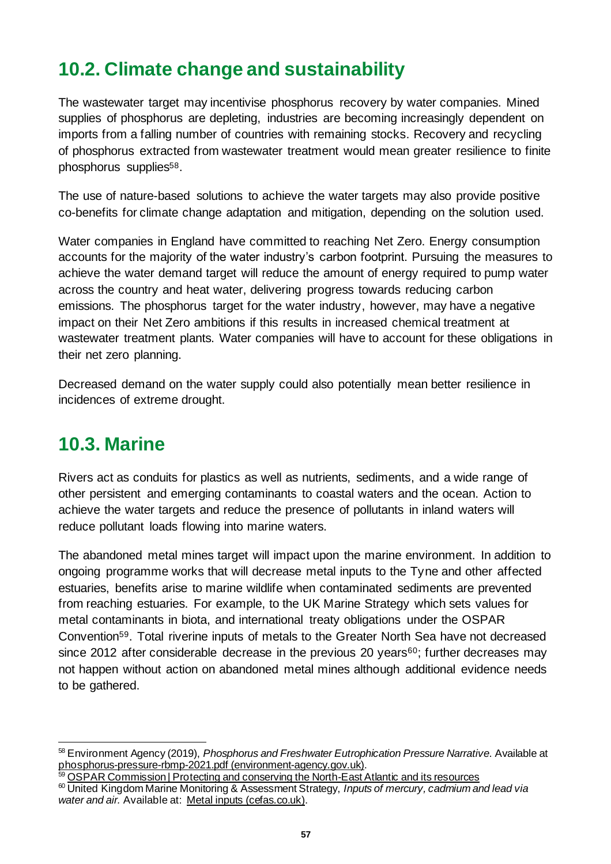# <span id="page-56-0"></span>**10.2. Climate change and sustainability**

The wastewater target may incentivise phosphorus recovery by water companies. Mined supplies of phosphorus are depleting, industries are becoming increasingly dependent on imports from a falling number of countries with remaining stocks. Recovery and recycling of phosphorus extracted from wastewater treatment would mean greater resilience to finite phosphorus supplies<sup>58</sup>.

The use of nature-based solutions to achieve the water targets may also provide positive co-benefits for climate change adaptation and mitigation, depending on the solution used.

Water companies in England have committed to reaching Net Zero. Energy consumption accounts for the majority of the water industry's carbon footprint. Pursuing the measures to achieve the water demand target will reduce the amount of energy required to pump water across the country and heat water, delivering progress towards reducing carbon emissions. The phosphorus target for the water industry, however, may have a negative impact on their Net Zero ambitions if this results in increased chemical treatment at wastewater treatment plants. Water companies will have to account for these obligations in their net zero planning.

Decreased demand on the water supply could also potentially mean better resilience in incidences of extreme drought.

## <span id="page-56-1"></span>**10.3. Marine**

Rivers act as conduits for plastics as well as nutrients, sediments, and a wide range of other persistent and emerging contaminants to coastal waters and the ocean. Action to achieve the water targets and reduce the presence of pollutants in inland waters will reduce pollutant loads flowing into marine waters.

The abandoned metal mines target will impact upon the marine environment. In addition to ongoing programme works that will decrease metal inputs to the Tyne and other affected estuaries, benefits arise to marine wildlife when contaminated sediments are prevented from reaching estuaries. For example, to the UK Marine Strategy which sets values for metal contaminants in biota, and international treaty obligations under the OSPAR Convention59. Total riverine inputs of metals to the Greater North Sea have not decreased since 2012 after considerable decrease in the previous 20 years<sup>60</sup>; further decreases may not happen without action on abandoned metal mines although additional evidence needs to be gathered.

59 [OSPAR Commission | Protecting and conserving the North-East Atlantic and its resources](https://www.ospar.org/) <sup>60</sup> United Kingdom Marine Monitoring & Assessment Strategy, *Inputs of mercury, cadmium and lead via water and air.* Available at: [Metal inputs \(cefas.co.uk\)](https://moat.cefas.co.uk/pressures-from-human-activities/contaminants/metal-inputs/).

<sup>58</sup> Environment Agency (2019), *Phosphorus and Freshwater Eutrophication Pressure Narrative*. Available at [phosphorus-pressure-rbmp-2021.pdf \(environment-agency.gov.uk\)](https://consult.environment-agency.gov.uk/++preview++/environment-and-business/challenges-and-choices/user_uploads/phosphorus-pressure-rbmp-2021.pdf).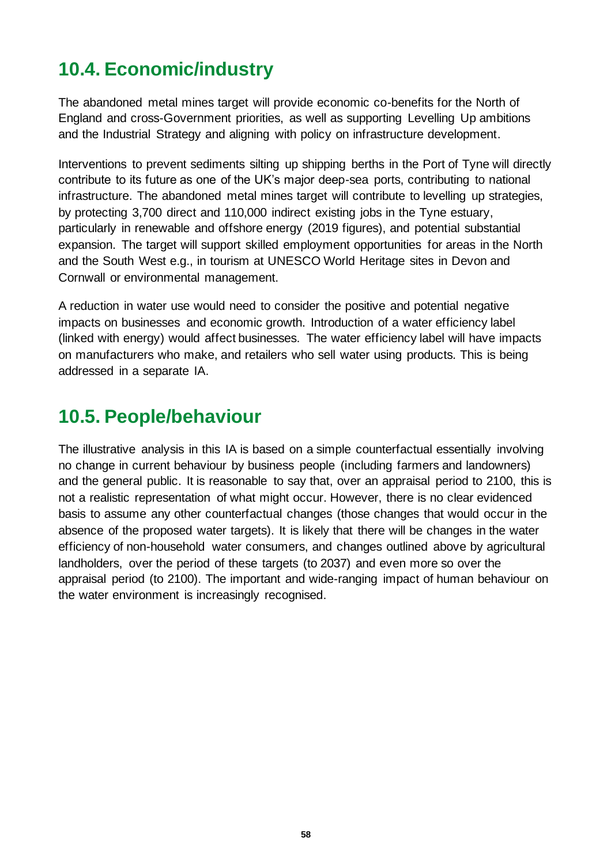# <span id="page-57-0"></span>**10.4. Economic/industry**

The abandoned metal mines target will provide economic co-benefits for the North of England and cross-Government priorities, as well as supporting Levelling Up ambitions and the Industrial Strategy and aligning with policy on infrastructure development.

Interventions to prevent sediments silting up shipping berths in the Port of Tyne will directly contribute to its future as one of the UK's major deep-sea ports, contributing to national infrastructure. The abandoned metal mines target will contribute to levelling up strategies, by protecting 3,700 direct and 110,000 indirect existing jobs in the Tyne estuary, particularly in renewable and offshore energy (2019 figures), and potential substantial expansion. The target will support skilled employment opportunities for areas in the North and the South West e.g., in tourism at UNESCO World Heritage sites in Devon and Cornwall or environmental management.

A reduction in water use would need to consider the positive and potential negative impacts on businesses and economic growth. Introduction of a water efficiency label (linked with energy) would affect businesses. The water efficiency label will have impacts on manufacturers who make, and retailers who sell water using products. This is being addressed in a separate IA.

# <span id="page-57-1"></span>**10.5. People/behaviour**

The illustrative analysis in this IA is based on a simple counterfactual essentially involving no change in current behaviour by business people (including farmers and landowners) and the general public. It is reasonable to say that, over an appraisal period to 2100, this is not a realistic representation of what might occur. However, there is no clear evidenced basis to assume any other counterfactual changes (those changes that would occur in the absence of the proposed water targets). It is likely that there will be changes in the water efficiency of non-household water consumers, and changes outlined above by agricultural landholders, over the period of these targets (to 2037) and even more so over the appraisal period (to 2100). The important and wide-ranging impact of human behaviour on the water environment is increasingly recognised.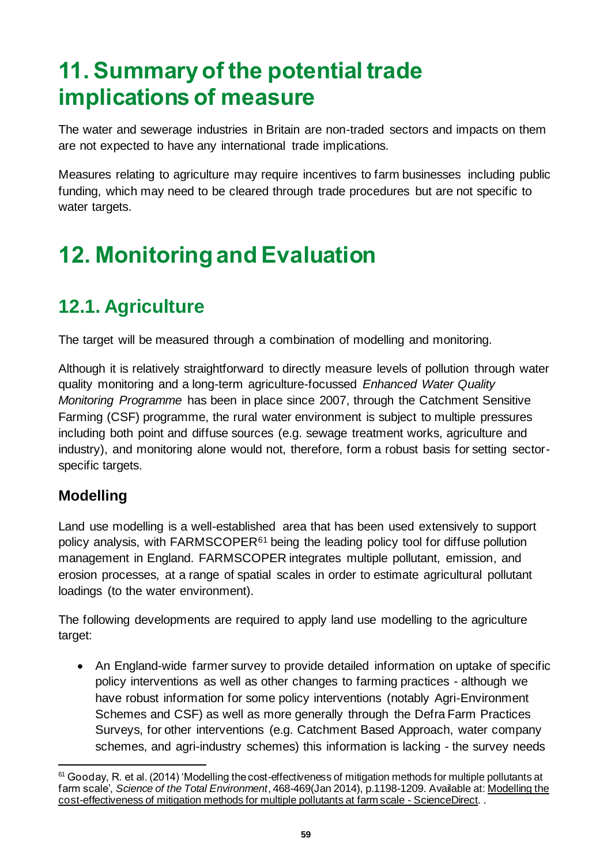# <span id="page-58-0"></span>**11. Summary of the potential trade implications of measure**

The water and sewerage industries in Britain are non-traded sectors and impacts on them are not expected to have any international trade implications.

Measures relating to agriculture may require incentives to farm businesses including public funding, which may need to be cleared through trade procedures but are not specific to water targets.

# <span id="page-58-1"></span>**12. Monitoring and Evaluation**

# <span id="page-58-2"></span>**12.1. Agriculture**

The target will be measured through a combination of modelling and monitoring.

Although it is relatively straightforward to directly measure levels of pollution through water quality monitoring and a long-term agriculture-focussed *Enhanced Water Quality Monitoring Programme* has been in place since 2007, through the Catchment Sensitive Farming (CSF) programme, the rural water environment is subject to multiple pressures including both point and diffuse sources (e.g. sewage treatment works, agriculture and industry), and monitoring alone would not, therefore, form a robust basis for setting sectorspecific targets.

## **Modelling**

Land use modelling is a well-established area that has been used extensively to support policy analysis, with  $FARMSCOPER<sup>61</sup>$  being the leading policy tool for diffuse pollution management in England. FARMSCOPER integrates multiple pollutant, emission, and erosion processes, at a range of spatial scales in order to estimate agricultural pollutant loadings (to the water environment).

The following developments are required to apply land use modelling to the agriculture target:

• An England-wide farmer survey to provide detailed information on uptake of specific policy interventions as well as other changes to farming practices - although we have robust information for some policy interventions (notably Agri-Environment Schemes and CSF) as well as more generally through the Defra Farm Practices Surveys, for other interventions (e.g. Catchment Based Approach, water company schemes, and agri-industry schemes) this information is lacking - the survey needs

 $61$  Gooday, R. et al. (2014) 'Modelling the cost-effectiveness of mitigation methods for multiple pollutants at farm scale', *Science of the Total Environment*, 468-469(Jan 2014), p.1198-1209. Available at[: Modelling the](https://www.sciencedirect.com/science/article/pii/S0048969713005123)  [cost-effectiveness of mitigation methods for multiple pollutants at farm scale -](https://www.sciencedirect.com/science/article/pii/S0048969713005123) ScienceDirect. .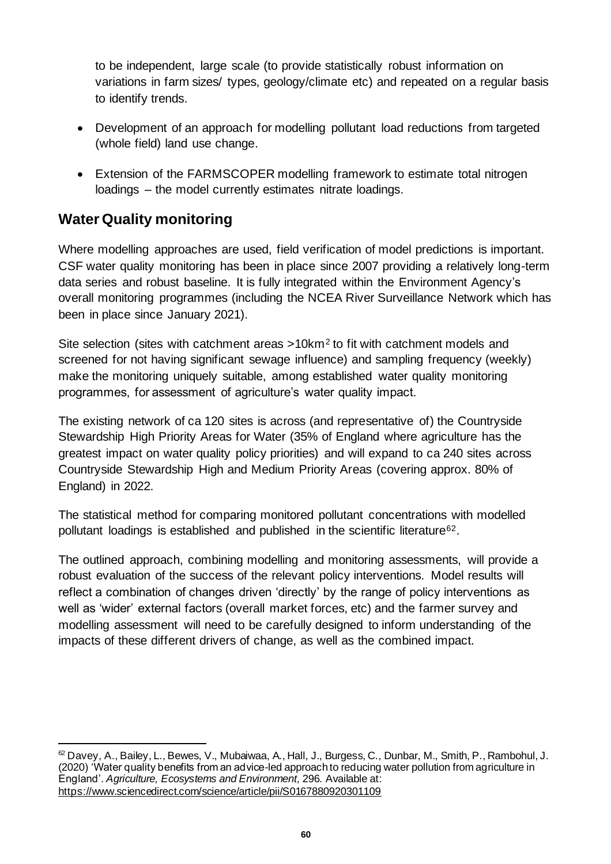to be independent, large scale (to provide statistically robust information on variations in farm sizes/ types, geology/climate etc) and repeated on a regular basis to identify trends.

- Development of an approach for modelling pollutant load reductions from targeted (whole field) land use change.
- Extension of the FARMSCOPER modelling framework to estimate total nitrogen loadings – the model currently estimates nitrate loadings.

### **Water Quality monitoring**

Where modelling approaches are used, field verification of model predictions is important. CSF water quality monitoring has been in place since 2007 providing a relatively long-term data series and robust baseline. It is fully integrated within the Environment Agency's overall monitoring programmes (including the NCEA River Surveillance Network which has been in place since January 2021).

Site selection (sites with catchment areas >10km<sup>2</sup> to fit with catchment models and screened for not having significant sewage influence) and sampling frequency (weekly) make the monitoring uniquely suitable, among established water quality monitoring programmes, for assessment of agriculture's water quality impact.

The existing network of ca 120 sites is across (and representative of) the Countryside Stewardship High Priority Areas for Water (35% of England where agriculture has the greatest impact on water quality policy priorities) and will expand to ca 240 sites across Countryside Stewardship High and Medium Priority Areas (covering approx. 80% of England) in 2022.

The statistical method for comparing monitored pollutant concentrations with modelled pollutant loadings is established and published in the scientific literature62.

The outlined approach, combining modelling and monitoring assessments, will provide a robust evaluation of the success of the relevant policy interventions. Model results will reflect a combination of changes driven 'directly' by the range of policy interventions as well as 'wider' external factors (overall market forces, etc) and the farmer survey and modelling assessment will need to be carefully designed to inform understanding of the impacts of these different drivers of change, as well as the combined impact.

<sup>&</sup>lt;sup>62</sup> Davey, A., Bailey, L., Bewes, V., Mubaiwaa, A., Hall, J., Burgess, C., Dunbar, M., Smith, P., Rambohul, J. (2020) 'Water quality benefits from an advice-led approach to reducing water pollution from agriculture in England'. *Agriculture, Ecosystems and Environment,* 296*.* Available at: <https://www.sciencedirect.com/science/article/pii/S0167880920301109>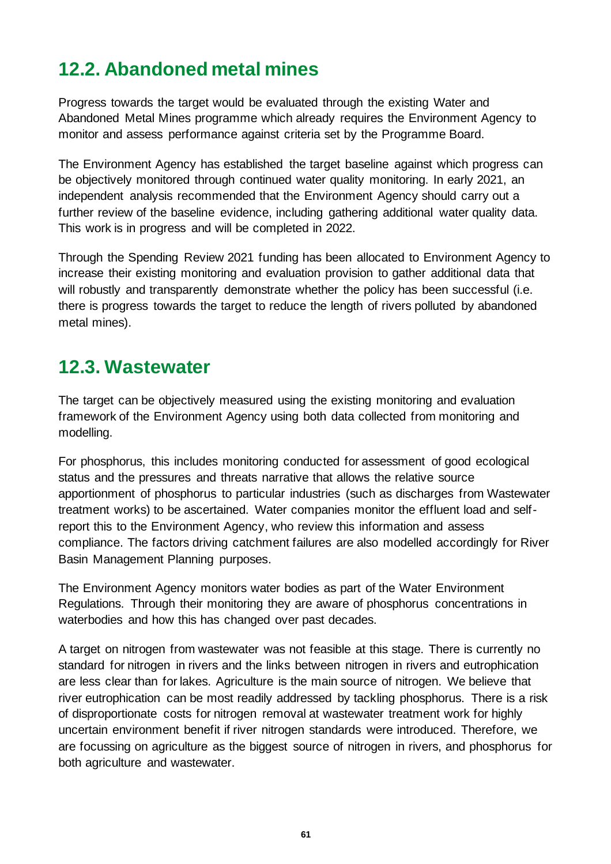# <span id="page-60-0"></span>**12.2. Abandoned metal mines**

Progress towards the target would be evaluated through the existing Water and Abandoned Metal Mines programme which already requires the Environment Agency to monitor and assess performance against criteria set by the Programme Board.

The Environment Agency has established the target baseline against which progress can be objectively monitored through continued water quality monitoring. In early 2021, an independent analysis recommended that the Environment Agency should carry out a further review of the baseline evidence, including gathering additional water quality data. This work is in progress and will be completed in 2022.

Through the Spending Review 2021 funding has been allocated to Environment Agency to increase their existing monitoring and evaluation provision to gather additional data that will robustly and transparently demonstrate whether the policy has been successful (i.e. there is progress towards the target to reduce the length of rivers polluted by abandoned metal mines).

## <span id="page-60-1"></span>**12.3. Wastewater**

The target can be objectively measured using the existing monitoring and evaluation framework of the Environment Agency using both data collected from monitoring and modelling.

For phosphorus, this includes monitoring conducted for assessment of good ecological status and the pressures and threats narrative that allows the relative source apportionment of phosphorus to particular industries (such as discharges from Wastewater treatment works) to be ascertained. Water companies monitor the effluent load and selfreport this to the Environment Agency, who review this information and assess compliance. The factors driving catchment failures are also modelled accordingly for River Basin Management Planning purposes.

The Environment Agency monitors water bodies as part of the Water Environment Regulations. Through their monitoring they are aware of phosphorus concentrations in waterbodies and how this has changed over past decades.

A target on nitrogen from wastewater was not feasible at this stage. There is currently no standard for nitrogen in rivers and the links between nitrogen in rivers and eutrophication are less clear than for lakes. Agriculture is the main source of nitrogen. We believe that river eutrophication can be most readily addressed by tackling phosphorus. There is a risk of disproportionate costs for nitrogen removal at wastewater treatment work for highly uncertain environment benefit if river nitrogen standards were introduced. Therefore, we are focussing on agriculture as the biggest source of nitrogen in rivers, and phosphorus for both agriculture and wastewater.